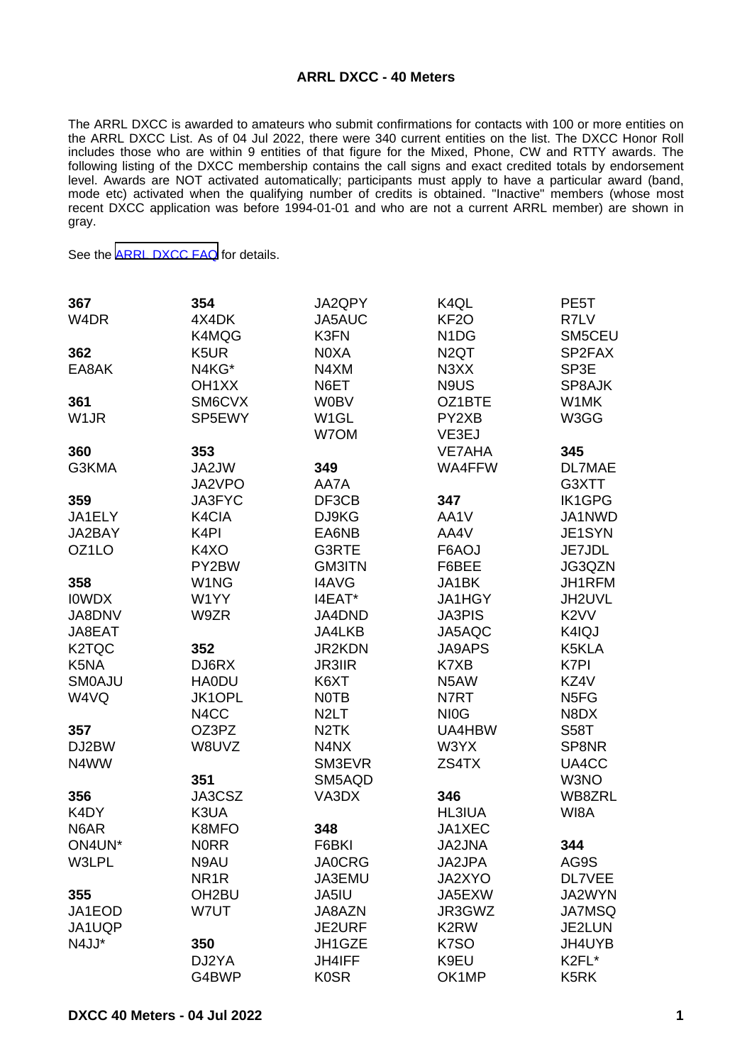## **ARRL DXCC - 40 Meters**

The ARRL DXCC is awarded to amateurs who submit confirmations for contacts with 100 or more entities on the ARRL DXCC List. As of 04 Jul 2022, there were 340 current entities on the list. The DXCC Honor Roll includes those who are within 9 entities of that figure for the Mixed, Phone, CW and RTTY awards. The following listing of the DXCC membership contains the call signs and exact credited totals by endorsement level. Awards are NOT activated automatically; participants must apply to have a particular award (band, mode etc) activated when the qualifying number of credits is obtained. "Inactive" members (whose most recent DXCC application was before 1994-01-01 and who are not a current ARRL member) are shown in gray.

See the [ARRL DXCC FAQ](http://www.arrl.org/dxcc-faq/) for details.

| 367                | 354                | JA2QPY            | K <sub>4</sub> QL             | PE <sub>5</sub> T             |
|--------------------|--------------------|-------------------|-------------------------------|-------------------------------|
| W <sub>4</sub> DR  | 4X4DK              | JA5AUC            | KF <sub>20</sub>              | R7LV                          |
|                    | K4MQG              | K3FN              | N <sub>1</sub> D <sub>G</sub> | SM5CEU                        |
| 362                | K <sub>5</sub> UR  | N0XA              | N <sub>2</sub> QT             | SP2FAX                        |
| EA8AK              | N4KG*              | N4XM              | N <sub>3</sub> X <sub>X</sub> | SP3E                          |
|                    | OH <sub>1</sub> XX | N6ET              | N9US                          | SP8AJK                        |
| 361                | SM6CVX             | <b>W0BV</b>       | OZ1BTE                        | W1MK                          |
| W <sub>1</sub> JR  | SP5EWY             | W <sub>1</sub> GL | PY2XB                         | W3GG                          |
|                    |                    | W7OM              | VE3EJ                         |                               |
| 360                | 353                |                   | <b>VE7AHA</b>                 | 345                           |
| G3KMA              | JA2JW              | 349               | WA4FFW                        | DL7MAE                        |
|                    | JA2VPO             | AA7A              |                               | G3XTT                         |
| 359                | <b>JA3FYC</b>      | DF3CB             | 347                           | <b>IK1GPG</b>                 |
| JA1ELY             | K4CIA              | DJ9KG             | AA1V                          | JA1NWD                        |
| JA2BAY             | K <sub>4</sub> PI  | EA6NB             | AA4V                          | JE1SYN                        |
| OZ <sub>1</sub> LO | K4XO               | G3RTE             | F6AOJ                         | JE7JDL                        |
|                    | PY2BW              | <b>GM3ITN</b>     | F6BEE                         | JG3QZN                        |
| 358                | W1NG               | <b>I4AVG</b>      | JA1BK                         | JH1RFM                        |
| <b>IOWDX</b>       | W1YY               | I4EAT*            | JA1HGY                        | JH2UVL                        |
| JA8DNV             | W9ZR               | JA4DND            | <b>JA3PIS</b>                 | K <sub>2</sub> V <sub>V</sub> |
| JA8EAT             |                    | JA4LKB            | JA5AQC                        | K4IQJ                         |
| K <sub>2</sub> TQC | 352                | <b>JR2KDN</b>     | <b>JA9APS</b>                 | K5KLA                         |
| K5NA               | DJ6RX              | <b>JR3IIR</b>     | K7XB                          | K7PI                          |
| <b>SMOAJU</b>      | <b>HA0DU</b>       | K6XT              | N5AW                          | KZ4V                          |
| W4VQ               | <b>JK1OPL</b>      | <b>NOTB</b>       | N7RT                          | N <sub>5</sub> F <sub>G</sub> |
|                    | N <sub>4</sub> CC  | N <sub>2</sub> LT | NI <sub>0</sub> G             | N8DX                          |
| 357                | OZ3PZ              | N <sub>2</sub> TK | UA4HBW                        | <b>S58T</b>                   |
| DJ2BW              | W8UVZ              | N4NX              | W3YX                          | SP8NR                         |
| N4WW               |                    | SM3EVR            | ZS4TX                         | UA4CC                         |
|                    | 351                | SM5AQD            |                               | W3NO                          |
| 356                | JA3CSZ             | VA3DX             | 346                           | WB8ZRL                        |
| K4DY               | K3UA               |                   | <b>HL3IUA</b>                 | WI8A                          |
| N6AR               | K8MFO              | 348               | JA1XEC                        |                               |
| ON4UN*             | <b>NORR</b>        | F6BKI             | <b>JA2JNA</b>                 | 344                           |
| W3LPL              | N9AU               | <b>JA0CRG</b>     | JA2JPA                        | AG9S                          |
|                    | NR <sub>1</sub> R  | JA3EMU            | JA2XYO                        | <b>DL7VEE</b>                 |
| 355                | OH <sub>2</sub> BU | JA5IU             | JA5EXW                        | JA2WYN                        |
| JA1EOD             | W7UT               | JA8AZN            | JR3GWZ                        | <b>JA7MSQ</b>                 |
| JA1UQP             |                    | JE2URF            | K <sub>2</sub> RW             | JE2LUN                        |
| N4JJ*              | 350                | JH1GZE            | K7SO                          | JH4UYB                        |
|                    | DJ2YA              | JH4IFF            | K9EU                          | K2FL*                         |
|                    | G4BWP              | <b>K0SR</b>       | OK1MP                         | K <sub>5</sub> RK             |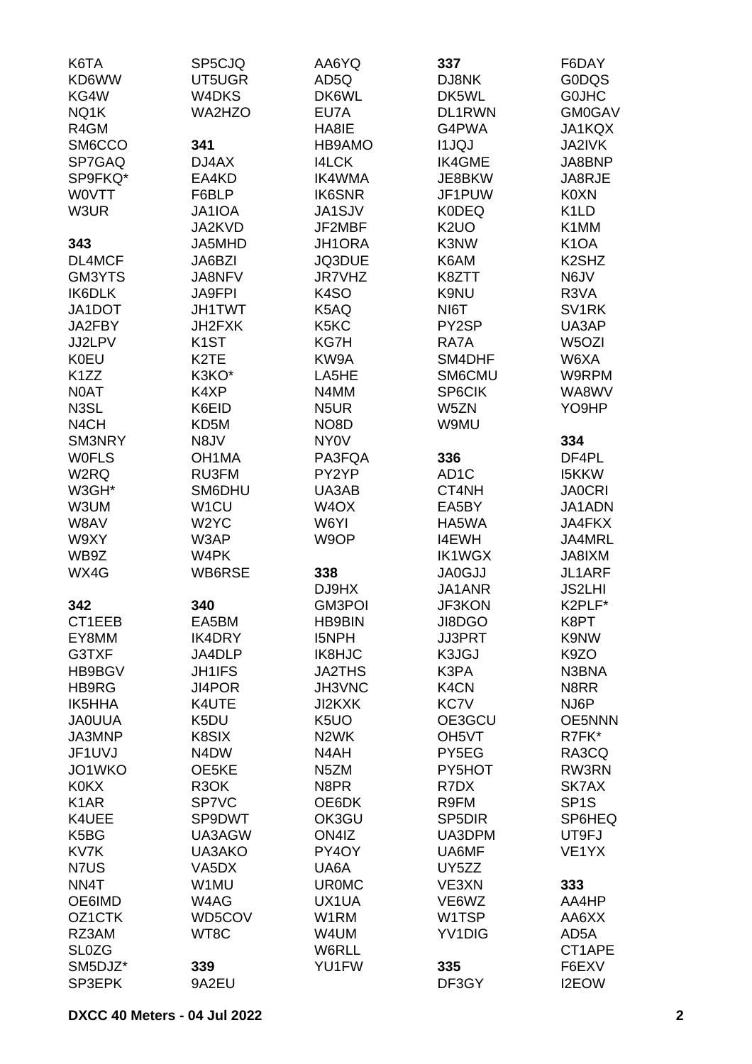| K6TA              | SP5CJQ             | AA6YQ                         | 337                           | F6DAY                          |
|-------------------|--------------------|-------------------------------|-------------------------------|--------------------------------|
| KD6WW             | UT5UGR             | AD5Q                          | DJ8NK                         | <b>G0DQS</b>                   |
| KG4W              | W <sub>4</sub> DKS | DK6WL                         | DK5WL                         | <b>GOJHC</b>                   |
| NQ1K              | WA2HZO             | EU7A                          | DL1RWN                        | <b>GM0GAV</b>                  |
| R4GM              |                    | HA8IE                         | G4PWA                         | JA1KQX                         |
| SM6CCO            | 341                | HB9AMO                        | <b>I1JQJ</b>                  | JA2IVK                         |
| SP7GAQ            | DJ4AX              | <b>I4LCK</b>                  | <b>IK4GME</b>                 | JA8BNP                         |
| SP9FKQ*           | EA4KD              | <b>IK4WMA</b>                 | JE8BKW                        | JA8RJE                         |
| <b>WOVTT</b>      | F6BLP              | <b>IK6SNR</b>                 | JF1PUW                        | K0XN                           |
| W3UR              | JA1IOA             | JA1SJV                        | <b>K0DEQ</b>                  | K <sub>1</sub> LD              |
|                   | JA2KVD             | JF2MBF                        | K <sub>2</sub> UO             | K1MM                           |
| 343               | JA5MHD             | JH1ORA                        | K3NW                          | K <sub>1</sub> OA              |
| DL4MCF            | JA6BZI             | JQ3DUE                        | K6AM                          | K <sub>2</sub> SH <sub>Z</sub> |
| GM3YTS            | JA8NFV             | JR7VHZ                        | K8ZTT                         | N6JV                           |
| IK6DLK            | <b>JA9FPI</b>      | K <sub>4</sub> SO             | K9NU                          | R3VA                           |
| JA1DOT            | <b>JH1TWT</b>      | K5AQ                          | NI6T                          | SV <sub>1</sub> RK             |
| JA2FBY            | JH2FXK             | K <sub>5</sub> K <sub>C</sub> | PY2SP                         | UA3AP                          |
| JJ2LPV            | K <sub>1</sub> ST  | KG7H                          | RA7A                          | W5OZI                          |
|                   | K <sub>2</sub> TE  |                               |                               |                                |
| <b>K0EU</b>       |                    | KW9A                          | SM4DHF                        | W6XA                           |
| K <sub>1</sub> ZZ | K3KO*              | LA5HE                         | SM6CMU                        | W9RPM                          |
| <b>NOAT</b>       | K4XP               | N4MM                          | SP6CIK                        | WA8WV                          |
| N3SL              | K6EID              | N <sub>5</sub> UR             | W5ZN                          | YO9HP                          |
| N <sub>4</sub> CH | KD <sub>5</sub> M  | NO <sub>8</sub> D             | W9MU                          |                                |
| SM3NRY            | N8JV               | <b>NY0V</b>                   |                               | 334                            |
| <b>WOFLS</b>      | OH <sub>1</sub> MA | PA3FQA                        | 336                           | DF4PL                          |
| W <sub>2</sub> RQ | RU3FM              | PY2YP                         | AD <sub>1</sub> C             | <b>I5KKW</b>                   |
| W3GH*             | SM6DHU             | UA3AB                         | CT4NH                         | <b>JA0CRI</b>                  |
| W3UM              | W <sub>1</sub> CU  | W <sub>4</sub> OX             | EA5BY                         | JA1ADN                         |
| W8AV              | W <sub>2</sub> YC  | W6YI                          | HA5WA                         | JA4FKX                         |
| W9XY              | W3AP               | W9OP                          | <b>I4EWH</b>                  | JA4MRL                         |
| WB9Z              | W4PK               |                               | <b>IK1WGX</b>                 | JA8IXM                         |
| WX4G              | WB6RSE             | 338                           | <b>JA0GJJ</b>                 | JL1ARF                         |
|                   |                    | DJ9HX                         | JA1ANR                        | <b>JS2LHI</b>                  |
| 342               | 340                | <b>GM3POI</b>                 | <b>JF3KON</b>                 | K2PLF*                         |
| CT1EEB            | EA5BM              | <b>HB9BIN</b>                 | JI8DGO                        | K8PT                           |
| EY8MM             | <b>IK4DRY</b>      | I5NPH                         | <b>JJ3PRT</b>                 | K9NW                           |
| G3TXF             | JA4DLP             | IK8HJC                        | K3JGJ                         | K9ZO                           |
| HB9BGV            | <b>JH1IFS</b>      | <b>JA2THS</b>                 | K3PA                          | N3BNA                          |
| HB9RG             | JI4POR             | JH3VNC                        | K <sub>4</sub> C <sub>N</sub> | N8RR                           |
| <b>IK5HHA</b>     | K4UTE              | JI2KXK                        | KC7V                          | NJ6P                           |
| <b>JAOUUA</b>     | K5DU               | K <sub>5</sub> UO             | OE3GCU                        | <b>OE5NNN</b>                  |
| JA3MNP            | K8SIX              | N <sub>2</sub> WK             | OH <sub>5</sub> VT            | R7FK*                          |
| JF1UVJ            | N4DW               | N4AH                          | PY5EG                         | RA3CQ                          |
| JO1WKO            | OE5KE              | N <sub>5</sub> ZM             | PY5HOT                        | RW3RN                          |
| <b>K0KX</b>       | R <sub>3</sub> OK  | N8PR                          | R7DX                          | SK7AX                          |
| K <sub>1</sub> AR | <b>SP7VC</b>       | OE6DK                         | R9FM                          | SP <sub>1</sub> S              |
| K4UEE             | SP9DWT             | OK3GU                         | SP <sub>5</sub> DIR           | SP6HEQ                         |
| K5BG              | UA3AGW             | ON4IZ                         | UA3DPM                        | UT9FJ                          |
| KV7K              | UA3AKO             | PY4OY                         | UA6MF                         | VE <sub>1</sub> YX             |
| N7US              | VA5DX              | UA6A                          | UY5ZZ                         |                                |
| NN4T              | W1MU               | <b>UR0MC</b>                  | VE3XN                         | 333                            |
| OE6IMD            | W4AG               | UX1UA                         | VE6WZ                         | AA4HP                          |
| OZ1CTK            | WD5COV             | W1RM                          | W1TSP                         | AA6XX                          |
| RZ3AM             | WT8C               | W4UM                          | YV1DIG                        | AD5A                           |
| <b>SL0ZG</b>      |                    | W6RLL                         |                               | CT1APE                         |
| SM5DJZ*           | 339                | YU1FW                         | 335                           | F6EXV                          |
| SP3EPK            | 9A2EU              |                               | DF3GY                         | I2EOW                          |
|                   |                    |                               |                               |                                |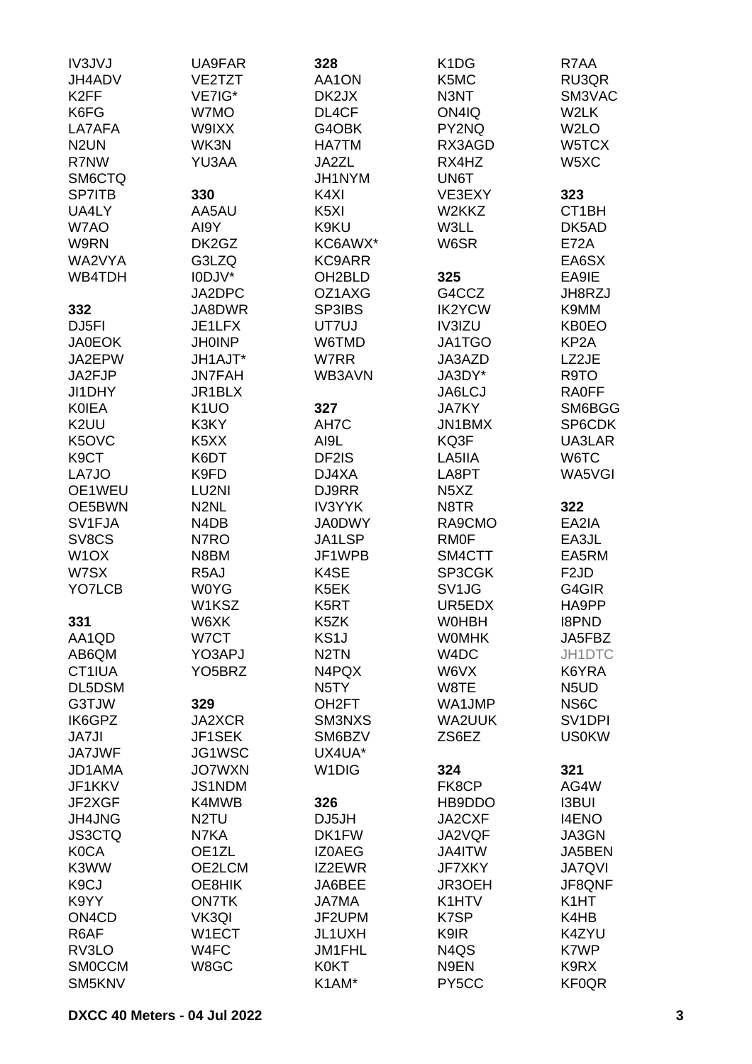| IV3JVJ<br>328<br>K <sub>1</sub> D <sub>G</sub><br>UA9FAR  | R7AA                          |
|-----------------------------------------------------------|-------------------------------|
| K5MC<br>JH4ADV<br>VE2TZT<br>AA1ON                         | RU3QR                         |
| K <sub>2</sub> FF<br>VE7IG*<br>DK2JX<br>N3NT              | SM3VAC                        |
| K6FG<br>W7MO<br>DL4CF<br>ON4IQ                            | W2LK                          |
| LA7AFA<br>W9IXX<br>G4OBK<br>PY2NQ                         | W <sub>2</sub> LO             |
| N <sub>2</sub> UN<br>WK3N<br><b>HA7TM</b><br>RX3AGD       | W5TCX                         |
| R7NW<br>YU3AA<br>JA2ZL<br>RX4HZ                           | W5XC                          |
|                                                           |                               |
| SM6CTQ<br>JH1NYM<br>UN6T                                  |                               |
| 330<br><b>SP7ITB</b><br>K4XI<br>VE3EXY                    | 323                           |
| UA4LY<br>AA5AU<br>K <sub>5</sub> XI<br>W2KKZ              | CT <sub>1</sub> BH            |
| W7AO<br>K9KU<br>W3LL<br>AI9Y                              | DK5AD                         |
| W9RN<br>DK2GZ<br>KC6AWX*<br>W6SR                          | <b>E72A</b>                   |
| WA2VYA<br>G3LZQ<br><b>KC9ARR</b>                          | EA6SX                         |
| I0DJV*<br>325<br>WB4TDH<br>OH <sub>2</sub> BLD            | EA9IE                         |
| JA2DPC<br>OZ1AXG<br>G4CCZ                                 | JH8RZJ                        |
| JA8DWR<br>SP3IBS<br><b>IK2YCW</b><br>332                  | K9MM                          |
| DJ <sub>5FI</sub><br>JE1LFX<br>UT7UJ<br>IV3IZU            | <b>KB0EO</b>                  |
| <b>JH0INP</b><br><b>JA0EOK</b><br>W6TMD<br><b>JA1TGO</b>  | KP <sub>2</sub> A             |
| JA2EPW<br>JH1AJT*<br>W7RR<br>JA3AZD                       | LZ2JE                         |
| JA3DY*<br>JA2FJP<br><b>JN7FAH</b><br>WB3AVN               | R9TO                          |
| JI1DHY<br>JR1BLX<br>JA6LCJ                                | <b>RA0FF</b>                  |
| K <sub>1</sub> UO<br><b>KOIEA</b><br>327<br><b>JA7KY</b>  | SM6BGG                        |
| K <sub>2</sub> UU<br>K3KY<br>AH7C<br><b>JN1BMX</b>        | SP6CDK                        |
| K5OVC<br>KQ3F<br>K <sub>5</sub> XX<br>AI9L                | UA3LAR                        |
| K <sub>9</sub> CT<br>K6DT<br>DF2IS<br>LA5IIA              | W6TC                          |
| K9FD<br>LA7JO<br>DJ4XA<br>LA8PT                           | WA5VGI                        |
| OE1WEU<br>LU2NI<br>DJ9RR<br>N <sub>5</sub> X <sub>Z</sub> |                               |
| OE5BWN<br>N <sub>2</sub> NL<br><b>IV3YYK</b><br>N8TR      | 322                           |
| SV1FJA<br>N4DB<br><b>JA0DWY</b><br>RA9CMO                 | EA2IA                         |
| SV8CS<br>N7RO<br>JA1LSP<br><b>RM0F</b>                    |                               |
| N8BM<br>JF1WPB                                            | EA3JL<br>EA5RM                |
| W <sub>1</sub> OX<br>SM4CTT                               |                               |
| W7SX<br>R <sub>5</sub> AJ<br>K4SE<br>SP3CGK               | F <sub>2</sub> JD             |
| YO7LCB<br><b>W0YG</b><br>K5EK<br>SV1JG                    | G4GIR                         |
| W1KSZ<br>K5RT<br>UR5EDX                                   | HA9PP                         |
| 331<br>W6XK<br>K5ZK<br><b>WOHBH</b>                       | <b>I8PND</b>                  |
| KS <sub>1</sub> J<br>W7CT<br><b>WOMHK</b><br>AA1QD        | JA5FBZ                        |
| AB6QM<br>YO3APJ<br>N <sub>2</sub> TN<br>W <sub>4</sub> DC | JH1DTC                        |
| CT1IUA<br>YO <sub>5</sub> BRZ<br>N4PQX<br>W6VX            | K6YRA                         |
| DL5DSM<br>W8TE<br>N <sub>5</sub> TY                       | N <sub>5</sub> U <sub>D</sub> |
| G3TJW<br>329<br>OH <sub>2</sub> FT<br>WA1JMP              | NS6C                          |
| IK6GPZ<br>JA2XCR<br>SM3NXS<br><b>WA2UUK</b>               | SV <sub>1</sub> DPI           |
| <b>JA7JI</b><br>JF1SEK<br>SM6BZV<br>ZS6EZ                 | <b>US0KW</b>                  |
| <b>JA7JWF</b><br>JG1WSC<br>UX4UA*                         |                               |
| W <sub>1</sub> DIG<br><b>JO7WXN</b><br>324<br>JD1AMA      | 321                           |
| JF1KKV<br><b>JS1NDM</b><br>FK8CP                          | AG4W                          |
| K4MWB<br>JF2XGF<br>326<br>HB9DDO                          | <b>I3BUI</b>                  |
| JH4JNG<br>N <sub>2</sub> TU<br>JA2CXF<br>DJ5JH            | <b>I4ENO</b>                  |
| <b>JS3CTQ</b><br>N7KA<br>DK1FW<br>JA2VQF                  | JA3GN                         |
| OE1ZL<br><b>K0CA</b><br><b>IZ0AEG</b><br>JA4ITW           | JA5BEN                        |
| K3WW<br>OE2LCM<br>IZ2EWR<br><b>JF7XKY</b>                 | <b>JA7QVI</b>                 |
| K <sub>9</sub> CJ<br>OE8HIK<br>JA6BEE<br>JR3OEH           | JF8QNF                        |
| <b>JA7MA</b><br>K1HTV<br>K9YY<br><b>ON7TK</b>             | K <sub>1</sub> HT             |
| ON <sub>4</sub> C <sub>D</sub><br>VK3QI<br>JF2UPM<br>K7SP | K4HB                          |
| R6AF<br>W1ECT<br>JL1UXH<br>K9IR                           | K4ZYU                         |
|                                                           |                               |
| W4FC<br>RV3LO<br>JM1FHL<br>N4QS                           | K7WP                          |
| <b>SMOCCM</b><br>W8GC<br><b>K0KT</b><br>N9EN              | K9RX                          |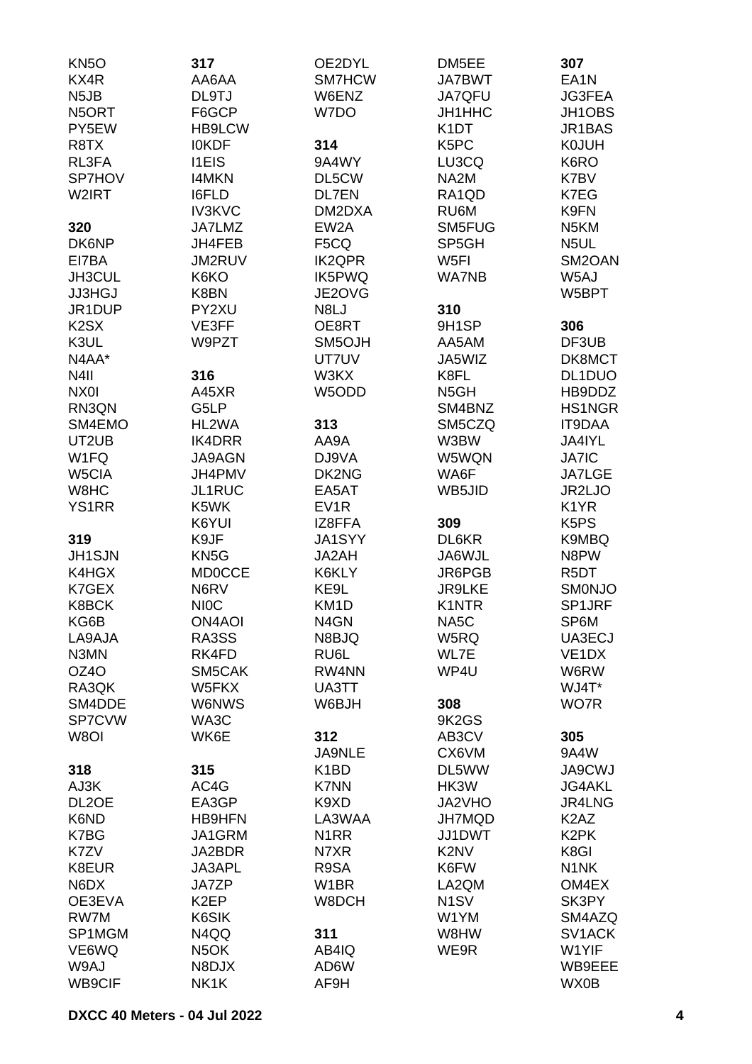| KN <sub>50</sub>              | 317               | OE2DYL            | DM5EE                         | 307                           |
|-------------------------------|-------------------|-------------------|-------------------------------|-------------------------------|
| KX4R                          | AA6AA             | SM7HCW            | <b>JA7BWT</b>                 | EA <sub>1</sub> N             |
| N <sub>5</sub> JB             | DL9TJ             | W6ENZ             | <b>JA7QFU</b>                 | JG3FEA                        |
| N5ORT                         | F6GCP             | W7DO              | JH1HHC                        | JH1OBS                        |
| PY5EW                         | <b>HB9LCW</b>     |                   | K <sub>1</sub> DT             | JR1BAS                        |
| R8TX                          | <b>IOKDF</b>      | 314               | K <sub>5</sub> PC             | <b>K0JUH</b>                  |
| RL3FA                         | <b>I1EIS</b>      | 9A4WY             | LU3CQ                         | K6RO                          |
| SP7HOV                        | <b>I4MKN</b>      | DL5CW             | NA <sub>2</sub> M             | K7BV                          |
| W2IRT                         | <b>I6FLD</b>      | <b>DL7EN</b>      | RA1QD                         | K7EG                          |
|                               | <b>IV3KVC</b>     | DM2DXA            | RU6M                          | K9FN                          |
|                               | JA7LMZ            | EW <sub>2</sub> A | SM5FUG                        |                               |
| 320                           |                   |                   |                               | N <sub>5</sub> KM             |
| DK6NP                         | JH4FEB            | F5CQ              | SP5GH                         | N <sub>5</sub> UL             |
| EI7BA                         | <b>JM2RUV</b>     | <b>IK2QPR</b>     | W <sub>5FI</sub>              | SM2OAN                        |
| JH3CUL                        | K6KO              | IK5PWQ            | <b>WA7NB</b>                  | W5AJ                          |
| <b>JJ3HGJ</b>                 | K8BN              | JE2OVG            |                               | W5BPT                         |
| JR1DUP                        | PY2XU             | N8LJ              | 310                           |                               |
| K <sub>2</sub> S <sub>X</sub> | VE3FF             | OE8RT             | 9H1SP                         | 306                           |
| K3UL                          | W9PZT             | SM5OJH            | AA5AM                         | DF3UB                         |
| N4AA*                         |                   | UT7UV             | JA5WIZ                        | DK8MCT                        |
| N4II                          | 316               | W3KX              | K8FL                          | DL1DUO                        |
| NX0I                          | A45XR             | W5ODD             | N <sub>5</sub> GH             | HB9DDZ                        |
| RN3QN                         | G5LP              |                   | SM4BNZ                        | HS1NGR                        |
| SM4EMO                        | HL2WA             | 313               | SM5CZQ                        | IT9DAA                        |
| UT2UB                         | IK4DRR            | AA9A              | W3BW                          | JA4IYL                        |
| W1FQ                          | <b>JA9AGN</b>     | DJ9VA             | W5WQN                         | <b>JA7IC</b>                  |
| W5CIA                         | JH4PMV            | DK2NG             | WA6F                          | <b>JA7LGE</b>                 |
| W8HC                          | JL1RUC            | EA5AT             | WB5JID                        | JR2LJO                        |
| <b>YS1RR</b>                  | K5WK              | EV <sub>1</sub> R |                               | K <sub>1</sub> YR             |
|                               |                   |                   |                               | K5PS                          |
|                               | K6YUI             | IZ8FFA            | 309                           |                               |
| 319                           | K9JF              | <b>JA1SYY</b>     | DL6KR                         | K9MBQ                         |
| <b>JH1SJN</b>                 | KN <sub>5</sub> G | JA2AH             | JA6WJL                        | N8PW                          |
| K4HGX                         | <b>MD0CCE</b>     | K6KLY             | JR6PGB                        | R <sub>5</sub> DT             |
| K7GEX                         | N6RV              | KE9L              | <b>JR9LKE</b>                 | <b>SMONJO</b>                 |
| K8BCK                         | <b>NIOC</b>       | KM <sub>1</sub> D | K1NTR                         | SP1JRF                        |
| KG6B                          | <b>ON4AOI</b>     | N4GN              | NA5C                          | SP6M                          |
| LA9AJA                        | RA3SS             | N8BJQ             | W5RQ                          | UA3ECJ                        |
| N3MN                          | RK4FD             | RU6L              | WL7E                          | VE <sub>1</sub> DX            |
| OZ4O                          | SM5CAK            | RW4NN             | WP4U                          | W6RW                          |
| RA3QK                         | W5FKX             | UA3TT             |                               | WJ4T*                         |
| SM4DDE                        | <b>W6NWS</b>      | W6BJH             | 308                           | WO7R                          |
| SP7CVW                        | WA3C              |                   | 9K2GS                         |                               |
| W8OI                          | WK6E              | 312               | AB3CV                         | 305                           |
|                               |                   | <b>JA9NLE</b>     | CX6VM                         | 9A4W                          |
| 318                           | 315               | K <sub>1</sub> BD | DL5WW                         | JA9CWJ                        |
| AJ3K                          | AC4G              | <b>K7NN</b>       | HK3W                          | <b>JG4AKL</b>                 |
| DL2OE                         | EA3GP             | K9XD              | JA2VHO                        | JR4LNG                        |
| K6ND                          | <b>HB9HFN</b>     | LA3WAA            | <b>JH7MQD</b>                 | K <sub>2</sub> A <sub>Z</sub> |
| K7BG                          | JA1GRM            | N <sub>1</sub> RR | JJ1DWT                        | K <sub>2</sub> PK             |
| K7ZV                          | JA2BDR            | N7XR              | K <sub>2</sub> N <sub>V</sub> | K8GI                          |
| K8EUR                         | JA3APL            | R9SA              | K6FW                          | N <sub>1</sub> NK             |
|                               |                   |                   |                               |                               |
| N6DX                          | <b>JA7ZP</b>      | W <sub>1</sub> BR | LA2QM                         | OM4EX                         |
| OE3EVA                        | K <sub>2</sub> EP | W8DCH             | N <sub>1</sub> SV             | SK3PY                         |
| RW7M                          | K6SIK             |                   | W1YM                          | SM4AZQ                        |
| SP1MGM                        | N4QQ              | 311               | W8HW                          | SV1ACK                        |
| VE6WQ                         | N <sub>5</sub> OK | AB4IQ             | WE9R                          | W1YIF                         |
| W9AJ                          | N8DJX             | AD6W              |                               | WB9EEE                        |
| WB9CIF                        | NK1K              | AF9H              |                               | WX0B                          |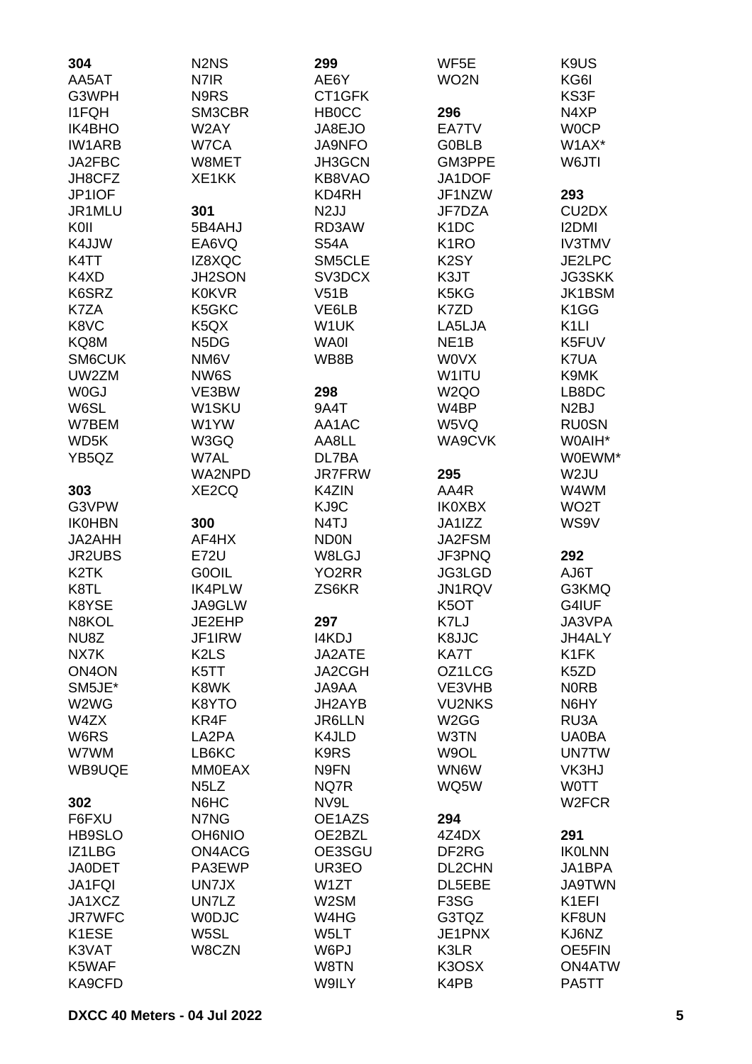| 304                | N <sub>2</sub> N <sub>S</sub> | 299                | WF5E              | K <sub>9</sub> U <sub>S</sub>  |
|--------------------|-------------------------------|--------------------|-------------------|--------------------------------|
| AA5AT              | N7IR                          | AE6Y               | WO <sub>2</sub> N | KG6I                           |
| G3WPH              | N9RS                          | CT1GFK             |                   | KS3F                           |
| <b>I1FQH</b>       | SM3CBR                        | <b>HBOCC</b>       | 296               | N4XP                           |
| IK4BHO             | W2AY                          | JA8EJO             | EA7TV             | <b>WOCP</b>                    |
| <b>IW1ARB</b>      | W7CA                          | JA9NFO             | <b>G0BLB</b>      | W1AX*                          |
| JA2FBC             | W8MET                         | JH3GCN             | GM3PPE            | W6JTI                          |
| JH8CFZ             | XE1KK                         | KB8VAO             | JA1DOF            |                                |
| JP1IOF             |                               | KD4RH              | JF1NZW            | 293                            |
| JR1MLU             | 301                           | N <sub>2</sub> JJ  | JF7DZA            | CU <sub>2</sub> D <sub>X</sub> |
| KOII               | 5B4AHJ                        | RD3AW              | K <sub>1</sub> DC | <b>I2DMI</b>                   |
| K4JJW              | EA6VQ                         | <b>S54A</b>        | K <sub>1</sub> RO | <b>IV3TMV</b>                  |
| K4TT               | IZ8XQC                        | SM5CLE             | K <sub>2</sub> SY | JE2LPC                         |
| K4XD               | <b>JH2SON</b>                 | SV3DCX             | K3JT              | <b>JG3SKK</b>                  |
| K6SRZ              | <b>K0KVR</b>                  | V51B               | K5KG              | JK1BSM                         |
| K7ZA               | K5GKC                         | VE6LB              | K7ZD              | K <sub>1</sub> GG              |
| K8VC               | K <sub>5</sub> QX             | W1UK               | LA5LJA            | K <sub>1</sub> LI              |
| KQ8M               | N <sub>5</sub> D <sub>G</sub> | <b>WA0I</b>        | NE <sub>1</sub> B | K5FUV                          |
| SM6CUK             | NM6V                          | WB8B               | <b>WOVX</b>       | K7UA                           |
| UW2ZM              | NW6S                          |                    | W1ITU             | K9MK                           |
| <b>W0GJ</b>        | VE3BW                         | 298                | W <sub>2Q</sub> O | LB8DC                          |
| W6SL               | W1SKU                         | 9A4T               | W4BP              | N <sub>2</sub> BJ              |
| W7BEM              | W1YW                          | AA1AC              | W5VQ              | <b>RU0SN</b>                   |
| WD <sub>5</sub> K  | W3GQ                          | AA8LL              | WA9CVK            | W0AIH*                         |
| YB5QZ              | W7AL                          | DL7BA              |                   | W0EWM*                         |
|                    | WA2NPD                        | <b>JR7FRW</b>      | 295               | W2JU                           |
| 303                | XE2CQ                         | K4ZIN              | AA4R              | W4WM                           |
| G3VPW              |                               | KJ9C               | <b>IK0XBX</b>     | WO <sub>2</sub> T              |
| <b>IK0HBN</b>      | 300                           | N4TJ               | JA1IZZ            | WS9V                           |
| JA2AHH             | AF4HX                         | <b>ND0N</b>        | JA2FSM            |                                |
| JR2UBS             | <b>E72U</b>                   | W8LGJ              | JF3PNQ            | 292                            |
| K <sub>2</sub> TK  | G0OIL                         | YO <sub>2</sub> RR | JG3LGD            | AJ6T                           |
| K8TL               | <b>IK4PLW</b>                 | ZS6KR              | JN1RQV            | G3KMQ                          |
| K8YSE              | JA9GLW                        |                    | K <sub>5</sub> OT | G4IUF                          |
| N8KOL              | JE2EHP                        | 297                | K7LJ              | JA3VPA                         |
| NU8Z               | JF1IRW                        | I4KDJ              | K8JJC             | JH4ALY                         |
| NX7K               | K <sub>2</sub> L <sub>S</sub> | JA2ATE             | KA7T              | K <sub>1</sub> FK              |
| ON <sub>4</sub> ON | K5TT                          | JA2CGH             | OZ1LCG            | K <sub>5</sub> ZD              |
| SM5JE*             | K8WK                          | JA9AA              | VE3VHB            | <b>NORB</b>                    |
| W2WG               | K8YTO                         | JH2AYB             | <b>VU2NKS</b>     | N6HY                           |
| W4ZX               | KR4F                          | <b>JR6LLN</b>      | W <sub>2</sub> GG | RU3A                           |
| W6RS               | LA2PA                         | K4JLD              | W3TN              | <b>UA0BA</b>                   |
| W7WM               | LB6KC                         | K9RS               | W9OL              | <b>UN7TW</b>                   |
| WB9UQE             | <b>MM0EAX</b>                 | N9FN               | WN6W              | VK3HJ                          |
|                    | N <sub>5</sub> L <sub>Z</sub> | NQ7R               | WQ5W              | <b>WOTT</b>                    |
| 302                | N6HC                          | NV9L               |                   | W <sub>2</sub> FCR             |
| F6FXU              | N7NG                          | OE1AZS             | 294               |                                |
| <b>HB9SLO</b>      | <b>OH6NIO</b>                 | OE2BZL             | 4Z4DX             | 291                            |
| IZ1LBG             | ON4ACG                        | OE3SGU             | DF2RG             | <b>IKOLNN</b>                  |
| <b>JA0DET</b>      | PA3EWP                        | UR3EO              | DL2CHN            | JA1BPA                         |
| JA1FQI             | UN7JX                         | W <sub>1</sub> ZT  | DL5EBE            | <b>JA9TWN</b>                  |
| JA1XCZ             | UN7LZ                         | W2SM               | F <sub>3</sub> SG | K <sub>1</sub> EFI             |
| <b>JR7WFC</b>      | <b>WODJC</b>                  | W4HG               | G3TQZ             | KF8UN                          |
| K1ESE              | W5SL                          | W5LT               | JE1PNX            | KJ6NZ                          |
| K3VAT              | W8CZN                         | W6PJ               | K3LR              | OE5FIN                         |
| K5WAF              |                               | W8TN               | K3OSX             | <b>ON4ATW</b>                  |
| KA9CFD             |                               | W9ILY              | K4PB              | PA5TT                          |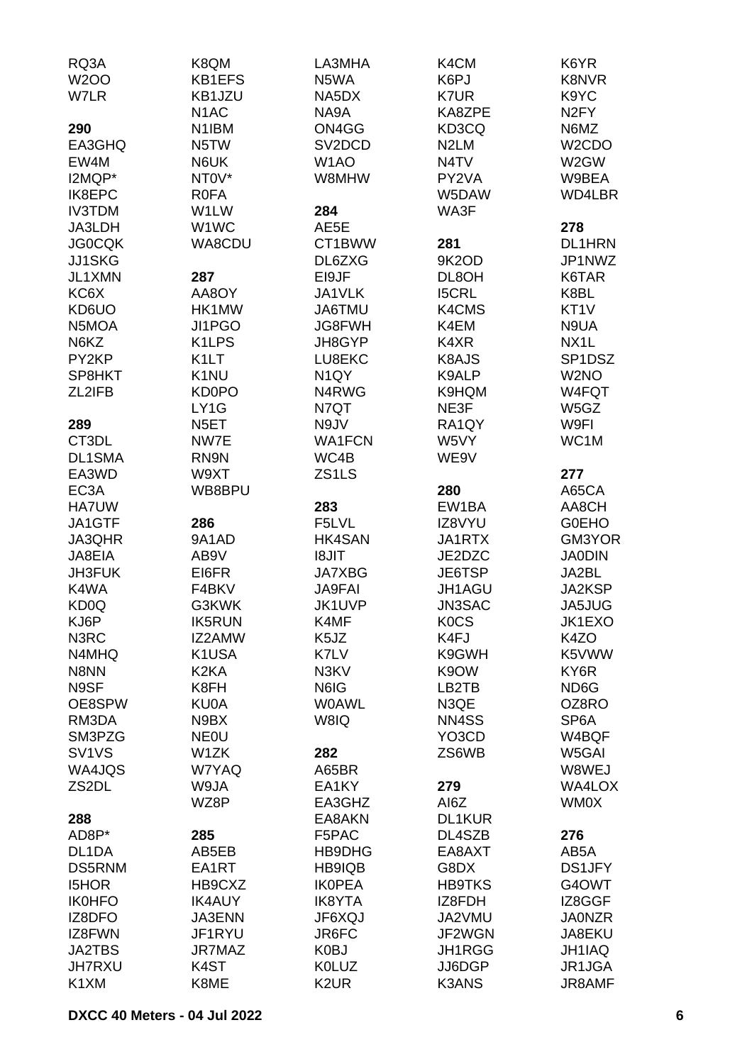| RQ3A                           | K8QM               | LA3MHA              | K4CM              | K6YR                |
|--------------------------------|--------------------|---------------------|-------------------|---------------------|
| <b>W2OO</b>                    | KB1EFS             | N5WA                | K6PJ              | K8NVR               |
| W7LR                           | KB1JZU             | NA5DX               | K7UR              | K9YC                |
|                                | N <sub>1</sub> AC  | NA9A                | KA8ZPE            | N <sub>2</sub> FY   |
| 290                            | N <sub>1</sub> IBM | ON4GG               | KD3CQ             | N6MZ                |
| EA3GHQ                         | N5TW               | SV <sub>2</sub> DCD | N <sub>2</sub> LM | W <sub>2</sub> CDO  |
| EW4M                           | N6UK               | W <sub>1</sub> AO   | N4TV              | W2GW                |
| I2MQP*                         | NT0V*              | W8MHW               | PY2VA             | W9BEA               |
| IK8EPC                         | <b>ROFA</b>        |                     | W5DAW             | WD4LBR              |
| <b>IV3TDM</b>                  | W1LW               | 284                 | WA3F              |                     |
| JA3LDH                         | W1WC               | AE5E                |                   | 278                 |
| <b>JG0CQK</b>                  | WA8CDU             | CT1BWW              | 281               | <b>DL1HRN</b>       |
| JJ1SKG                         |                    | DL6ZXG              | 9K2OD             | JP1NWZ              |
| JL1XMN                         | 287                |                     |                   | K6TAR               |
|                                |                    | EI9JF               | DL8OH             |                     |
| KC6X                           | AA8OY              | JA1VLK              | <b>I5CRL</b>      | K8BL                |
| KD6UO                          | HK1MW              | JA6TMU              | K4CMS             | KT <sub>1</sub> V   |
| N5MOA                          | JI1PGO             | <b>JG8FWH</b>       | K4EM              | N9UA                |
| N6KZ                           | K1LPS              | JH8GYP              | K4XR              | NX <sub>1</sub> L   |
| PY2KP                          | K <sub>1</sub> LT  | LU8EKC              | K8AJS             | SP <sub>1</sub> DSZ |
| SP8HKT                         | K <sub>1</sub> NU  | N <sub>1</sub> QY   | K9ALP             | W <sub>2</sub> NO   |
| ZL2IFB                         | <b>KD0PO</b>       | N4RWG               | K9HQM             | W4FQT               |
|                                | LY1G               | N7QT                | NE3F              | W5GZ                |
| 289                            | N <sub>5</sub> ET  | N9JV                | RA1QY             | W9FI                |
| CT3DL                          | NW7E               | <b>WA1FCN</b>       | W5VY              | WC1M                |
| DL1SMA                         | RN9N               | WC4B                | WE9V              |                     |
| EA3WD                          | W9XT               | ZS <sub>1</sub> LS  |                   | 277                 |
| EC <sub>3</sub> A              | WB8BPU             |                     | 280               | A65CA               |
| <b>HA7UW</b>                   |                    | 283                 | EW1BA             | AA8CH               |
| JA1GTF                         | 286                | F5LVL               | IZ8VYU            | <b>G0EHO</b>        |
| JA3QHR                         | 9A1AD              | <b>HK4SAN</b>       | JA1RTX            | GM3YOR              |
| JA8EIA                         | AB9V               | <b>TIL8I</b>        | JE2DZC            | <b>JA0DIN</b>       |
| JH3FUK                         | EI6FR              | <b>JA7XBG</b>       | JE6TSP            | JA2BL               |
| K4WA                           | F4BKV              | <b>JA9FAI</b>       | JH1AGU            | JA2KSP              |
| KD <sub>0</sub> Q              | G3KWK              | JK1UVP              | <b>JN3SAC</b>     | JA5JUG              |
| KJ6P                           | <b>IK5RUN</b>      | K4MF                | <b>KOCS</b>       | JK1EXO              |
| N3RC                           | IZ2AMW             | K5JZ                | K4FJ              | K4ZO                |
| N4MHQ                          | K1USA              | K7LV                | K9GWH             | K5VWW               |
| N8NN                           | K <sub>2</sub> KA  | N3KV                | K9OW              | KY6R                |
| N9SF                           | K8FH               | N6IG                | LB2TB             | ND <sub>6</sub> G   |
| OE8SPW                         | KU0A               | <b>WOAWL</b>        | N3QE              | OZ8RO               |
| RM3DA                          | N9BX               | W8IQ                | NN4SS             | SP <sub>6</sub> A   |
| SM3PZG                         | <b>NEOU</b>        |                     | YO3CD             | W4BQF               |
| SV <sub>1</sub> V <sub>S</sub> | W1ZK               | 282                 | ZS6WB             | W5GAI               |
| WA4JQS                         |                    |                     |                   |                     |
|                                | W7YAQ              | A65BR               |                   | W8WEJ               |
| ZS <sub>2</sub> DL             | W9JA               | EA1KY               | 279               | WA4LOX              |
|                                | WZ8P               | EA3GHZ              | AI6Z              | WM0X                |
| 288                            |                    | EA8AKN              | DL1KUR            |                     |
| AD8P*                          | 285                | F5PAC               | DL4SZB            | 276                 |
| DL1DA                          | AB5EB              | HB9DHG              | EA8AXT            | AB5A                |
| DS5RNM                         | EA1RT              | HB9IQB              | G8DX              | <b>DS1JFY</b>       |
| <b>I5HOR</b>                   | HB9CXZ             | <b>IKOPEA</b>       | <b>HB9TKS</b>     | G4OWT               |
| <b>IK0HFO</b>                  | <b>IK4AUY</b>      | <b>IK8YTA</b>       | IZ8FDH            | IZ8GGF              |
| IZ8DFO                         | <b>JA3ENN</b>      | JF6XQJ              | JA2VMU            | <b>JA0NZR</b>       |
| IZ8FWN                         | JF1RYU             | JR6FC               | JF2WGN            | JA8EKU              |
| <b>JA2TBS</b>                  | JR7MAZ             | K0BJ                | JH1RGG            | JH1IAQ              |
| <b>JH7RXU</b>                  | K <sub>4</sub> ST  | <b>K0LUZ</b>        | JJ6DGP            | JR1JGA              |
| K1XM                           | K8ME               | K <sub>2</sub> UR   | <b>K3ANS</b>      | JR8AMF              |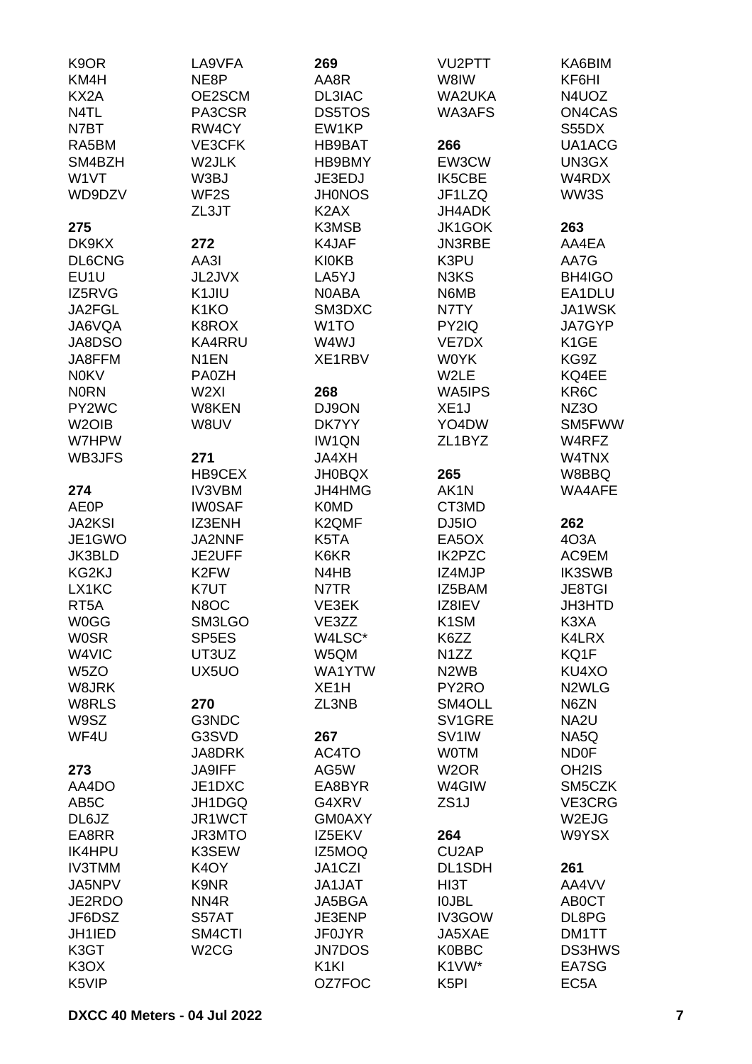| K <sub>9</sub> OR             | LA9VFA             | 269                           | VU2PTT                        | KA6BIM             |
|-------------------------------|--------------------|-------------------------------|-------------------------------|--------------------|
| KM4H                          | NE8P               | AA8R                          | W8IW                          | KF6HI              |
| KX <sub>2</sub> A             | OE2SCM             | DL3IAC                        | <b>WA2UKA</b>                 | N4UOZ              |
| N <sub>4</sub> TL             | PA3CSR             | <b>DS5TOS</b>                 | WA3AFS                        | ON4CAS             |
| N7BT                          | RW4CY              | EW1KP                         |                               | S55DX              |
| RA5BM                         | VE3CFK             | HB9BAT                        | 266                           | UA1ACG             |
| SM4BZH                        | W2JLK              | HB9BMY                        | EW3CW                         | UN3GX              |
| W1VT                          | W3BJ               | JE3EDJ                        | <b>IK5CBE</b>                 | W4RDX              |
| WD9DZV                        | WF <sub>2</sub> S  | <b>JH0NOS</b>                 | JF1LZQ                        | WW3S               |
|                               | ZL3JT              | K <sub>2</sub> A <sub>X</sub> | <b>JH4ADK</b>                 |                    |
| 275                           |                    | K3MSB                         | <b>JK1GOK</b>                 | 263                |
| DK9KX                         | 272                | K4JAF                         | <b>JN3RBE</b>                 | AA4EA              |
| <b>DL6CNG</b>                 | AA3I               | <b>KI0KB</b>                  | K3PU                          | AA7G               |
| EU1U                          | JL2JVX             | LA5YJ                         | N3KS                          | BH4IGO             |
| IZ5RVG                        | K1JIU              | <b>NOABA</b>                  | N6MB                          | EA1DLU             |
| JA2FGL                        | K <sub>1</sub> KO  | SM3DXC                        | N7TY                          | JA1WSK             |
| JA6VQA                        | K8ROX              | W <sub>1</sub> TO             | PY2IQ                         | JA7GYP             |
| JA8DSO                        | <b>KA4RRU</b>      | W4WJ                          | VE7DX                         | K <sub>1</sub> GE  |
| JA8FFM                        | N <sub>1</sub> EN  | XE1RBV                        | <b>WOYK</b>                   | KG9Z               |
| <b>N0KV</b>                   | <b>PA0ZH</b>       |                               | W2LE                          | KQ4EE              |
| <b>NORN</b>                   | W <sub>2XI</sub>   | 268                           | WA5IPS                        | KR6C               |
| PY2WC                         | W8KEN              | DJ9ON                         | XE <sub>1</sub> J             | <b>NZ3O</b>        |
| W <sub>2</sub> OIB            | W8UV               | DK7YY                         | YO4DW                         | SM5FWW             |
| W7HPW                         |                    | <b>IW1QN</b>                  | ZL1BYZ                        | W4RFZ              |
| WB3JFS                        | 271                | JA4XH                         |                               | W4TNX              |
|                               | HB9CEX             | <b>JH0BQX</b>                 | 265                           | W8BBQ              |
| 274                           | <b>IV3VBM</b>      | JH4HMG                        | AK1N                          | WA4AFE             |
| <b>AE0P</b>                   | <b>IW0SAF</b>      | <b>K0MD</b>                   | CT3MD                         |                    |
| <b>JA2KSI</b>                 | IZ3ENH             | K2QMF                         | DJ5IO                         | 262                |
| JE1GWO                        | JA2NNF             | K5TA                          | EA5OX                         | 403A               |
| JK3BLD                        | JE2UFF             | K6KR                          | <b>IK2PZC</b>                 | AC9EM              |
| KG2KJ                         | K <sub>2</sub> FW  | N4HB                          | IZ4MJP                        | <b>IK3SWB</b>      |
| LX1KC                         | K7UT               | N7TR                          | IZ5BAM                        | <b>JE8TGI</b>      |
| RT <sub>5</sub> A             | N8OC               | VE3EK                         | IZ8IEV                        | JH3HTD             |
| <b>W0GG</b>                   | SM3LGO             | VE3ZZ                         | K <sub>1</sub> SM             | K3XA               |
| <b>WOSR</b>                   | SP <sub>5</sub> ES | W4LSC*                        | K6ZZ                          | K4LRX              |
| W4VIC                         | UT3UZ              | W5QM                          | N <sub>1</sub> ZZ             | KQ1F               |
| W <sub>5</sub> ZO             | UX5UO              | WA1YTW                        | N <sub>2</sub> W <sub>B</sub> | KU4XO              |
| W8JRK                         |                    | XE <sub>1</sub> H             | PY2RO                         | N <sub>2</sub> WLG |
| W8RLS                         | 270                | ZL3NB                         | SM4OLL                        | N6ZN               |
| W9SZ                          | G3NDC              |                               | SV1GRE                        | NA <sub>2U</sub>   |
| WF4U                          | G3SVD              | 267                           | SV <sub>1</sub> IW            | NA5Q               |
|                               | JA8DRK             | AC4TO                         | <b>WOTM</b>                   | <b>ND0F</b>        |
| 273                           | <b>JA9IFF</b>      | AG5W                          | W <sub>2</sub> OR             | OH <sub>2</sub> IS |
| AA4DO                         | JE1DXC             | EA8BYR                        | W4GIW                         | SM5CZK             |
| AB <sub>5</sub> C             | JH1DGQ             | G4XRV                         | ZS <sub>1</sub> J             | VE3CRG             |
| DL6JZ                         | JR1WCT             | <b>GM0AXY</b>                 |                               | W2EJG              |
| EA8RR                         | JR3MTO             | IZ5EKV                        | 264                           | W9YSX              |
| <b>IK4HPU</b>                 | K3SEW              | IZ5MOQ                        | CU <sub>2</sub> AP            |                    |
| <b>IV3TMM</b>                 | K <sub>4</sub> OY  | JA1CZI                        | DL1SDH                        | 261                |
|                               |                    | JA1JAT                        |                               | AA4VV              |
| JA5NPV<br>JE2RDO              | K9NR<br>NN4R       | JA5BGA                        | HI3T<br><b>IOJBL</b>          | AB0CT              |
| JF6DSZ                        | S57AT              | JE3ENP                        | IV3GOW                        | DL8PG              |
| JH1IED                        | SM4CTI             | <b>JF0JYR</b>                 | JA5XAE                        | DM1TT              |
| K3GT                          | W <sub>2</sub> CG  | <b>JN7DOS</b>                 | <b>K0BBC</b>                  | <b>DS3HWS</b>      |
| K <sub>3</sub> O <sub>X</sub> |                    | K <sub>1KI</sub>              | K1VW*                         | EA7SG              |
| K5VIP                         |                    | OZ7FOC                        | K <sub>5</sub> PI             | EC <sub>5</sub> A  |
|                               |                    |                               |                               |                    |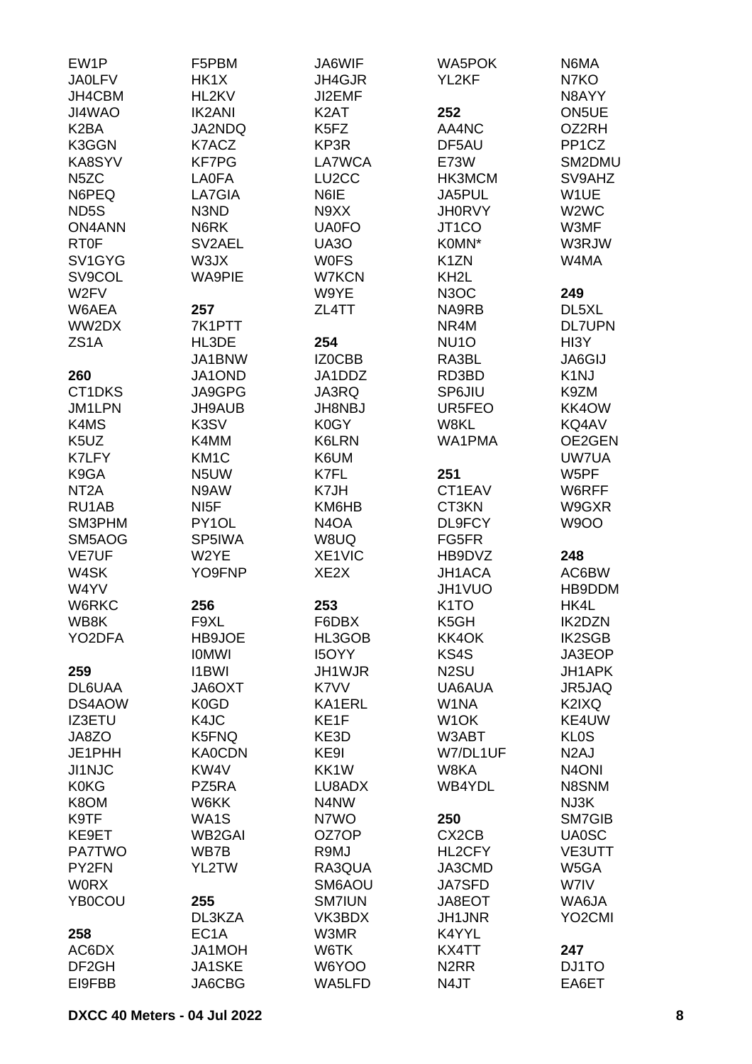| EW1P                            | F5PBM                         | JA6WIF             | <b>WA5POK</b>      | N6MA                |
|---------------------------------|-------------------------------|--------------------|--------------------|---------------------|
| <b>JA0LFV</b>                   | HK1X                          | JH4GJR             | YL2KF              | N7KO                |
| JH4CBM                          | HL2KV                         | JI2EMF             |                    | N8AYY               |
| JI4WAO                          | <b>IK2ANI</b>                 | K <sub>2</sub> AT  | 252                | ON5UE               |
| K <sub>2</sub> BA               | JA2NDQ                        | K5FZ               | AA4NC              | OZ2RH               |
| K3GGN                           | K7ACZ                         | KP3R               | DF5AU              | PP <sub>1</sub> CZ  |
| KA8SYV                          | <b>KF7PG</b>                  | LA7WCA             | E73W               | SM2DMU              |
| N <sub>5</sub> ZC               | <b>LA0FA</b>                  | LU <sub>2</sub> CC | HK3MCM             | SV9AHZ              |
| N6PEQ                           | LA7GIA                        | N6IE               | JA5PUL             | W1UE                |
| ND5S                            | N3ND                          | N9XX               | <b>JH0RVY</b>      | W2WC                |
| <b>ON4ANN</b>                   | N6RK                          | <b>UA0FO</b>       | JT <sub>1</sub> CO | W3MF                |
| <b>RT0F</b>                     | SV2AEL                        | <b>UA30</b>        | K0MN*              | W3RJW               |
| SV <sub>1</sub> GY <sub>G</sub> | W3JX                          | <b>WOFS</b>        | K <sub>1</sub> ZN  | W4MA                |
| SV9COL                          | <b>WA9PIE</b>                 | W7KCN              | KH <sub>2</sub> L  |                     |
| W <sub>2</sub> FV               |                               | W9YE               | N <sub>3</sub> OC  | 249                 |
| W6AEA                           | 257                           | ZL4TT              | NA9RB              | DL5XL               |
| WW2DX                           | 7K1PTT                        |                    | NR4M               | <b>DL7UPN</b>       |
| ZS <sub>1</sub> A               | HL3DE                         | 254                | <b>NU10</b>        | HI3Y                |
|                                 | JA1BNW                        | IZ0CBB             | RA3BL              | JA6GIJ              |
| 260                             | JA1OND                        | JA1DDZ             | RD3BD              | K <sub>1</sub> NJ   |
| CT1DKS                          | JA9GPG                        | JA3RQ              | <b>SP6JIU</b>      | K9ZM                |
| JM1LPN                          | <b>JH9AUB</b>                 | <b>JH8NBJ</b>      | UR5FEO             | KK4OW               |
| K4MS                            | K3SV                          | K0GY               | W8KL               | KQ4AV               |
| K <sub>5</sub> U <sub>Z</sub>   | K4MM                          | K6LRN              | WA1PMA             | OE2GEN              |
| K7LFY                           | KM <sub>1</sub> C             | K6UM               |                    | UW7UA               |
| K9GA                            | N5UW                          | K7FL               | 251                | W5PF                |
| NT <sub>2</sub> A               | N9AW                          | K7JH               | CT1EAV             | W6RFF               |
| RU1AB                           | NI <sub>5</sub> F             | KM6HB              | CT3KN              | W9GXR               |
| SM3PHM                          | PY1OL                         | N <sub>4</sub> OA  | DL9FCY             | <b>W9OO</b>         |
| SM5AOG                          | SP5IWA                        | W8UQ               | FG5FR              |                     |
| <b>VE7UF</b>                    | W2YE                          | XE1VIC             | HB9DVZ             | 248                 |
| W4SK                            | YO9FNP                        | XE2X               | JH1ACA             | AC6BW               |
| W4YV                            |                               |                    | JH1VUO             | HB9DDM              |
| W6RKC                           | 256                           | 253                | K <sub>1</sub> TO  | HK4L                |
| WB8K                            | F9XL                          | F6DBX              | K5GH               | <b>IK2DZN</b>       |
| YO2DFA                          | <b>HB9JOE</b>                 | HL3GOB             | KK4OK              | <b>IK2SGB</b>       |
|                                 | <b>IOMWI</b>                  | <b>I5OYY</b>       | KS4S               | JA3EOP              |
| 259                             | <b>I1BWI</b>                  | JH1WJR             | N <sub>2</sub> SU  | <b>JH1APK</b>       |
| DL6UAA                          | <b>JA6OXT</b>                 | K7VV               | UA6AUA             | JR5JAQ              |
| DS4AOW                          | K <sub>0</sub> G <sub>D</sub> | KA1ERL             | W <sub>1</sub> NA  | K2IXQ               |
| <b>IZ3ETU</b>                   | K4JC                          | KE <sub>1</sub> F  | W <sub>1</sub> OK  | KE4UW               |
| JA8ZO                           | K5FNQ                         | KE3D               | W3ABT              | <b>KLOS</b>         |
| JE1PHH                          | <b>KA0CDN</b>                 | KE9I               | W7/DL1UF           | N <sub>2</sub> AJ   |
| JI1NJC                          | KW4V                          | KK1W               | W8KA               | N <sub>4</sub> ONI  |
| <b>K0KG</b>                     | PZ5RA                         | LU8ADX             | WB4YDL             | N8SNM               |
| K8OM                            | W6KK                          | N4NW               |                    | NJ3K                |
| K9TF                            | WA1S                          | N7WO               | 250                | SM7GIB              |
| KE9ET                           | <b>WB2GAI</b>                 | OZ7OP              | CX <sub>2</sub> CB | <b>UA0SC</b>        |
| <b>PA7TWO</b>                   | WB7B                          | R9MJ               | HL2CFY             | VE3UTT              |
| PY2FN                           | YL2TW                         | RA3QUA             | JA3CMD             | W5GA                |
| <b>WORX</b>                     |                               | SM6AOU             | <b>JA7SFD</b>      | W7IV                |
| YB0COU                          | 255                           | <b>SM7IUN</b>      | JA8EOT             | WA6JA               |
|                                 | DL3KZA                        | VK3BDX             | <b>JH1JNR</b>      | YO <sub>2</sub> CMI |
| 258                             | EC <sub>1</sub> A             | W3MR               | K4YYL              |                     |
| AC6DX                           | JA1MOH                        | W6TK               | KX4TT              | 247                 |
| DF <sub>2GH</sub>               | JA1SKE                        | W6YOO              | N <sub>2</sub> RR  | DJ1TO               |
| EI9FBB                          | JA6CBG                        | WA5LFD             | N4JT               | EA6ET               |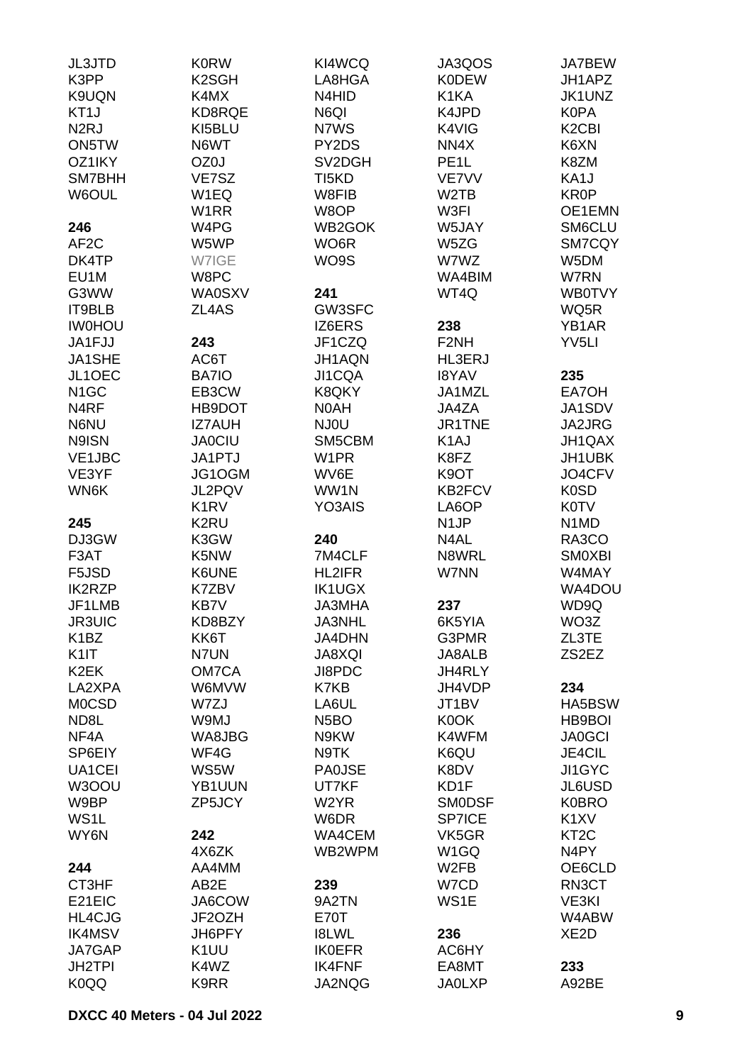| <b>JL3JTD</b>     | <b>K0RW</b>                   | KI4WCQ             | JA3QOS            | JA7BEW                         |
|-------------------|-------------------------------|--------------------|-------------------|--------------------------------|
| K3PP              | K <sub>2</sub> SGH            | LA8HGA             | <b>K0DEW</b>      | JH1APZ                         |
| K9UQN             | K4MX                          | N4HID              | K1KA              | JK1UNZ                         |
| KT <sub>1</sub> J | KD8RQE                        | N6QI               | K4JPD             | <b>K0PA</b>                    |
| N <sub>2</sub> RJ | KI5BLU                        | N7WS               | K4VIG             | K <sub>2</sub> C <sub>BI</sub> |
| ON5TW             | N6WT                          | PY2DS              | NN4X              | K6XN                           |
|                   |                               |                    |                   |                                |
| OZ1IKY            | OZ0J                          | SV2DGH             | PE <sub>1</sub> L | K8ZM                           |
| SM7BHH            | VE7SZ                         | TI <sub>5</sub> KD | VE7VV             | KA1J                           |
| W6OUL             | W1EQ                          | W8FIB              | W <sub>2</sub> TB | KR0P                           |
|                   | W1RR                          | W8OP               | W3FI              | OE1EMN                         |
| 246               | W4PG                          | WB2GOK             | W5JAY             | SM6CLU                         |
| AF <sub>2</sub> C | W5WP                          | WO <sub>6</sub> R  | W5ZG              | SM7CQY                         |
| DK4TP             | W7IGE                         | WO9S               | W7WZ              | W5DM                           |
| EU1M              | W8PC                          |                    | WA4BIM            | W7RN                           |
| G3WW              | <b>WA0SXV</b>                 | 241                | WT4Q              | <b>WB0TVY</b>                  |
| IT9BLB            | ZL4AS                         | GW3SFC             |                   | WQ5R                           |
| <b>IWOHOU</b>     |                               | IZ6ERS             | 238               | YB1AR                          |
| JA1FJJ            | 243                           | JF1CZQ             | F <sub>2</sub> NH | YV5LI                          |
| JA1SHE            | AC6T                          | JH1AQN             | HL3ERJ            |                                |
|                   |                               |                    |                   |                                |
| JL1OEC            | BA7IO                         | JI1CQA             | <b>I8YAV</b>      | 235                            |
| N <sub>1</sub> GC | EB3CW                         | K8QKY              | JA1MZL            | EA7OH                          |
| N4RF              | HB9DOT                        | N0AH               | JA4ZA             | JA1SDV                         |
| N6NU              | <b>IZ7AUH</b>                 | NJ0U               | JR1TNE            | JA2JRG                         |
| N9ISN             | <b>JA0CIU</b>                 | SM5CBM             | K <sub>1</sub> AJ | JH1QAX                         |
| VE1JBC            | JA1PTJ                        | W1PR               | K8FZ              | JH1UBK                         |
| VE3YF             | JG1OGM                        | WV6E               | K <sub>9</sub> OT | JO4CFV                         |
| WN6K              | JL2PQV                        | WW1N               | KB2FCV            | K <sub>0</sub> SD              |
|                   | K <sub>1</sub> R <sub>V</sub> | YO3AIS             | LA6OP             | <b>K0TV</b>                    |
| 245               | K2RU                          |                    | N <sub>1</sub> JP | N1MD                           |
| DJ3GW             | K3GW                          | 240                | N4AL              | RA3CO                          |
| F3AT              | K5NW                          | 7M4CLF             | N8WRL             | <b>SMOXBI</b>                  |
| F5JSD             | K6UNE                         | HL2IFR             | W7NN              | W4MAY                          |
| <b>IK2RZP</b>     | K7ZBV                         | <b>IK1UGX</b>      |                   | WA4DOU                         |
| JF1LMB            | KB7V                          | JA3MHA             | 237               | WD9Q                           |
|                   |                               |                    |                   |                                |
| <b>JR3UIC</b>     | KD8BZY                        | JA3NHL             | 6K5YIA            | WO3Z                           |
| K <sub>1</sub> BZ | KK6T                          | <b>JA4DHN</b>      | G3PMR             | ZL3TE                          |
| K <sub>1</sub>    | N7UN                          | JA8XQI             | JA8ALB            | ZS2EZ                          |
| K <sub>2</sub> EK | OM7CA                         | JI8PDC             | JH4RLY            |                                |
| LA2XPA            | W6MVW                         | K7KB               | JH4VDP            | 234                            |
| <b>MOCSD</b>      | W7ZJ                          | LA6UL              | JT1BV             | HA5BSW                         |
| ND8L              | W9MJ                          | N <sub>5</sub> BO  | K0OK              | HB9BOI                         |
| NF4A              | WA8JBG                        | N9KW               | K4WFM             | <b>JA0GCI</b>                  |
| SP6EIY            | WF4G                          | N9TK               | K6QU              | JE4CIL                         |
| UA1CEI            | WS5W                          | <b>PA0JSE</b>      | K8DV              | <b>JI1GYC</b>                  |
| W3OOU             | YB1UUN                        | UT7KF              | KD1F              | JL6USD                         |
| W9BP              | ZP5JCY                        | W <sub>2</sub> YR  | <b>SMODSF</b>     | <b>K0BRO</b>                   |
| WS1L              |                               | W6DR               | <b>SP7ICE</b>     | K <sub>1</sub> XV              |
| WY6N              | 242                           | WA4CEM             | VK5GR             | KT <sub>2</sub> C              |
|                   | 4X6ZK                         | WB2WPM             | W <sub>1</sub> GQ | N4PY                           |
| 244               | AA4MM                         |                    | W <sub>2</sub> FB | OE6CLD                         |
| CT3HF             | AB2E                          | 239                | W7CD              | RN3CT                          |
|                   |                               |                    |                   |                                |
| E21EIC            | JA6COW                        | 9A2TN              | WS1E              | VE3KI                          |
| <b>HL4CJG</b>     | JF2OZH                        | E70T               |                   | W4ABW                          |
| <b>IK4MSV</b>     | JH6PFY                        | <b>I8LWL</b>       | 236               | XE <sub>2</sub> D              |
| JA7GAP            | K <sub>1</sub> UU             | <b>IK0EFR</b>      | AC6HY             |                                |
| <b>JH2TPI</b>     | K4WZ                          | <b>IK4FNF</b>      | EA8MT             | 233                            |
| K <sub>0</sub> QQ | K9RR                          | JA2NQG             | <b>JA0LXP</b>     | A92BE                          |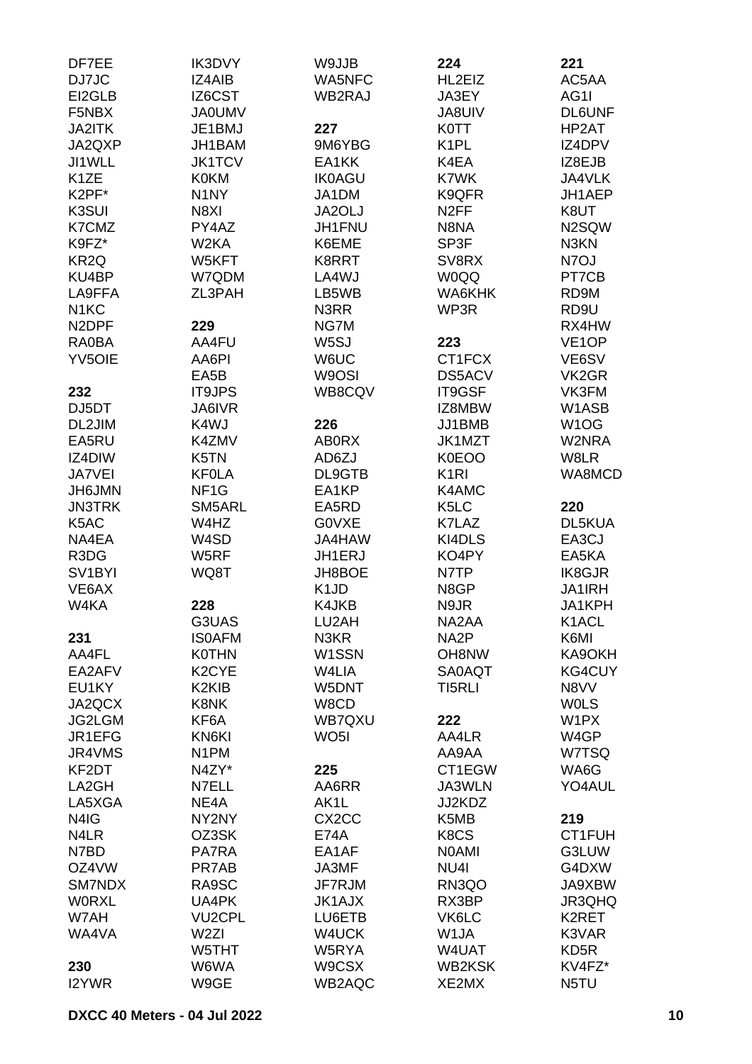| DF7EE               | <b>IK3DVY</b>      | W9JJB                         | 224               | 221                |
|---------------------|--------------------|-------------------------------|-------------------|--------------------|
| DJ7JC               | IZ4AIB             | <b>WA5NFC</b>                 | HL2EIZ            | AC5AA              |
| EI2GLB              | IZ6CST             | WB2RAJ                        | JA3EY             | AG1I               |
| F5NBX               | <b>JA0UMV</b>      |                               | <b>JA8UIV</b>     | <b>DL6UNF</b>      |
| <b>JA2ITK</b>       | JE1BMJ             | 227                           | <b>K0TT</b>       | HP2AT              |
| JA2QXP              | JH1BAM             | 9M6YBG                        | K <sub>1</sub> PL | IZ4DPV             |
| JI1WLL              | <b>JK1TCV</b>      | EA1KK                         | K4EA              | IZ8EJB             |
| K <sub>1</sub> ZE   | <b>K0KM</b>        | <b>IK0AGU</b>                 | K7WK              | JA4VLK             |
| K2PF*               | N <sub>1</sub> NY  | JA1DM                         | K9QFR             | JH1AEP             |
| K3SUI               | N8XI               | JA2OLJ                        | N <sub>2</sub> FF | K8UT               |
| K7CMZ               | PY4AZ              | JH1FNU                        | N8NA              | N2SQW              |
| K9FZ*               | W2KA               | K6EME                         | SP3F              | N3KN               |
|                     |                    |                               |                   | N7OJ               |
| KR <sub>2Q</sub>    | W5KFT              | K8RRT                         | SV8RX             |                    |
| KU4BP               | W7QDM              | LA4WJ                         | <b>W0QQ</b>       | PT7CB              |
| LA9FFA              | ZL3PAH             | LB5WB                         | WA6KHK            | RD9M               |
| N <sub>1</sub> KC   |                    | N3RR                          | WP3R              | RD9U               |
| N <sub>2</sub> DPF  | 229                | NG7M                          |                   | RX4HW              |
| RA0BA               | AA4FU              | W <sub>5</sub> SJ             | 223               | VE <sub>1</sub> OP |
| <b>YV5OIE</b>       | AA6PI              | W6UC                          | CT1FCX            | VE6SV              |
|                     | EA5B               | W9OSI                         | DS5ACV            | VK <sub>2</sub> GR |
| 232                 | <b>IT9JPS</b>      | WB8CQV                        | IT9GSF            | VK3FM              |
| DJ5DT               | JA6IVR             |                               | IZ8MBW            | W1ASB              |
| DL2JIM              | K4WJ               | 226                           | JJ1BMB            | W <sub>1</sub> OG  |
| EA5RU               | K4ZMV              | <b>ABORX</b>                  | JK1MZT            | W2NRA              |
| IZ4DIW              | K5TN               | AD6ZJ                         | K0EOO             | W8LR               |
| JA7VEI              | <b>KF0LA</b>       | DL9GTB                        | K <sub>1</sub> RI | WA8MCD             |
| <b>JH6JMN</b>       | NF <sub>1</sub> G  | EA1KP                         | K4AMC             |                    |
| <b>JN3TRK</b>       | SM5ARL             | EA5RD                         | K <sub>5</sub> LC | 220                |
| K5AC                | W4HZ               | <b>GOVXE</b>                  | K7LAZ             | DL5KUA             |
| NA4EA               | W4SD               | JA4HAW                        | KI4DLS            | EA3CJ              |
| R3DG                | W5RF               | JH1ERJ                        | KO4PY             | EA5KA              |
| SV <sub>1</sub> BYI | WQ8T               | JH8BOE                        | N7TP              | IK8GJR             |
| VE6AX               |                    | K <sub>1</sub> J <sub>D</sub> | N8GP              | JA1IRH             |
| W4KA                | 228                | K4JKB                         | N9JR              | JA1KPH             |
|                     | G3UAS              | LU2AH                         | NA2AA             | K1ACL              |
| 231                 | <b>ISOAFM</b>      | N3KR                          | NA <sub>2</sub> P | K6MI               |
| AA4FL               | <b>K0THN</b>       | W <sub>1</sub> SSN            | OH8NW             | KA9OKH             |
| EA2AFV              | K <sub>2</sub> CYE | W4LIA                         | <b>SA0AQT</b>     | KG4CUY             |
| EU1KY               | K2KIB              | W5DNT                         | TI5RLI            | N8VV               |
| JA2QCX              | K8NK               | W8CD                          |                   | <b>WOLS</b>        |
|                     |                    |                               |                   |                    |
| JG2LGM              | KF6A               | WB7QXU                        | 222               | W1PX               |
| JR1EFG              | KN6KI              | WO <sub>5</sub> I             | AA4LR             | W4GP               |
| JR4VMS              | N <sub>1</sub> PM  |                               | AA9AA             | W7TSQ              |
| KF2DT               | N4ZY*              | 225                           | CT1EGW            | WA6G               |
| LA2GH               | N7ELL              | AA6RR                         | JA3WLN            | YO4AUL             |
| LA5XGA              | NE4A               | AK1L                          | JJ2KDZ            |                    |
| N4IG                | NY2NY              | CX <sub>2</sub> CC            | K5MB              | 219                |
| N4LR                | OZ3SK              | <b>E74A</b>                   | K8CS              | CT1FUH             |
| N7BD                | <b>PA7RA</b>       | EA1AF                         | <b>NOAMI</b>      | G3LUW              |
| OZ4VW               | PR7AB              | JA3MF                         | NU <sub>4</sub>   | G4DXW              |
| SM7NDX              | RA9SC              | JF7RJM                        | RN3QO             | JA9XBW             |
| <b>WORXL</b>        | UA4PK              | <b>JK1AJX</b>                 | RX3BP             | JR3QHQ             |
| W7AH                | <b>VU2CPL</b>      | LU6ETB                        | VK6LC             | K2RET              |
| WA4VA               | W <sub>2ZI</sub>   | W4UCK                         | W1JA              | K3VAR              |
|                     | W5THT              | W5RYA                         | W4UAT             | KD <sub>5</sub> R  |
| 230                 | W6WA               | W9CSX                         | WB2KSK            | KV4FZ*             |
| I2YWR               | W9GE               | WB2AQC                        | XE2MX             | N5TU               |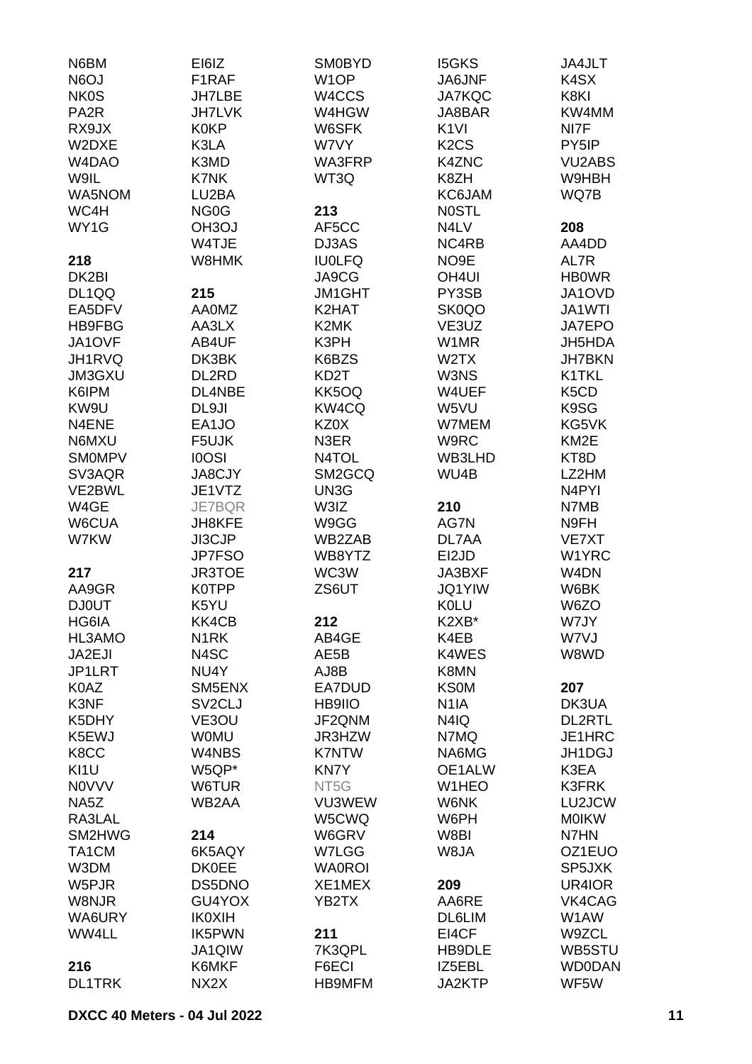| N6BM                            | EI6IZ               | <b>SM0BYD</b>     | <b>I5GKS</b>                  | JA4JLT                        |
|---------------------------------|---------------------|-------------------|-------------------------------|-------------------------------|
| N6OJ                            | F1RAF               | W <sub>1</sub> OP | JA6JNF                        | K4SX                          |
| <b>NK0S</b>                     | <b>JH7LBE</b>       | W4CCS             | <b>JA7KQC</b>                 | K8KI                          |
| PA <sub>2</sub> R               | <b>JH7LVK</b>       | W4HGW             | JA8BAR                        | KW4MM                         |
| RX9JX                           | <b>K0KP</b>         | W6SFK             | K <sub>1VI</sub>              | NI7F                          |
| W2DXE                           | K3LA                | W7VY              | K <sub>2</sub> C <sub>S</sub> | PY5IP                         |
| W <sub>4</sub> D <sub>A</sub> O | K3MD                | WA3FRP            | <b>K4ZNC</b>                  | <b>VU2ABS</b>                 |
| W9IL                            | <b>K7NK</b>         | WT3Q              | K8ZH                          | W9HBH                         |
| WA5NOM                          | LU2BA               |                   | KC6JAM                        | WQ7B                          |
| WC4H                            | NG <sub>0</sub> G   | 213               | <b>NOSTL</b>                  |                               |
| WY1G                            | OH <sub>3</sub> OJ  | AF5CC             | N4LV                          | 208                           |
|                                 | W4TJE               | DJ3AS             | NC4RB                         | AA4DD                         |
| 218                             | W8HMK               | <b>IU0LFQ</b>     | NO <sub>9</sub> E             | AL7R                          |
| DK2BI                           |                     | JA9CG             | OH <sub>4UI</sub>             | <b>HBOWR</b>                  |
|                                 |                     |                   |                               | JA1OVD                        |
| DL1QQ                           | 215                 | JM1GHT            | PY3SB                         |                               |
| EA5DFV                          | <b>AA0MZ</b>        | K2HAT             | SK0QO                         | JA1WTI                        |
| HB9FBG                          | AA3LX               | K2MK              | VE3UZ                         | <b>JA7EPO</b>                 |
| JA1OVF                          | AB4UF               | K3PH              | W1MR                          | JH5HDA                        |
| JH1RVQ                          | DK3BK               | K6BZS             | W <sub>2</sub> TX             | <b>JH7BKN</b>                 |
| JM3GXU                          | DL2RD               | KD <sub>2</sub> T | W3NS                          | K1TKL                         |
| K6IPM                           | DL4NBE              | KK5OQ             | W4UEF                         | K <sub>5</sub> C <sub>D</sub> |
| KW9U                            | DL9JI               | KW4CQ             | W5VU                          | K9SG                          |
| N4ENE                           | EA1JO               | KZ0X              | W7MEM                         | KG5VK                         |
| N6MXU                           | F5UJK               | N3ER              | W9RC                          | KM <sub>2</sub> E             |
| <b>SMOMPV</b>                   | <b>IOOSI</b>        | N4TOL             | WB3LHD                        | KT8D                          |
| SV3AQR                          | <b>JA8CJY</b>       | SM2GCQ            | WU4B                          | LZ2HM                         |
| VE2BWL                          | JE1VTZ              | UN3G              |                               | N4PYI                         |
| W4GE                            | <b>JE7BQR</b>       | W3IZ              | 210                           | N7MB                          |
| W6CUA                           | <b>JH8KFE</b>       | W9GG              | AG7N                          | N9FH                          |
| W7KW                            | JI3CJP              | WB2ZAB            | DL7AA                         | VE7XT                         |
|                                 | <b>JP7FSO</b>       | WB8YTZ            | EI2JD                         | W1YRC                         |
| 217                             | <b>JR3TOE</b>       | WC3W              | JA3BXF                        | W <sub>4</sub> DN             |
| AA9GR                           | K0TPP               | ZS6UT             | <b>JQ1YIW</b>                 | W6BK                          |
| <b>DJ0UT</b>                    | K5YU                |                   | <b>K0LU</b>                   | W6ZO                          |
| HG6IA                           | KK4CB               | 212               | K2XB*                         | W7JY                          |
| HL3AMO                          | N <sub>1</sub> RK   | AB4GE             | K4EB                          | W7VJ                          |
| JA2EJI                          | N4SC                | AE5B              | K4WES                         | W8WD                          |
| JP1LRT                          | NU4Y                | AJ8B              | K8MN                          |                               |
| K0AZ                            | SM5ENX              | EA7DUD            | <b>KS0M</b>                   | 207                           |
| K3NF                            | SV <sub>2</sub> CLJ | HB9IIO            | N <sub>1</sub> IA             | DK3UA                         |
| K5DHY                           | VE3OU               | JF2QNM            | N4IQ                          | <b>DL2RTL</b>                 |
| K5EWJ                           | <b>WOMU</b>         | JR3HZW            | N7MQ                          | JE1HRC                        |
| K8CC                            | W4NBS               | <b>K7NTW</b>      | NA6MG                         | JH1DGJ                        |
| KI1U                            | W5QP*               | <b>KN7Y</b>       | OE1ALW                        | K3EA                          |
| <b>NOVVV</b>                    | W6TUR               | NT5G              | W1HEO                         | <b>K3FRK</b>                  |
| NA <sub>5</sub> Z               | WB2AA               | VU3WEW            | W6NK                          | LU2JCW                        |
| RA3LAL                          |                     | W5CWQ             | W6PH                          | <b>MOIKW</b>                  |
| SM2HWG                          | 214                 | W6GRV             | W8BI                          | N7HN                          |
| TA1CM                           | 6K5AQY              | W7LGG             | W8JA                          | OZ1EUO                        |
| W3DM                            | <b>DK0EE</b>        | <b>WA0ROI</b>     |                               | SP5JXK                        |
| W5PJR                           | DS5DNO              | XE1MEX            | 209                           | UR4IOR                        |
|                                 |                     |                   |                               |                               |
| W8NJR                           | GU4YOX              | YB2TX             | AA6RE                         | VK4CAG                        |
| WA6URY                          | <b>IK0XIH</b>       |                   | DL6LIM                        | W1AW                          |
| WW4LL                           | <b>IK5PWN</b>       | 211               | EI4CF                         | W9ZCL                         |
|                                 | JA1QIW              | 7K3QPL            | HB9DLE                        | WB5STU                        |
| 216                             | K6MKF               | F6ECI             | IZ5EBL                        | <b>WD0DAN</b>                 |
| <b>DL1TRK</b>                   | NX <sub>2</sub> X   | HB9MFM            | JA2KTP                        | WF5W                          |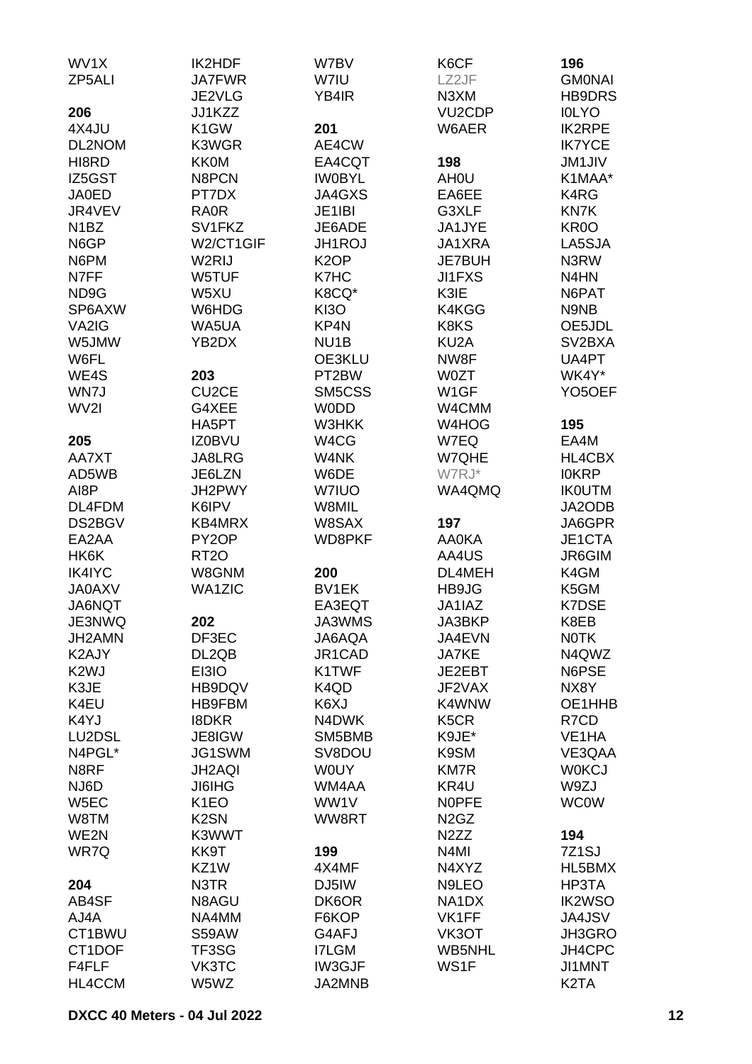| WV1X              | <b>IK2HDF</b>      | W7BV              | K6CF                          | 196                 |
|-------------------|--------------------|-------------------|-------------------------------|---------------------|
| ZP5ALI            | <b>JA7FWR</b>      | W7IU              | LZ2JF                         | <b>GMONAI</b>       |
|                   | JE2VLG             | YB4IR             | N <sub>3</sub> XM             | <b>HB9DRS</b>       |
| 206               | JJ1KZZ             |                   | VU <sub>2</sub> CDP           | <b>IOLYO</b>        |
| 4X4JU             | K <sub>1</sub> GW  | 201               | W6AER                         | <b>IK2RPE</b>       |
| DL2NOM            | K3WGR              | AE4CW             |                               | <b>IK7YCE</b>       |
| HI8RD             | <b>KK0M</b>        | EA4CQT            | 198                           | <b>JM1JIV</b>       |
| IZ5GST            | N8PCN              | <b>IWOBYL</b>     | AH <sub>0</sub> U             | K1MAA*              |
| <b>JA0ED</b>      | PT7DX              | JA4GXS            | EA6EE                         | K4RG                |
|                   |                    |                   |                               |                     |
| JR4VEV            | <b>RA0R</b>        | JE1IBI            | G3XLF                         | <b>KN7K</b>         |
| N <sub>1</sub> BZ | SV1FKZ             | JE6ADE            | JA1JYE                        | KR <sub>0</sub> O   |
| N6GP              | W2/CT1GIF          | <b>JH1ROJ</b>     | JA1XRA                        | LA5SJA              |
| N6PM              | W2RIJ              | K <sub>2</sub> OP | <b>JE7BUH</b>                 | N3RW                |
| N7FF              | W5TUF              | K7HC              | JI1FXS                        | N4HN                |
| ND <sub>9</sub> G | W5XU               | K8CQ*             | K3IE                          | N6PAT               |
| SP6AXW            | W6HDG              | <b>KI3O</b>       | K4KGG                         | N9NB                |
| VA2IG             | WA5UA              | KP4N              | K8KS                          | OE5JDL              |
| W5JMW             | YB2DX              | NU <sub>1</sub> B | KU <sub>2</sub> A             | SV <sub>2</sub> BXA |
| W6FL              |                    | OE3KLU            | NW8F                          | UA4PT               |
| WE4S              | 203                | PT2BW             | <b>W0ZT</b>                   | WK4Y*               |
| WN7J              | CU <sub>2</sub> CE | SM5CSS            | W <sub>1</sub> GF             | YO <sub>5</sub> OEF |
| WV2I              | G4XEE              | <b>WODD</b>       | W4CMM                         |                     |
|                   | HA5PT              | W3HKK             | W4HOG                         | 195                 |
| 205               | <b>IZ0BVU</b>      | W4CG              | W7EQ                          | EA4M                |
| AA7XT             | JA8LRG             | W4NK              | W7QHE                         | <b>HL4CBX</b>       |
| AD5WB             | JE6LZN             | W6DE              | W7RJ*                         | <b>IOKRP</b>        |
| AI8P              | JH2PWY             | <b>W7IUO</b>      | WA4QMQ                        | <b>IK0UTM</b>       |
| DL4FDM            | K6IPV              | W8MIL             |                               | JA2ODB              |
| DS2BGV            | KB4MRX             | W8SAX             | 197                           | JA6GPR              |
| EA2AA             | PY <sub>2</sub> OP | WD8PKF            | <b>AA0KA</b>                  | JE1CTA              |
| HK6K              | RT <sub>20</sub>   |                   | AA4US                         | JR6GIM              |
| <b>IK4IYC</b>     | W8GNM              | 200               | DL4MEH                        | K4GM                |
| <b>JA0AXV</b>     | <b>WA1ZIC</b>      | BV1EK             | HB9JG                         | K5GM                |
| JA6NQT            |                    | EA3EQT            | JA1IAZ                        | <b>K7DSE</b>        |
| JE3NWQ            | 202                | JA3WMS            | JA3BKP                        | K8EB                |
| JH2AMN            | DF3EC              | JA6AQA            | JA4EVN                        | <b>NOTK</b>         |
| K2AJY             | DL2QB              | JR1CAD            | JA7KE                         | N4QWZ               |
| K <sub>2</sub> WJ | EI3IO              | K1TWF             | JE2EBT                        | N6PSE               |
| K3JE              | HB9DQV             | K4QD              | JF2VAX                        | NX8Y                |
| K4EU              | HB9FBM             | K6XJ              | K4WNW                         | OE1HHB              |
| K4YJ              | <b>I8DKR</b>       | N4DWK             | K <sub>5</sub> C <sub>R</sub> | R7CD                |
| LU2DSL            | JE8IGW             | SM5BMB            | K9JE*                         | VE1HA               |
| N4PGL*            | JG1SWM             | SV8DOU            | K9SM                          | VE3QAA              |
| N8RF              | JH2AQI             | <b>WOUY</b>       | <b>KM7R</b>                   | <b>WOKCJ</b>        |
| NJ6D              | <b>JI6IHG</b>      | WM4AA             | KR4U                          | W9ZJ                |
| W <sub>5</sub> EC | K <sub>1</sub> EO  | WW1V              | <b>NOPFE</b>                  | <b>WC0W</b>         |
| W8TM              | K <sub>2</sub> SN  | WW8RT             | N <sub>2</sub> G <sub>Z</sub> |                     |
| WE2N              | K3WWT              |                   | N <sub>2</sub> ZZ             | 194                 |
| WR7Q              | KK9T               | 199               | N <sub>4</sub> MI             | 7Z <sub>1</sub> SJ  |
|                   | KZ1W               | 4X4MF             | N4XYZ                         | HL5BMX              |
| 204               | N3TR               | DJ5IW             | N9LEO                         | HP3TA               |
| AB4SF             | N8AGU              | DK6OR             | NA1DX                         | <b>IK2WSO</b>       |
| AJ4A              | NA4MM              | F6KOP             | VK1FF                         | <b>JA4JSV</b>       |
| CT1BWU            | S59AW              | G4AFJ             | VK3OT                         | JH3GRO              |
| CT1DOF            | TF3SG              | <b>I7LGM</b>      | <b>WB5NHL</b>                 | JH4CPC              |
| F4FLF             | VK3TC              | IW3GJF            | WS1F                          | JI1MNT              |
| HL4CCM            | W5WZ               | JA2MNB            |                               | K <sub>2</sub> TA   |
|                   |                    |                   |                               |                     |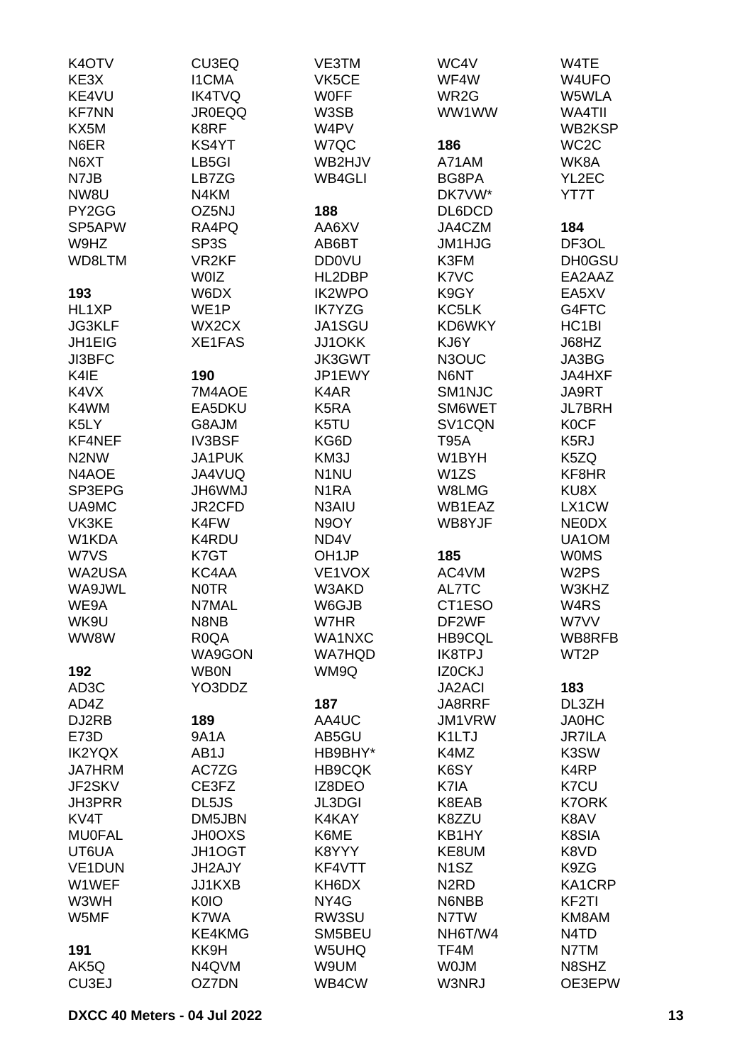| K <sub>4</sub> OT <sub>V</sub> | CU3EQ             | VE3TM              | WC4V              | W4TE                          |
|--------------------------------|-------------------|--------------------|-------------------|-------------------------------|
| KE3X                           | <b>I1CMA</b>      | VK5CE              | WF4W              | W4UFO                         |
| KE4VU                          | <b>IK4TVQ</b>     | <b>WOFF</b>        | WR <sub>2</sub> G | W5WLA                         |
| <b>KF7NN</b>                   | <b>JR0EQQ</b>     | W3SB               | WW1WW             | WA4TII                        |
| KX5M                           | K8RF              | W4PV               |                   | WB2KSP                        |
| N6ER                           | KS4YT             | W7QC               | 186               | WC <sub>2</sub> C             |
| N6XT                           | LB5GI             | WB2HJV             | A71AM             | WK8A                          |
|                                | LB7ZG             | <b>WB4GLI</b>      | BG8PA             | YL2EC                         |
| N7JB                           |                   |                    |                   |                               |
| NW8U                           | N4KM              |                    | DK7VW*            | YT7T                          |
| PY2GG                          | OZ5NJ             | 188                | DL6DCD            |                               |
| SP5APW                         | RA4PQ             | AA6XV              | JA4CZM            | 184                           |
| W9HZ                           | SP3S              | AB6BT              | <b>JM1HJG</b>     | DF3OL                         |
| WD8LTM                         | VR <sub>2KF</sub> | <b>DD0VU</b>       | K3FM              | <b>DH0GSU</b>                 |
|                                | <b>WOIZ</b>       | HL2DBP             | K7VC              | EA2AAZ                        |
| 193                            | W6DX              | <b>IK2WPO</b>      | K9GY              | EA5XV                         |
| HL1XP                          | WE <sub>1</sub> P | <b>IK7YZG</b>      | KC5LK             | G4FTC                         |
| <b>JG3KLF</b>                  | WX2CX             | JA1SGU             | KD6WKY            | HC <sub>1</sub> BI            |
| JH1EIG                         | <b>XE1FAS</b>     | <b>JJ1OKK</b>      | KJ6Y              | J68HZ                         |
| JI3BFC                         |                   | <b>JK3GWT</b>      | N3OUC             | JA3BG                         |
| K4IE                           | 190               | JP1EWY             | N6NT              | JA4HXF                        |
| K4VX                           | 7M4AOE            | K4AR               | SM1NJC            | JA9RT                         |
| K4WM                           | EA5DKU            | K5RA               | SM6WET            | <b>JL7BRH</b>                 |
| K <sub>5</sub> LY              | G8AJM             | K5TU               | SV1CQN            | <b>K0CF</b>                   |
| KF4NEF                         | <b>IV3BSF</b>     | KG6D               | T95A              | K <sub>5</sub> RJ             |
| N <sub>2</sub> N <sub>W</sub>  | JA1PUK            | KM3J               | W1BYH             | K5ZQ                          |
| N4AOE                          | JA4VUQ            | N <sub>1</sub> NU  | W1ZS              | KF8HR                         |
| SP3EPG                         | <b>UMW9HL</b>     | N <sub>1</sub> RA  |                   | KU8X                          |
|                                | JR2CFD            |                    | W8LMG<br>WB1EAZ   | LX1CW                         |
| UA9MC                          |                   | N3AIU              |                   |                               |
| VK3KE                          | K4FW              | N9OY               | WB8YJF            | <b>NEODX</b>                  |
| W1KDA                          | K4RDU             | ND4V               |                   | UA1OM                         |
| W7VS                           | K7GT              | OH <sub>1</sub> JP | 185               | <b>WOMS</b>                   |
| WA2USA                         | KC4AA             | VE1VOX             | AC4VM             | W <sub>2</sub> PS             |
| WA9JWL                         | <b>NOTR</b>       | W3AKD              | AL7TC             | W3KHZ                         |
| WE9A                           | N7MAL             | W6GJB              | CT1ESO            | W <sub>4</sub> RS             |
| WK9U                           | N8NB              | W7HR               | DF2WF             | W7VV                          |
| WW8W                           | R <sub>0</sub> QA | WA1NXC             | <b>HB9CQL</b>     | WB8RFB                        |
|                                | WA9GON            | <b>WA7HQD</b>      | <b>IK8TPJ</b>     | WT <sub>2</sub> P             |
| 192                            | <b>WB0N</b>       | WM9Q               | IZ0CKJ            |                               |
| AD <sub>3</sub> C              | YO3DDZ            |                    | <b>JA2ACI</b>     | 183                           |
| AD4Z                           |                   | 187                | JA8RRF            | DL3ZH                         |
| DJ2RB                          | 189               | AA4UC              | <b>JM1VRW</b>     | <b>JA0HC</b>                  |
| E73D                           | <b>9A1A</b>       | AB5GU              | K1LTJ             | <b>JR7ILA</b>                 |
| <b>IK2YQX</b>                  | AB1J              | HB9BHY*            | K4MZ              | K3SW                          |
| <b>JA7HRM</b>                  | AC7ZG             | <b>HB9CQK</b>      | K6SY              | K <sub>4</sub> RP             |
| JF2SKV                         | CE3FZ             | IZ8DEO             | K7IA              | K7CU                          |
| <b>JH3PRR</b>                  | DL5JS             | <b>JL3DGI</b>      | K8EAB             | <b>K7ORK</b>                  |
| KV4T                           | DM5JBN            | K4KAY              | K8ZZU             | K8AV                          |
| <b>MU0FAL</b>                  | <b>JH0OXS</b>     | K6ME               | KB1HY             | K8SIA                         |
| UT6UA                          | JH1OGT            | K8YYY              | KE8UM             | K8VD                          |
| VE1DUN                         | JH2AJY            | KF4VTT             | N <sub>1</sub> SZ | K9ZG                          |
| W1WEF                          | JJ1KXB            | KH6DX              | N <sub>2</sub> RD | KA1CRP                        |
| W3WH                           | <b>K0IO</b>       | NY4G               | N6NBB             | KF <sub>2</sub> TI            |
| W5MF                           | K7WA              | RW3SU              | N7TW              | KM8AM                         |
|                                | KE4KMG            | SM5BEU             | NH6T/W4           | N <sub>4</sub> T <sub>D</sub> |
| 191                            | KK9H              | W5UHQ              | TF4M              | N7TM                          |
| AK5Q                           | N4QVM             | W9UM               | <b>WOJM</b>       | N8SHZ                         |
| CU3EJ                          | OZ7DN             | WB4CW              | W3NRJ             | OE3EPW                        |
|                                |                   |                    |                   |                               |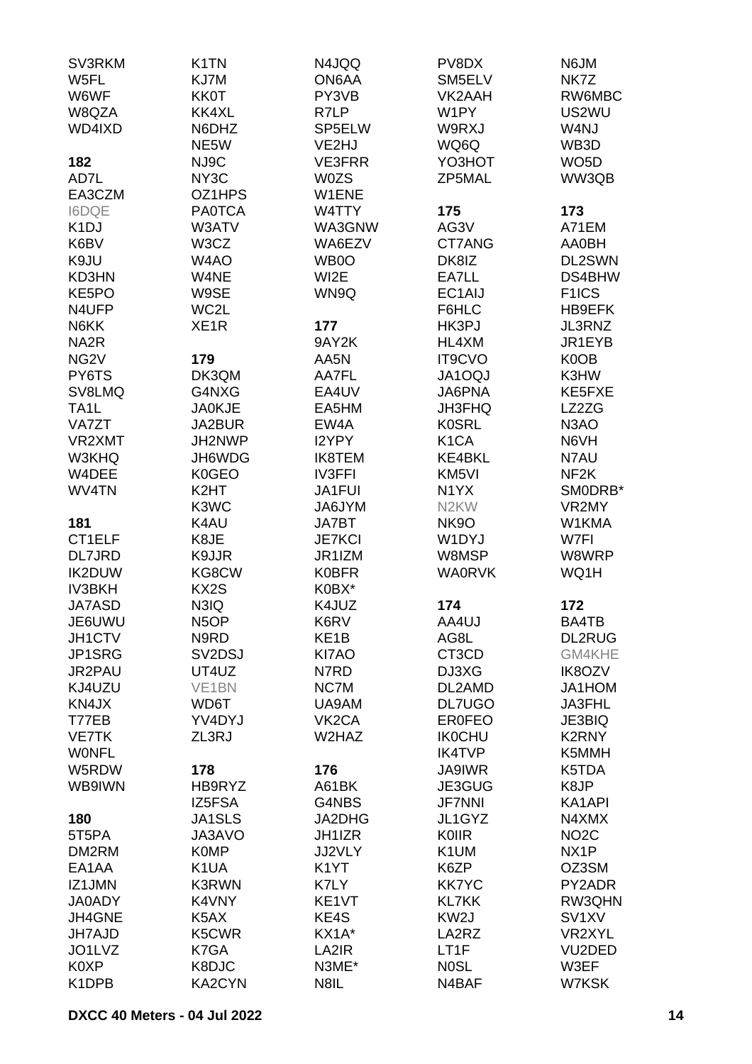| SV3RKM            | K <sub>1</sub> TN               | N4JQQ              | PV8DX             | N6JM                |
|-------------------|---------------------------------|--------------------|-------------------|---------------------|
| W5FL              | KJ7M                            | ON6AA              | SM5ELV            | NK7Z                |
| W6WF              | <b>KK0T</b>                     | PY3VB              | VK2AAH            | RW6MBC              |
| W8QZA             | KK4XL                           | R7LP               | W1PY              | US2WU               |
| WD4IXD            | N6DHZ                           | SP5ELW             | W9RXJ             | W4NJ                |
|                   |                                 |                    |                   |                     |
|                   | NE5W                            | VE2HJ              | WQ6Q              | WB3D                |
| 182               | NJ9C                            | <b>VE3FRR</b>      | YO3HOT            | WO <sub>5</sub> D   |
| AD7L              | NY3C                            | <b>W0ZS</b>        | ZP5MAL            | WW3QB               |
| EA3CZM            | OZ1HPS                          | W1ENE              |                   |                     |
| <b>I6DQE</b>      | <b>PA0TCA</b>                   | W4TTY              | 175               | 173                 |
| K <sub>1</sub> DJ | W3ATV                           | WA3GNW             | AG3V              | A71EM               |
| K6BV              | W3CZ                            | WA6EZV             | CT7ANG            | AA0BH               |
| K9JU              | W4AO                            | WB0O               | DK8IZ             | DL2SWN              |
| KD3HN             | W4NE                            | WI2E               | EA7LL             | DS4BHW              |
| KE5PO             | W9SE                            |                    | EC1AIJ            |                     |
|                   |                                 | WN9Q               |                   | F <sub>1</sub> ICS  |
| N4UFP             | WC2L                            |                    | F6HLC             | HB9EFK              |
| N6KK              | XE <sub>1</sub> R               | 177                | HK3PJ             | JL3RNZ              |
| NA <sub>2</sub> R |                                 | 9AY2K              | HL4XM             | JR1EYB              |
| NG <sub>2</sub> V | 179                             | AA5N               | IT9CVO            | K0OB                |
| PY6TS             | DK3QM                           | AA7FL              | <b>JA1OQJ</b>     | K3HW                |
| SV8LMQ            | G4NXG                           | EA4UV              | <b>JA6PNA</b>     | KE5FXE              |
| TA <sub>1</sub> L | <b>JA0KJE</b>                   | EA5HM              | JH3FHQ            | LZ2ZG               |
| VA7ZT             | JA2BUR                          | EW4A               | <b>K0SRL</b>      | N3AO                |
| VR2XMT            | JH2NWP                          | I2YPY              | K <sub>1</sub> CA | N6VH                |
| W3KHQ             | JH6WDG                          |                    | KE4BKL            |                     |
|                   |                                 | <b>IK8TEM</b>      |                   | N7AU                |
| W4DEE             | K0GEO                           | <b>IV3FFI</b>      | KM <sub>5VI</sub> | NF <sub>2</sub> K   |
| WV4TN             | K <sub>2</sub> HT               | JA1FUI             | N <sub>1</sub> YX | SMODRB*             |
|                   | K3WC                            | JA6JYM             | N <sub>2</sub> KW | VR2MY               |
| 181               | K4AU                            | JA7BT              | <b>NK9O</b>       | W1KMA               |
| CT1ELF            | K8JE                            | <b>JE7KCI</b>      | W1DYJ             | W7FI                |
| DL7JRD            | K9JJR                           | JR1IZM             | W8MSP             | W8WRP               |
| <b>IK2DUW</b>     | KG8CW                           | <b>K0BFR</b>       | <b>WA0RVK</b>     | WQ1H                |
| <b>IV3BKH</b>     | KX <sub>2</sub> S               | K0BX*              |                   |                     |
| <b>JA7ASD</b>     | N3IQ                            | K4JUZ              | 174               | 172                 |
| JE6UWU            | N <sub>5</sub> OP               | K6RV               | AA4UJ             | BA4TB               |
|                   |                                 |                    |                   |                     |
| JH1CTV            | N9RD                            | KE <sub>1</sub> B  | AG8L              | <b>DL2RUG</b>       |
| JP1SRG            | SV <sub>2</sub> D <sub>SJ</sub> | KI7AO              | CT3CD             | GM4KHE              |
| JR2PAU            | UT4UZ                           | N7RD               | DJ3XG             | IK8OZV              |
| KJ4UZU            | VE <sub>1</sub> BN              | NC7M               | DL2AMD            | JA1HOM              |
| KN4JX             | WD6T                            | UA9AM              | <b>DL7UGO</b>     | JA3FHL              |
| T77EB             | YV4DYJ                          | VK <sub>2</sub> CA | <b>ER0FEO</b>     | JE3BIQ              |
| <b>VE7TK</b>      | ZL3RJ                           | W2HAZ              | <b>IK0CHU</b>     | K2RNY               |
| <b>WONFL</b>      |                                 |                    | <b>IK4TVP</b>     | K5MMH               |
| W5RDW             | 178                             | 176                | <b>JA9IWR</b>     | K5TDA               |
| WB9IWN            | HB9RYZ                          | A61BK              | JE3GUG            | K8JP                |
|                   | IZ5FSA                          | G4NBS              | <b>JF7NNI</b>     | KA1API              |
|                   |                                 |                    |                   |                     |
| 180               | JA1SLS                          | JA2DHG             | JL1GYZ            | N4XMX               |
| 5T5PA             | JA3AVO                          | JH1IZR             | KOIIR             | NO <sub>2</sub> C   |
| DM2RM             | <b>K0MP</b>                     | JJ2VLY             | K <sub>1</sub> UM | NX <sub>1</sub> P   |
| EA1AA             | K1UA                            | K <sub>1</sub> YT  | K6ZP              | OZ3SM               |
| IZ1JMN            | K3RWN                           | K7LY               | <b>KK7YC</b>      | PY2ADR              |
| <b>JA0ADY</b>     | K4VNY                           | KE1VT              | <b>KL7KK</b>      | RW3QHN              |
| JH4GNE            | K5AX                            | KE4S               | KW <sub>2</sub> J | SV <sub>1</sub> XV  |
| <b>JH7AJD</b>     | K5CWR                           | KX1A*              | LA2RZ             | VR2XYL              |
| JO1LVZ            | K7GA                            | LA2IR              | LT1F              | VU <sub>2</sub> DED |
| K0XP              | K8DJC                           | N3ME*              | N <sub>0</sub> SL | W3EF                |
|                   |                                 |                    |                   |                     |
| K1DPB             | KA2CYN                          | N8IL               | N4BAF             | W7KSK               |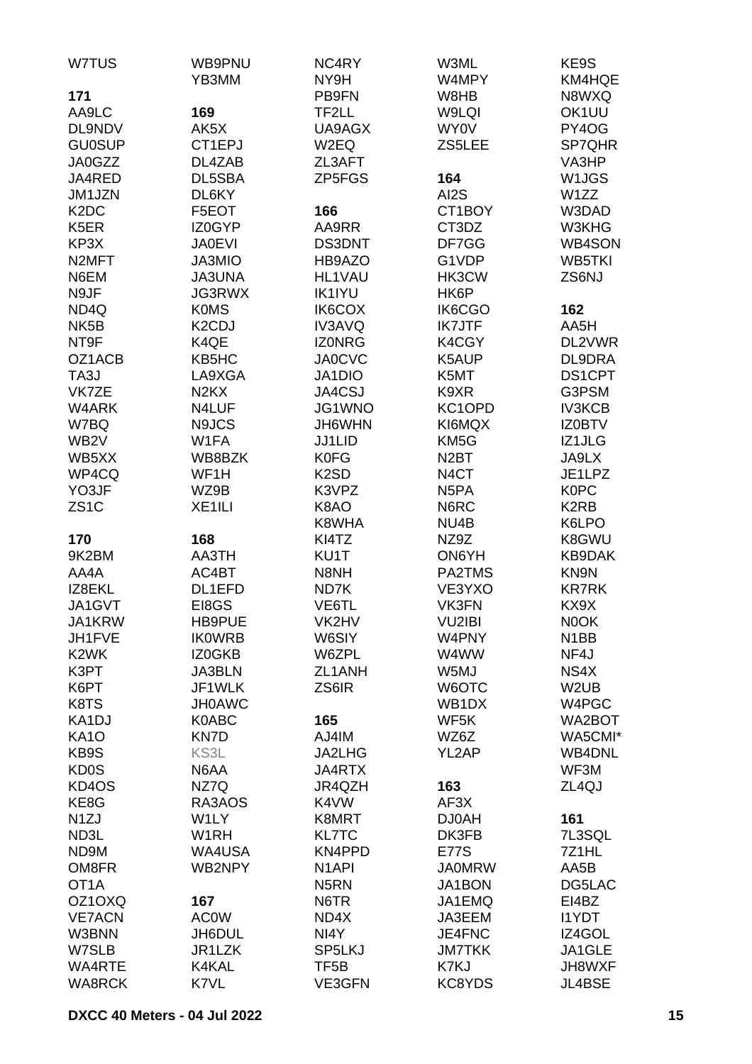| W7TUS                         | WB9PNU                        | NC4RY              | W3ML              | KE9S               |
|-------------------------------|-------------------------------|--------------------|-------------------|--------------------|
|                               | YB3MM                         | NY9H               | W4MPY             | KM4HQE             |
| 171                           |                               | PB9FN              | W8HB              | N8WXQ              |
| AA9LC                         | 169                           | TF2LL              | W9LQI             | OK1UU              |
| DL9NDV                        | AK5X                          | UA9AGX             | <b>WY0V</b>       | PY4OG              |
| <b>GU0SUP</b>                 | CT1EPJ                        | W2EQ               | ZS5LEE            | SP7QHR             |
| JA0GZZ                        | DL4ZAB                        | ZL3AFT             |                   | VA3HP              |
| JA4RED                        | DL5SBA                        | ZP5FGS             | 164               | W <sub>1</sub> JGS |
| JM1JZN                        | DL6KY                         |                    | AI2S              | W1ZZ               |
| K <sub>2</sub> D <sub>C</sub> | F5EOT                         | 166                | CT1BOY            | W3DAD              |
| K <sub>5</sub> ER             | IZ0GYP                        | AA9RR              | CT3DZ             | W3KHG              |
| KP3X                          | <b>JA0EVI</b>                 | DS3DNT             | DF7GG             | WB4SON             |
| N <sub>2</sub> MFT            | JA3MIO                        | HB9AZO             | G1VDP             | <b>WB5TKI</b>      |
| N6EM                          |                               |                    |                   |                    |
|                               | <b>JA3UNA</b>                 | <b>HL1VAU</b>      | HK3CW             | ZS6NJ              |
| N9JF                          | <b>JG3RWX</b>                 | <b>IK1IYU</b>      | HK6P              |                    |
| ND4Q                          | <b>K0MS</b>                   | IK6COX             | IK6CGO            | 162                |
| NK <sub>5</sub> B             | K <sub>2</sub> CDJ            | IV3AVQ             | <b>IK7JTF</b>     | AA5H               |
| NT9F                          | K4QE                          | <b>IZONRG</b>      | K4CGY             | DL2VWR             |
| OZ1ACB                        | KB5HC                         | <b>JA0CVC</b>      | K5AUP             | DL9DRA             |
| TA3J                          | LA9XGA                        | JA1DIO             | K5MT              | <b>DS1CPT</b>      |
| VK7ZE                         | N <sub>2</sub> K <sub>X</sub> | JA4CSJ             | K9XR              | G3PSM              |
| W4ARK                         | N4LUF                         | JG1WNO             | KC1OPD            | <b>IV3KCB</b>      |
| W7BQ                          | N9JCS                         | JH6WHN             | KI6MQX            | <b>IZ0BTV</b>      |
| WB <sub>2</sub> V             | W1FA                          | <b>JJ1LID</b>      | KM <sub>5</sub> G | IZ1JLG             |
| WB5XX                         | WB8BZK                        | <b>K0FG</b>        | N <sub>2</sub> BT | JA9LX              |
| WP4CQ                         | WF1H                          | K <sub>2</sub> SD  | N <sub>4</sub> CT | JE1LPZ             |
| YO3JF                         | WZ9B                          | K3VPZ              | N <sub>5</sub> PA | <b>K0PC</b>        |
| ZS <sub>1</sub> C             | XE <sub>1</sub> ILI           | K8AO               | N6RC              | K <sub>2</sub> RB  |
|                               |                               | K8WHA              | NU4B              | K6LPO              |
| 170                           | 168                           | KI4TZ              | NZ9Z              | K8GWU              |
| 9K2BM                         | AA3TH                         | KU1T               | ON6YH             | KB9DAK             |
| AA4A                          | AC4BT                         | N8NH               | PA2TMS            | KN9N               |
| IZ8EKL                        | DL1EFD                        | ND7K               | VE3YXO            | <b>KR7RK</b>       |
| JA1GVT                        | EI8GS                         | VE6TL              | VK3FN             | KX9X               |
|                               |                               |                    |                   |                    |
| JA1KRW                        | HB9PUE                        | VK2HV              | VU2IBI            | N0OK               |
| JH1FVE                        | <b>IKOWRB</b>                 | W6SIY              | W4PNY             | N <sub>1</sub> BB  |
| K <sub>2</sub> WK             | IZ0GKB                        | W6ZPL              | W4WW              | NF4J               |
| K3PT                          | <b>JA3BLN</b>                 | ZL1ANH             | W5MJ              | NS4X               |
| K6PT                          | JF1WLK                        | ZS6IR              | W6OTC             | W <sub>2</sub> UB  |
| K8TS                          | <b>JH0AWC</b>                 |                    | WB1DX             | W4PGC              |
| KA1DJ                         | K0ABC                         | 165                | WF5K              | WA2BOT             |
| <b>KA10</b>                   | KN7D                          | AJ4IM              | WZ6Z              | WA5CMI*            |
| KB9S                          | KS3L                          | JA2LHG             | YL2AP             | <b>WB4DNL</b>      |
| <b>KD0S</b>                   | N6AA                          | JA4RTX             |                   | WF3M               |
| KD4OS                         | NZ7Q                          | JR4QZH             | 163               | ZL <sub>4</sub> QJ |
| KE8G                          | RA3AOS                        | K4VW               | AF3X              |                    |
| N <sub>1</sub> ZJ             | W1LY                          | K8MRT              | <b>DJ0AH</b>      | 161                |
| ND3L                          | W <sub>1</sub> RH             | <b>KL7TC</b>       | DK3FB             | 7L3SQL             |
| ND9M                          | WA4USA                        | KN4PPD             | <b>E77S</b>       | 7Z1HL              |
| OM8FR                         | WB2NPY                        | N <sub>1</sub> API | <b>JA0MRW</b>     | AA5B               |
| OT <sub>1</sub> A             |                               | N <sub>5</sub> RN  | JA1BON            | DG5LAC             |
| OZ1OXQ                        | 167                           | N6TR               | JA1EMQ            | EI4BZ              |
| <b>VE7ACN</b>                 | <b>AC0W</b>                   | ND4X               | JA3EEM            | <b>I1YDT</b>       |
| W3BNN                         | JH6DUL                        | NI4Y               | JE4FNC            | IZ4GOL             |
| W7SLB                         | JR1LZK                        | SP5LKJ             | <b>JM7TKK</b>     | JA1GLE             |
| WA4RTE                        | K4KAL                         | TF <sub>5</sub> B  | K7KJ              | JH8WXF             |
| <b>WA8RCK</b>                 | K7VL                          | VE3GFN             | KC8YDS            | JL4BSE             |
|                               |                               |                    |                   |                    |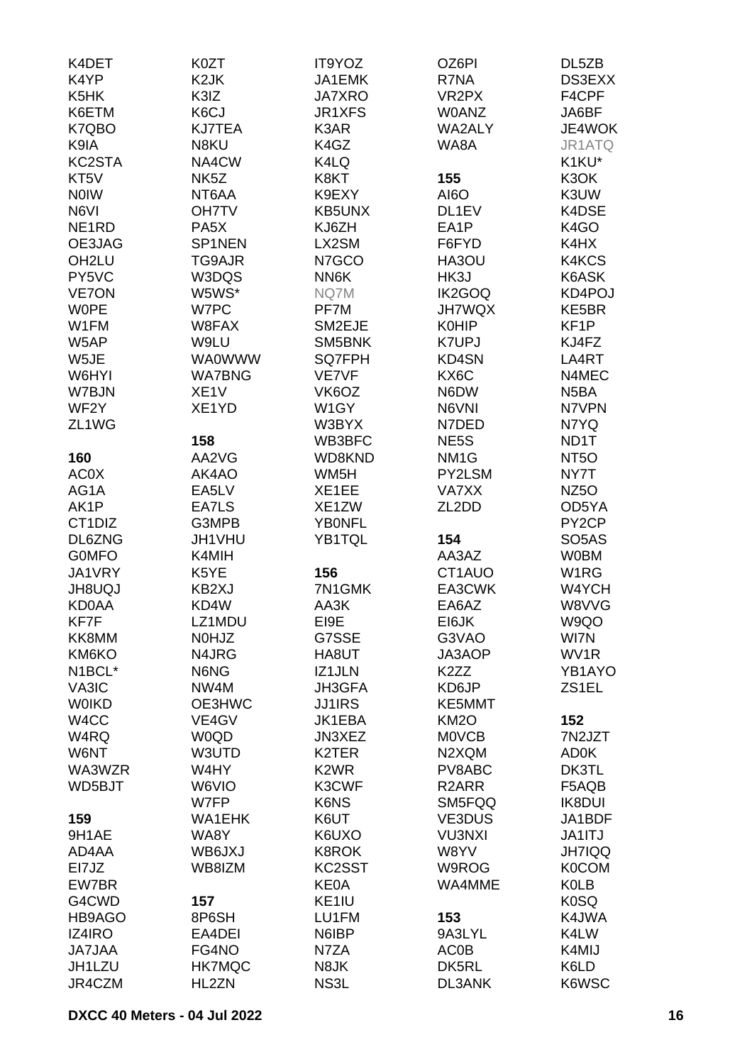| K4DET                            | K0ZT              | IT9YOZ             | OZ6PI              | DL5ZB              |
|----------------------------------|-------------------|--------------------|--------------------|--------------------|
| K4YP                             | K <sub>2</sub> JK | JA1EMK             | R7NA               | DS3EXX             |
| K <sub>5</sub> HK                | K3IZ              | <b>JA7XRO</b>      | VR2PX              | F4CPF              |
| K6ETM                            | K6CJ              | JR1XFS             | <b>WOANZ</b>       | JA6BF              |
|                                  |                   |                    |                    |                    |
| K7QBO                            | <b>KJ7TEA</b>     | K3AR               | <b>WA2ALY</b>      | JE4WOK             |
| K9IA                             | N8KU              | K4GZ               | WA8A               | JR1ATQ             |
| KC2STA                           | NA4CW             | K4LQ               |                    | K1KU*              |
| KT <sub>5</sub> V                | NK <sub>5</sub> Z | K8KT               | 155                | K3OK               |
| <b>NOIW</b>                      | NT6AA             | K9EXY              | AI6O               | K3UW               |
| N6VI                             | <b>OH7TV</b>      | KB5UNX             | DL1EV              | K4DSE              |
| NE <sub>1</sub> RD               | PA <sub>5</sub> X | KJ6ZH              | EA1P               | K4GO               |
| OE3JAG                           | SP1NEN            | LX2SM              | F6FYD              | K4HX               |
| OH <sub>2LU</sub>                | TG9AJR            | N7GCO              | HA3OU              | K4KCS              |
| PY5VC                            | W3DQS             | NN6K               | HK3J               | K6ASK              |
| <b>VE7ON</b>                     | W5WS*             | NQ7M               | IK2GOQ             | KD4POJ             |
| <b>WOPE</b>                      | W7PC              | PF7M               | <b>JH7WQX</b>      | KE5BR              |
| W1FM                             | W8FAX             | SM2EJE             | <b>K0HIP</b>       | KF <sub>1</sub> P  |
|                                  |                   |                    |                    |                    |
| W5AP                             | W9LU              | SM5BNK             | <b>K7UPJ</b>       | KJ4FZ              |
| W5JE                             | <b>WA0WWW</b>     | <b>SQ7FPH</b>      | KD4SN              | LA4RT              |
| W6HYI                            | <b>WA7BNG</b>     | VE7VF              | KX6C               | N4MEC              |
| W7BJN                            | XE <sub>1</sub> V | VK6OZ              | N6DW               | N <sub>5</sub> BA  |
| WF <sub>2</sub> Y                | XE1YD             | W1GY               | N6VNI              | N7VPN              |
| ZL <sub>1</sub> WG               |                   | W3BYX              | N7DED              | N7YQ               |
|                                  | 158               | WB3BFC             | NE5S               | ND1T               |
| 160                              | AA2VG             | WD8KND             | NM <sub>1G</sub>   | NT <sub>50</sub>   |
| <b>AC0X</b>                      | AK4AO             | WM5H               | PY2LSM             | NY7T               |
| AG1A                             | EA5LV             | XE1EE              | <b>VA7XX</b>       | NZ <sub>50</sub>   |
| AK1P                             | EA7LS             | XE1ZW              | ZL2DD              | OD5YA              |
| CT <sub>1</sub> D <sub>I</sub> Z | G3MPB             | <b>YBONFL</b>      |                    | PY <sub>2</sub> CP |
| DL6ZNG                           | JH1VHU            | YB1TQL             | 154                | SO <sub>5</sub> AS |
|                                  |                   |                    | AA3AZ              |                    |
| <b>GOMFO</b>                     | K4MIH             |                    |                    | <b>W0BM</b>        |
| JA1VRY                           | K5YE              | 156                | CT1AUO             | W1RG               |
| <b>JH8UQJ</b>                    | KB2XJ             | 7N1GMK             | EA3CWK             | W4YCH              |
| <b>KD0AA</b>                     | KD4W              | AA3K               | EA6AZ              | W8VVG              |
| KF7F                             | LZ1MDU            | EI9E               | EI6JK              | W9QO               |
| KK8MM                            | N0HJZ             | G7SSE              | G3VAO              | WI7N               |
| KM6KO                            | N4JRG             | HA8UT              | JA3AOP             | WV1R               |
| N1BCL*                           | N6NG              | IZ1JLN             | K <sub>2</sub> ZZ  | YB1AYO             |
| VA3IC                            | NW4M              | JH3GFA             | KD6JP              | ZS1EL              |
| <b>WOIKD</b>                     | OE3HWC            | <b>JJ1IRS</b>      | KE5MMT             |                    |
| W4CC                             | VE4GV             | JK1EBA             | <b>KM2O</b>        | 152                |
| W4RQ                             | W0QD              | JN3XEZ             | <b>MOVCB</b>       | 7N2JZT             |
| W6NT                             | W3UTD             | K <sub>2</sub> TER | N2XQM              | <b>AD0K</b>        |
| WA3WZR                           | W4HY              | K <sub>2</sub> WR  | PV8ABC             | DK3TL              |
| WD5BJT                           | W6VIO             | K3CWF              | R <sub>2</sub> ARR | F5AQB              |
|                                  | W7FP              | K6NS               | SM5FQQ             | <b>IK8DUI</b>      |
| 159                              | <b>WA1EHK</b>     | K6UT               | VE3DUS             | JA1BDF             |
|                                  |                   |                    |                    |                    |
| 9H1AE                            | WA8Y              | K6UXO              | <b>VU3NXI</b>      | JA1ITJ             |
| AD4AA                            | WB6JXJ            | <b>K8ROK</b>       | W8YV               | <b>JH7IQQ</b>      |
| EI7JZ                            | WB8IZM            | KC2SST             | W9ROG              | <b>K0COM</b>       |
| EW7BR                            |                   | <b>KE0A</b>        | WA4MME             | <b>K0LB</b>        |
| G4CWD                            | 157               | KE <sub>1IU</sub>  |                    | K <sub>0</sub> SQ  |
| HB9AGO                           | 8P6SH             | LU1FM              | 153                | K4JWA              |
| <b>IZ4IRO</b>                    | EA4DEI            | N6IBP              | 9A3LYL             | K4LW               |
| <b>JA7JAA</b>                    | FG4NO             | N7ZA               | <b>AC0B</b>        | K4MIJ              |
| JH1LZU                           | <b>HK7MQC</b>     | N8JK               | DK5RL              | K6LD               |
| JR4CZM                           | HL2ZN             | NS3L               | DL3ANK             | K6WSC              |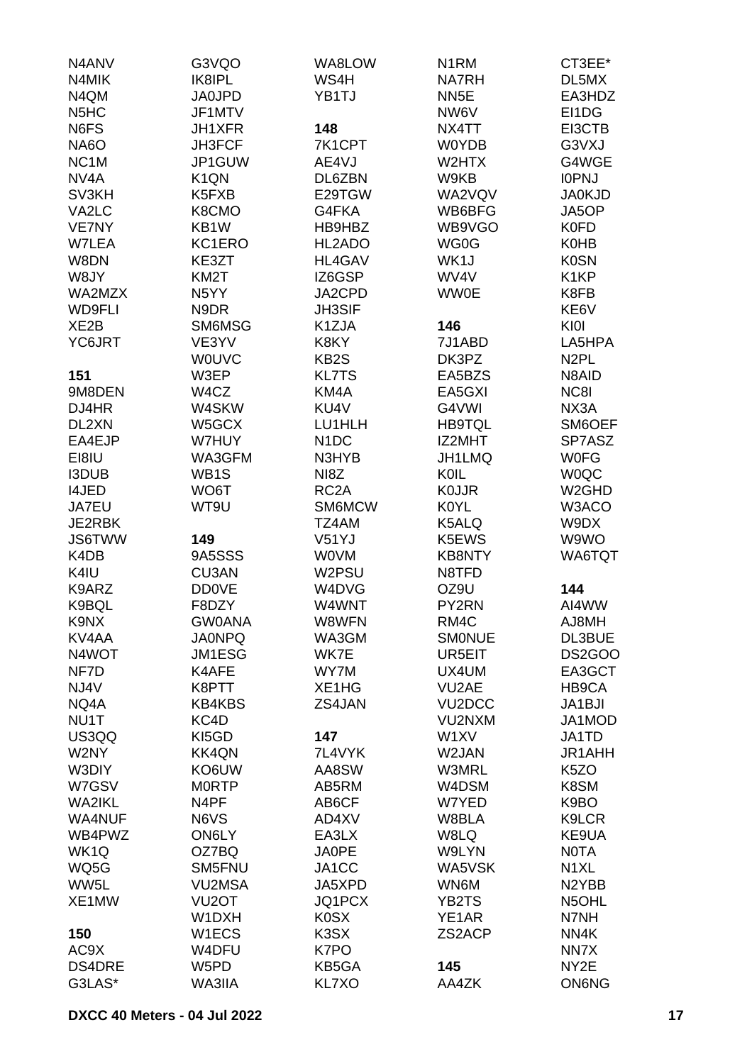| N4ANV                         | G3VQO              | WA8LOW            | N <sub>1</sub> RM | CT3EE*             |
|-------------------------------|--------------------|-------------------|-------------------|--------------------|
| N4MIK                         | IK8IPL             | WS4H              | <b>NA7RH</b>      | DL5MX              |
| N4QM                          | <b>JA0JPD</b>      | YB1TJ             | NN <sub>5</sub> E | EA3HDZ             |
|                               |                    |                   |                   |                    |
| N <sub>5</sub> H <sub>C</sub> | JF1MTV             |                   | NW6V              | EI1DG              |
| N6FS                          | <b>JH1XFR</b>      | 148               | NX4TT             | EI3CTB             |
| NA6O                          | <b>JH3FCF</b>      | 7K1CPT            | <b>W0YDB</b>      | G3VXJ              |
| NC <sub>1</sub> M             | JP1GUW             | AE4VJ             | W2HTX             | G4WGE              |
| NV <sub>4</sub> A             | K <sub>1</sub> QN  | DL6ZBN            | W9KB              | <b>IOPNJ</b>       |
| SV3KH                         | K5FXB              | E29TGW            | WA2VQV            | <b>JA0KJD</b>      |
| VA2LC                         | K8CMO              | G4FKA             | WB6BFG            | JA5OP              |
| VE7NY                         | KB1W               | HB9HBZ            | WB9VGO            | <b>K0FD</b>        |
| W7LEA                         | KC1ERO             | HL2ADO            | WG0G              | <b>K0HB</b>        |
| W8DN                          | KE3ZT              | HL4GAV            | WK1J              | <b>K0SN</b>        |
| W8JY                          | KM <sub>2</sub> T  | IZ6GSP            | WV4V              | K <sub>1</sub> KP  |
| WA2MZX                        | N <sub>5</sub> YY  | JA2CPD            | <b>WW0E</b>       | K8FB               |
|                               |                    | <b>JH3SIF</b>     |                   | KE6V               |
| <b>WD9FLI</b>                 | N9DR               |                   |                   |                    |
| XE <sub>2</sub> B             | SM6MSG             | K1ZJA             | 146               | KI0I               |
| YC6JRT                        | VE3YV              | K8KY              | 7J1ABD            | LA5HPA             |
|                               | <b>WOUVC</b>       | KB <sub>2</sub> S | DK3PZ             | N <sub>2</sub> PL  |
| 151                           | W3EP               | <b>KL7TS</b>      | EA5BZS            | N8AID              |
| 9M8DEN                        | W4CZ               | KM4A              | EA5GXI            | NC8I               |
| DJ4HR                         | W4SKW              | KU4V              | G4VWI             | NX3A               |
| DL2XN                         | W5GCX              | LU1HLH            | <b>HB9TQL</b>     | SM6OEF             |
| EA4EJP                        | W7HUY              | N <sub>1</sub> DC | IZ2MHT            | SP7ASZ             |
| EI8IU                         | WA3GFM             | N3HYB             | JH1LMQ            | <b>W0FG</b>        |
| <b>I3DUB</b>                  | WB1S               | NI8Z              | KOIL              | <b>WOQC</b>        |
| <b>I4JED</b>                  | WO6T               | RC <sub>2</sub> A | <b>K0JJR</b>      | W <sub>2</sub> GHD |
|                               |                    |                   |                   |                    |
| JA7EU                         | WT9U               | SM6MCW            | <b>K0YL</b>       | W3ACO              |
| JE2RBK                        |                    | TZ4AM             | K5ALQ             | W9DX               |
| <b>JS6TWW</b>                 | 149                | V51YJ             | K5EWS             | W9WO               |
| K4DB                          | 9A5SSS             | <b>WOVM</b>       | <b>KB8NTY</b>     | WA6TQT             |
| K4IU                          | CU3AN              | W2PSU             | N8TFD             |                    |
| K9ARZ                         | <b>DD0VE</b>       | W4DVG             | OZ9U              | 144                |
| K9BQL                         | F8DZY              | W4WNT             | PY2RN             | AI4WW              |
| K9NX                          | <b>GW0ANA</b>      | W8WFN             | RM4C              | AJ8MH              |
| KV4AA                         | <b>JA0NPQ</b>      | WA3GM             | <b>SMONUE</b>     | DL3BUE             |
| N4WOT                         | <b>JM1ESG</b>      | WK7E              | UR5EIT            | DS2GOO             |
| NF7D                          | K4AFE              | WY7M              | UX4UM             | EA3GCT             |
| NJ4V                          | K8PTT              | XE1HG             | VU2AE             | HB9CA              |
| NQ4A                          | <b>KB4KBS</b>      | ZS4JAN            | VU2DCC            | JA1BJI             |
|                               |                    |                   |                   |                    |
| NU1T                          | KC4D               |                   | VU2NXM            | JA1MOD             |
| US3QQ                         | KI5GD              | 147               | W1XV              | JA1TD              |
| W2NY                          | <b>KK4QN</b>       | 7L4VYK            | W2JAN             | JR1AHH             |
| W3DIY                         | KO6UW              | AA8SW             | W3MRL             | K <sub>5</sub> ZO  |
| W7GSV                         | <b>MORTP</b>       | AB5RM             | W4DSM             | K8SM               |
| <b>WA2IKL</b>                 | N <sub>4</sub> PF  | AB6CF             | W7YED             | K9BO               |
| <b>WA4NUF</b>                 | N6VS               | AD4XV             | W8BLA             | K9LCR              |
| WB4PWZ                        | ON6LY              | EA3LX             | W8LQ              | KE9UA              |
| WK1Q                          | OZ7BQ              | <b>JA0PE</b>      | W9LYN             | <b>NOTA</b>        |
| WQ5G                          | SM5FNU             | JA1CC             | WA5VSK            | N <sub>1</sub> XL  |
| WW5L                          | <b>VU2MSA</b>      | JA5XPD            | WN6M              | N <sub>2</sub> YBB |
| XE1MW                         | VU <sub>2</sub> OT | JQ1PCX            | YB2TS             | N5OHL              |
|                               | W1DXH              | <b>K0SX</b>       | YE1AR             | N7NH               |
|                               |                    |                   |                   |                    |
| 150                           | W1ECS              | K3SX              | ZS2ACP            | NN4K               |
| AC9X                          | W4DFU              | K7PO              |                   | NN7X               |
| <b>DS4DRE</b>                 | W5PD               | KB5GA             | 145               | NY2E               |
| G3LAS*                        | WA3IIA             | KL7XO             | AA4ZK             | <b>ON6NG</b>       |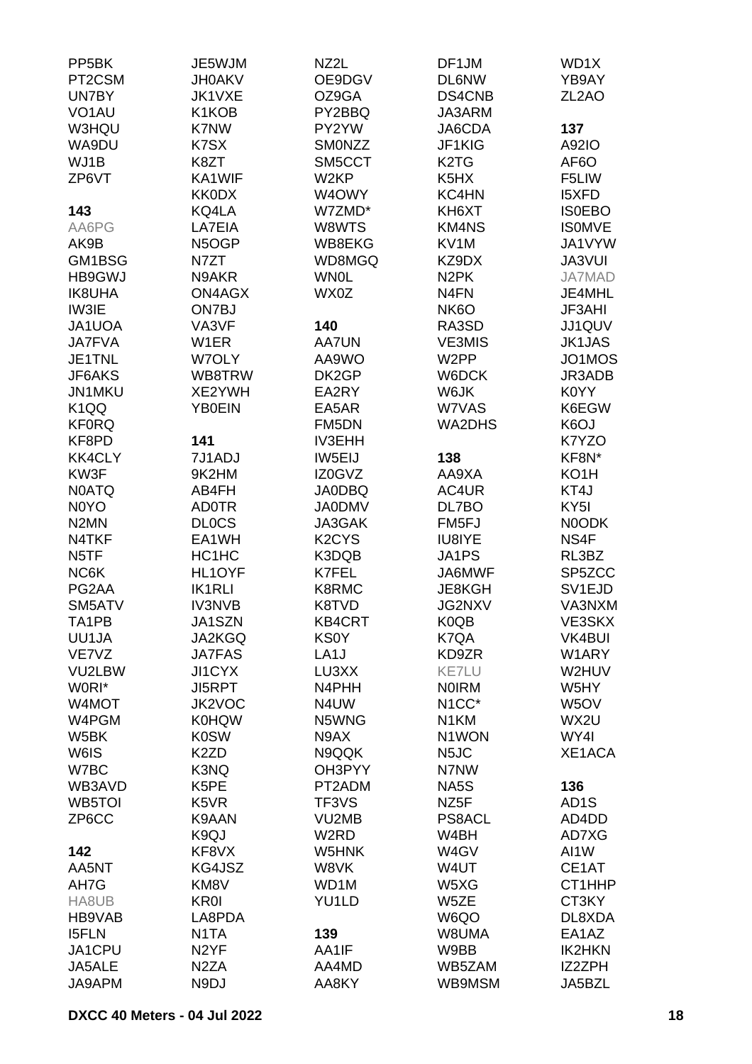| PP <sub>5</sub> BK            | JE5WJM            | NZ2L                           | DF1JM                          | WD1X               |
|-------------------------------|-------------------|--------------------------------|--------------------------------|--------------------|
| PT2CSM                        | <b>JH0AKV</b>     | OE9DGV                         | <b>DL6NW</b>                   | YB9AY              |
| UN7BY                         | JK1VXE            | OZ9GA                          | DS4CNB                         | ZL <sub>2</sub> AO |
| VO <sub>1</sub> AU            | K1KOB             | PY2BBQ                         | JA3ARM                         |                    |
| W3HQU                         | K7NW              | PY2YW                          | JA6CDA                         | 137                |
| WA9DU                         | K7SX              | SMONZZ                         | JF1KIG                         | A92IO              |
| WJ1B                          | K8ZT              | SM5CCT                         | K <sub>2</sub> T <sub>G</sub>  |                    |
|                               |                   |                                |                                | AF6O               |
| ZP6VT                         | KA1WIF            | W <sub>2KP</sub>               | K <sub>5</sub> H <sub>X</sub>  | F5LIW              |
|                               | <b>KK0DX</b>      | W4OWY                          | KC4HN                          | <b>I5XFD</b>       |
| 143                           | KQ4LA             | W7ZMD*                         | KH6XT                          | <b>ISOEBO</b>      |
| AA6PG                         | LA7EIA            | W8WTS                          | <b>KM4NS</b>                   | <b>ISOMVE</b>      |
| AK9B                          | N5OGP             | WB8EKG                         | KV1M                           | JA1VYW             |
| GM1BSG                        | N7ZT              | WD8MGQ                         | KZ9DX                          | <b>JA3VUI</b>      |
| <b>HB9GWJ</b>                 | N9AKR             | <b>WN0L</b>                    | N <sub>2</sub> PK              | <b>JA7MAD</b>      |
| <b>IK8UHA</b>                 | <b>ON4AGX</b>     | WX0Z                           | N <sub>4</sub> FN              | JE4MHL             |
| IW3IE                         | ON7BJ             |                                | NK <sub>6</sub> O              | <b>JF3AHI</b>      |
| JA1UOA                        | VA3VF             | 140                            | RA3SD                          | JJ1QUV             |
| <b>JA7FVA</b>                 | W1ER              | <b>AA7UN</b>                   | <b>VE3MIS</b>                  | <b>JK1JAS</b>      |
| JE1TNL                        | W7OLY             | AA9WO                          | W <sub>2</sub> PP              | JO1MOS             |
| JF6AKS                        | WB8TRW            | DK2GP                          | W6DCK                          | JR3ADB             |
| JN1MKU                        | XE2YWH            | EA2RY                          | W6JK                           | K0YY               |
| K <sub>1</sub> QQ             | <b>YB0EIN</b>     | EA5AR                          | W7VAS                          | K6EGW              |
| <b>KF0RQ</b>                  |                   | FM5DN                          | WA2DHS                         | K <sub>6</sub> OJ  |
| KF8PD                         | 141               | <b>IV3EHH</b>                  |                                | K7YZO              |
| <b>KK4CLY</b>                 | 7J1ADJ            | IW5EIJ                         | 138                            | KF8N*              |
| KW3F                          | 9K2HM             | IZ0GVZ                         | AA9XA                          | KO1H               |
| <b>NOATQ</b>                  | AB4FH             | <b>JA0DBQ</b>                  | AC4UR                          | KT4J               |
| N <sub>0</sub> Y <sub>O</sub> | <b>AD0TR</b>      | <b>JA0DMV</b>                  | DL7BO                          | KY <sub>5</sub> I  |
| N <sub>2</sub> MN             | <b>DLOCS</b>      | JA3GAK                         | FM <sub>5FJ</sub>              | N0ODK              |
| N4TKF                         | EA1WH             | K <sub>2</sub> CY <sub>S</sub> | IU8IYE                         | NS4F               |
| N <sub>5</sub> TF             | HC1HC             | K3DQB                          | JA1PS                          | RL3BZ              |
| NC6K                          | HL1OYF            | K7FEL                          | JA6MWF                         | SP5ZCC             |
| PG2AA                         | <b>IK1RLI</b>     | K8RMC                          | JE8KGH                         | SV1EJD             |
| SM5ATV                        | <b>IV3NVB</b>     | K8TVD                          | <b>JG2NXV</b>                  | VA3NXM             |
| TA1PB                         | JA1SZN            | KB4CRT                         | K0QB                           | VE3SKX             |
|                               | JA2KGQ            |                                |                                |                    |
| UU1JA                         |                   | <b>KS0Y</b>                    | K7QA                           | VK4BUI             |
| VE7VZ                         | <b>JA7FAS</b>     | LA <sub>1</sub> J              | KD9ZR                          | W1ARY              |
| VU2LBW                        | <b>JI1CYX</b>     | LU3XX                          | <b>KE7LU</b>                   | W2HUV              |
| W0RI*                         | <b>JI5RPT</b>     | N4PHH                          | <b>NOIRM</b>                   | W5HY               |
| W4MOT                         | JK2VOC            | N4UW                           | N <sub>1</sub> CC <sup>*</sup> | W <sub>5</sub> OV  |
| W4PGM                         | <b>K0HQW</b>      | N5WNG                          | N <sub>1</sub> KM              | WX2U               |
| W5BK                          | <b>K0SW</b>       | N9AX                           | N1WON                          | WY4I               |
| W6IS                          | K <sub>2</sub> ZD | N9QQK                          | N <sub>5</sub> JC              | XE1ACA             |
| W7BC                          | K3NQ              | OH3PYY                         | N7NW                           |                    |
| WB3AVD                        | K5PE              | PT2ADM                         | NA5S                           | 136                |
| WB5TOI                        | K5VR              | TF3VS                          | NZ <sub>5</sub> F              | AD <sub>1</sub> S  |
| ZP6CC                         | K9AAN             | VU2MB                          | <b>PS8ACL</b>                  | AD4DD              |
|                               | K9QJ              | W <sub>2</sub> RD              | W4BH                           | AD7XG              |
| 142                           | KF8VX             | W5HNK                          | W4GV                           | AI1W               |
| AA5NT                         | KG4JSZ            | W8VK                           | W4UT                           | CE1AT              |
| AH7G                          | KM8V              | WD1M                           | W5XG                           | CT1HHP             |
| HA8UB                         | <b>KR0I</b>       | YU1LD                          | W5ZE                           | CT3KY              |
| HB9VAB                        | LA8PDA            |                                | W6QO                           | DL8XDA             |
| <b>I5FLN</b>                  | N <sub>1</sub> TA | 139                            | W8UMA                          | EA1AZ              |
| JA1CPU                        | N <sub>2</sub> YF | AA1IF                          | W9BB                           | <b>IK2HKN</b>      |
| JA5ALE                        | N <sub>2</sub> ZA | AA4MD                          | WB5ZAM                         | IZ2ZPH             |
| JA9APM                        | N9DJ              | AA8KY                          | WB9MSM                         | JA5BZL             |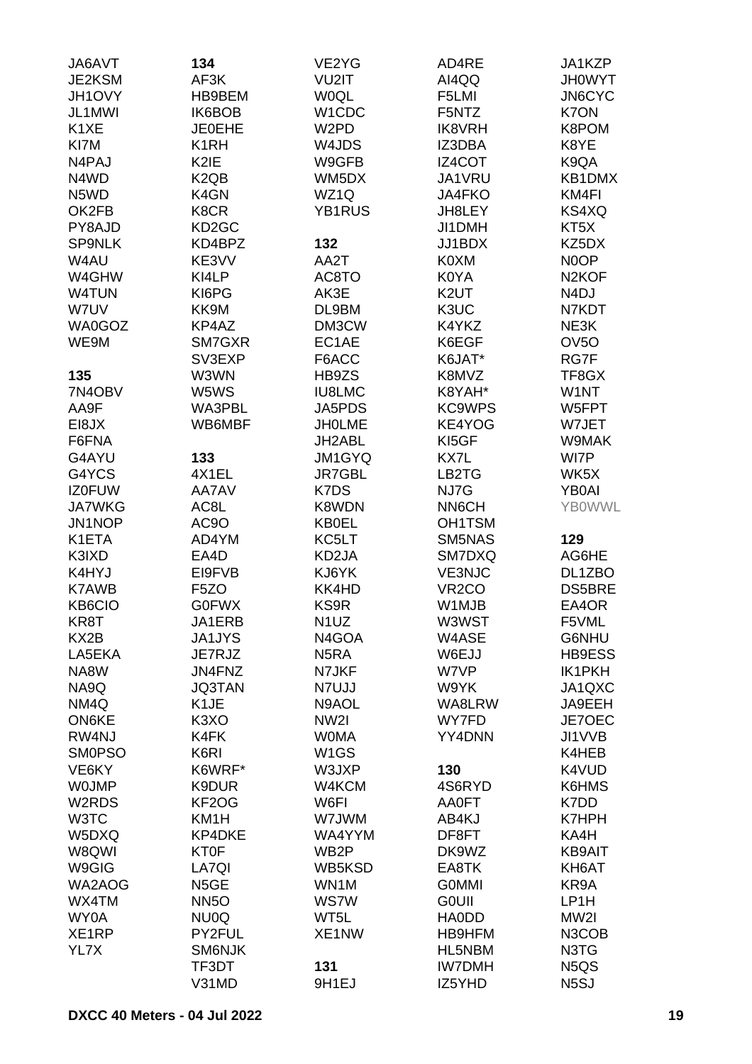| JA6AVT             | 134                           | VE2YG             | AD4RE              | JA1KZP                        |
|--------------------|-------------------------------|-------------------|--------------------|-------------------------------|
| JE2KSM             | AF3K                          | VU2IT             | AI4QQ              | <b>JH0WYT</b>                 |
| JH1OVY             | HB9BEM                        | <b>WOQL</b>       | F5LMI              | JN6CYC                        |
| JL1MWI             | IK6BOB                        | W1CDC             | F5NTZ              | K7ON                          |
| K <sub>1</sub> XE  | <b>JE0EHE</b>                 | W <sub>2</sub> PD | <b>IK8VRH</b>      | K8POM                         |
|                    |                               |                   |                    |                               |
| KI7M               | K <sub>1</sub> RH             | W4JDS             | IZ3DBA             | K8YE                          |
| N4PAJ              | K2IE                          | W9GFB             | IZ4COT             | K9QA                          |
| N4WD               | K <sub>2</sub> Q <sub>B</sub> | WM5DX             | JA1VRU             | KB1DMX                        |
| N5WD               | K4GN                          | WZ1Q              | <b>JA4FKO</b>      | KM4FI                         |
| OK2FB              | K8CR                          | YB1RUS            | JH8LEY             | KS4XQ                         |
| PY8AJD             | KD <sub>2</sub> GC            |                   | JI1DMH             | KT5X                          |
| <b>SP9NLK</b>      | KD4BPZ                        | 132               | JJ1BDX             | KZ5DX                         |
| W4AU               | KE3VV                         | AA2T              | K0XM               | N0OP                          |
| W4GHW              | KI4LP                         | AC8TO             | K0YA               | N <sub>2</sub> KOF            |
| W4TUN              | KI6PG                         | AK3E              | K <sub>2</sub> UT  | N <sub>4</sub> DJ             |
| W7UV               | KK9M                          | DL9BM             | K3UC               | N7KDT                         |
| WA0GOZ             | KP4AZ                         |                   | K4YKZ              |                               |
|                    |                               | DM3CW             |                    | NE3K                          |
| WE9M               | SM7GXR                        | EC1AE             | K6EGF              | OV <sub>5</sub> O             |
|                    | SV3EXP                        | F6ACC             | K6JAT*             | RG7F                          |
| 135                | W3WN                          | HB9ZS             | K8MVZ              | TF8GX                         |
| 7N4OBV             | W5WS                          | <b>IU8LMC</b>     | K8YAH*             | W1NT                          |
| AA9F               | WA3PBL                        | JA5PDS            | <b>KC9WPS</b>      | W5FPT                         |
| EI8JX              | WB6MBF                        | <b>JHOLME</b>     | KE4YOG             | W7JET                         |
| F6FNA              |                               | JH2ABL            | KI5GF              | W9MAK                         |
| G4AYU              | 133                           | JM1GYQ            | KX7L               | WI7P                          |
| G4YCS              | 4X1EL                         | <b>JR7GBL</b>     | LB2TG              | WK5X                          |
| <b>IZ0FUW</b>      | AA7AV                         | K7DS              | NJ7G               | <b>YB0AI</b>                  |
| <b>JA7WKG</b>      | AC8L                          | K8WDN             | NN6CH              | <b>YBOWWL</b>                 |
|                    |                               |                   |                    |                               |
| JN1NOP             | AC9O                          | <b>KB0EL</b>      | OH1TSM             |                               |
| K1ETA              | AD4YM                         | KC5LT             | SM5NAS             | 129                           |
| K3IXD              | EA4D                          | KD2JA             | SM7DXQ             | AG6HE                         |
| K4HYJ              | EI9FVB                        | KJ6YK             | <b>VE3NJC</b>      | DL1ZBO                        |
| <b>K7AWB</b>       | F <sub>5</sub> ZO             | KK4HD             | VR <sub>2</sub> CO | DS5BRE                        |
| KB6CIO             | <b>G0FWX</b>                  | KS9R              | W1MJB              | EA4OR                         |
| KR8T               | JA1ERB                        | N <sub>1</sub> UZ | W3WST              | F5VML                         |
| KX2B               | <b>JA1JYS</b>                 | N4GOA             | W4ASE              | G6NHU                         |
| LA5EKA             | JE7RJZ                        | N <sub>5</sub> RA | W6EJJ              | HB9ESS                        |
| NA8W               | JN4FNZ                        | N7JKF             | W7VP               | <b>IK1PKH</b>                 |
| NA9Q               | <b>JQ3TAN</b>                 | N7UJJ             | W9YK               | JA1QXC                        |
| NM4Q               | K <sub>1</sub> JE             | N9AOL             | WA8LRW             | JA9EEH                        |
| ON6KE              | K <sub>3</sub> XO             | NW <sub>21</sub>  | WY7FD              | JE7OEC                        |
| RW4NJ              | K4FK                          | <b>WOMA</b>       | YY4DNN             | JI1VVB                        |
| <b>SMOPSO</b>      | K6RI                          | W <sub>1</sub> GS |                    | K4HEB                         |
|                    |                               |                   |                    |                               |
| VE6KY              | K6WRF*                        | W3JXP             | 130                | K4VUD                         |
| <b>WOJMP</b>       | K9DUR                         | W4KCM             | 4S6RYD             | K6HMS                         |
| W <sub>2</sub> RDS | KF <sub>2</sub> OG            | W6FI              | AA0FT              | K7DD                          |
| W3TC               | KM1H                          | W7JWM             | AB4KJ              | <b>K7HPH</b>                  |
| W5DXQ              | KP4DKE                        | WA4YYM            | DF8FT              | KA4H                          |
| W8QWI              | <b>KT0F</b>                   | WB <sub>2</sub> P | DK9WZ              | <b>KB9AIT</b>                 |
| W9GIG              | LA7QI                         | WB5KSD            | EA8TK              | KH6AT                         |
| WA2AOG             | N5GE                          | WN1M              | <b>GOMMI</b>       | KR9A                          |
| WX4TM              | <b>NN5O</b>                   | <b>WS7W</b>       | <b>GOUII</b>       | LP1H                          |
| WY0A               | NU0Q                          | WT5L              | <b>HAODD</b>       | MW2I                          |
| XE1RP              | PY2FUL                        | XE1NW             | HB9HFM             | N3COB                         |
| YL7X               | SM6NJK                        |                   | HL5NBM             | N3TG                          |
|                    | TF3DT                         | 131               | <b>IW7DMH</b>      | N <sub>5</sub> Q <sub>S</sub> |
|                    |                               |                   |                    |                               |
|                    | V31MD                         | 9H1EJ             | IZ5YHD             | N <sub>5</sub> SJ             |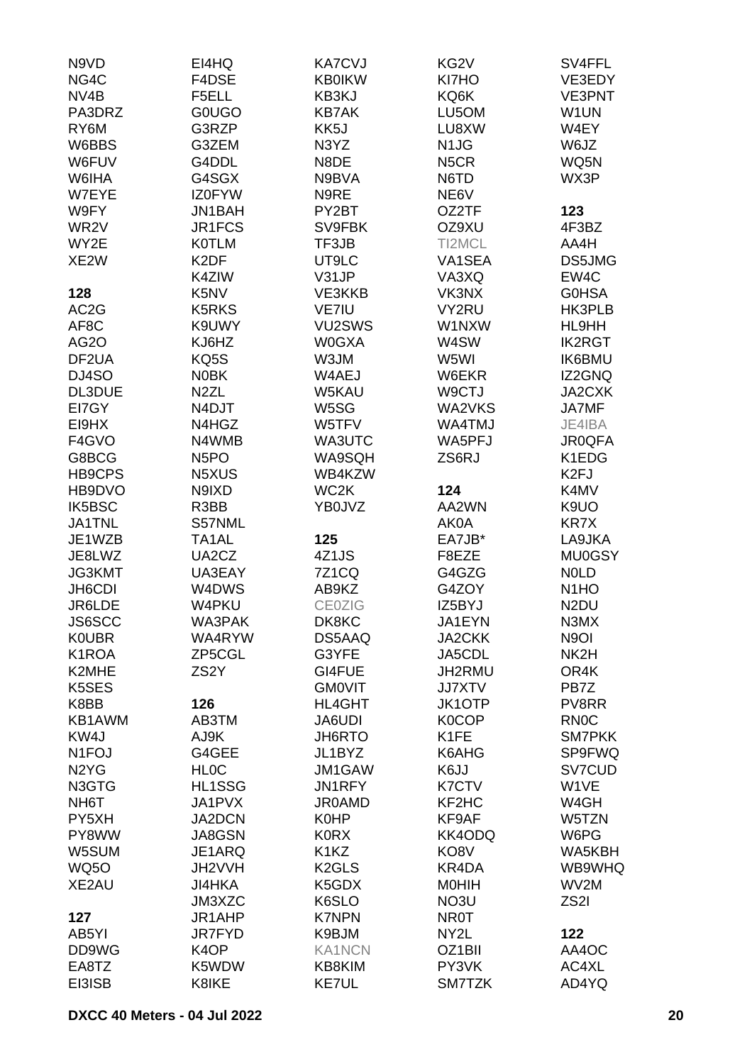| N9VD                          | EI4HQ             | <b>KA7CVJ</b>                 | KG2V              | SV4FFL            |
|-------------------------------|-------------------|-------------------------------|-------------------|-------------------|
| NG4C                          | F4DSE             | <b>KB0IKW</b>                 | KI7HO             | VE3EDY            |
| NV <sub>4</sub> B             | F5ELL             | KB3KJ                         | KQ6K              | <b>VE3PNT</b>     |
| PA3DRZ                        | <b>GOUGO</b>      | <b>KB7AK</b>                  | LU5OM             | W1UN              |
| RY6M                          | G3RZP             |                               | LU8XW             | W4EY              |
|                               |                   | KK <sub>5</sub> J             |                   |                   |
| W6BBS                         | G3ZEM             | N3YZ                          | N <sub>1</sub> JG | W6JZ              |
| W6FUV                         | G4DDL             | N8DE                          | N <sub>5</sub> CR | WQ5N              |
| W6IHA                         | G4SGX             | N9BVA                         | N6TD              | WX3P              |
| W7EYE                         | <b>IZ0FYW</b>     | N9RE                          | NE6V              |                   |
| W9FY                          | JN1BAH            | PY2BT                         | OZ2TF             | 123               |
| WR <sub>2</sub> V             | JR1FCS            | SV9FBK                        | OZ9XU             | 4F3BZ             |
| WY2E                          | <b>K0TLM</b>      | TF3JB                         | TI2MCL            | AA4H              |
| XE2W                          | K <sub>2</sub> DF | UT9LC                         | VA1SEA            | DS5JMG            |
|                               | K4ZIW             | V31JP                         | VA3XQ             | EW4C              |
| 128                           | K5NV              | VE3KKB                        | VK3NX             | <b>GOHSA</b>      |
| AC <sub>2</sub> G             | <b>K5RKS</b>      | VE7IU                         | VY2RU             | HK3PLB            |
| AF8C                          | K9UWY             | VU2SWS                        | W1NXW             | HL9HH             |
| <b>AG20</b>                   | KJ6HZ             | <b>W0GXA</b>                  | W4SW              | <b>IK2RGT</b>     |
|                               | KQ5S              |                               |                   |                   |
| DF2UA                         |                   | W3JM                          | W5WI              | <b>IK6BMU</b>     |
| DJ4SO                         | <b>N0BK</b>       | W4AEJ                         | W6EKR             | IZ2GNQ            |
| DL3DUE                        | N <sub>2</sub> ZL | W5KAU                         | W9CTJ             | JA2CXK            |
| EI7GY                         | N4DJT             | W5SG                          | WA2VKS            | <b>JA7MF</b>      |
| EI9HX                         | N4HGZ             | W5TFV                         | WA4TMJ            | JE4IBA            |
| F4GVO                         | N4WMB             | WA3UTC                        | WA5PFJ            | <b>JR0QFA</b>     |
| G8BCG                         | N <sub>5</sub> PO | WA9SQH                        | ZS6RJ             | K1EDG             |
| HB9CPS                        | N5XUS             | WB4KZW                        |                   | K <sub>2FJ</sub>  |
| HB9DVO                        | N9IXD             | WC <sub>2</sub> K             | 124               | K4MV              |
| IK5BSC                        | R3BB              | YB0JVZ                        | AA2WN             | K9UO              |
| JA1TNL                        | S57NML            |                               | AK0A              | <b>KR7X</b>       |
| JE1WZB                        | TA1AL             | 125                           | EA7JB*            | LA9JKA            |
| JE8LWZ                        | UA2CZ             | 4Z1JS                         | F8EZE             | <b>MU0GSY</b>     |
| JG3KMT                        | UA3EAY            | 7Z1CQ                         | G4GZG             | <b>NOLD</b>       |
| JH6CDI                        | W4DWS             | AB9KZ                         | G4ZOY             | N <sub>1</sub> HO |
| JR6LDE                        | W4PKU             | <b>CE0ZIG</b>                 | IZ5BYJ            | N <sub>2</sub> DU |
|                               |                   |                               |                   |                   |
| JS6SCC                        | WA3PAK            | DK8KC                         | JA1EYN            | N3MX              |
| <b>K0UBR</b>                  | WA4RYW            | DS5AAQ                        | <b>JA2CKK</b>     | N <sub>9</sub> OI |
| K1ROA                         | ZP5CGL            | G3YFE                         | JA5CDL            | NK2H              |
| K2MHE                         | ZS <sub>2</sub> Y | GI4FUE                        | JH2RMU            | OR4K              |
| K5SES                         |                   | <b>GMOVIT</b>                 | <b>JJ7XTV</b>     | PB7Z              |
| K8BB                          | 126               | HL4GHT                        | <b>JK1OTP</b>     | PV8RR             |
| KB1AWM                        | AB3TM             | JA6UDI                        | K0COP             | <b>RN0C</b>       |
| KW4J                          | AJ9K              | JH6RTO                        | K1FE              | <b>SM7PKK</b>     |
| N <sub>1</sub> FOJ            | G4GEE             | JL1BYZ                        | K6AHG             | SP9FWQ            |
| N <sub>2</sub> Y <sub>G</sub> | <b>HLOC</b>       | JM1GAW                        | K6JJ              | SV7CUD            |
| N3GTG                         | HL1SSG            | JN1RFY                        | <b>K7CTV</b>      | W1VE              |
| NH <sub>6</sub> T             | JA1PVX            | <b>JR0AMD</b>                 | KF2HC             | W4GH              |
| PY5XH                         | JA2DCN            | <b>K0HP</b>                   | KF9AF             | W5TZN             |
| PY8WW                         | JA8GSN            | <b>K0RX</b>                   | KK4ODQ            | W6PG              |
| W5SUM                         | JE1ARQ            | K <sub>1</sub> K <sub>Z</sub> | KO8V              | WA5KBH            |
| <b>WQ50</b>                   | JH2VVH            | K <sub>2</sub> GLS            | KR4DA             | WB9WHQ            |
| XE2AU                         | <b>JI4HKA</b>     | K5GDX                         | <b>MOHIH</b>      | WV2M              |
|                               | JM3XZC            | K6SLO                         | NO3U              | ZS2I              |
|                               |                   |                               |                   |                   |
| 127                           | JR1AHP            | <b>K7NPN</b>                  | <b>NR0T</b>       |                   |
| AB5YI                         | <b>JR7FYD</b>     | K9BJM                         | NY2L              | 122               |
| DD9WG                         | K <sub>4</sub> OP | <b>KA1NCN</b>                 | OZ1BII            | AA4OC             |
| EA8TZ                         | K5WDW             | KB8KIM                        | PY3VK             | AC4XL             |
| EI3ISB                        | K8IKE             | <b>KE7UL</b>                  | SM7TZK            | AD4YQ             |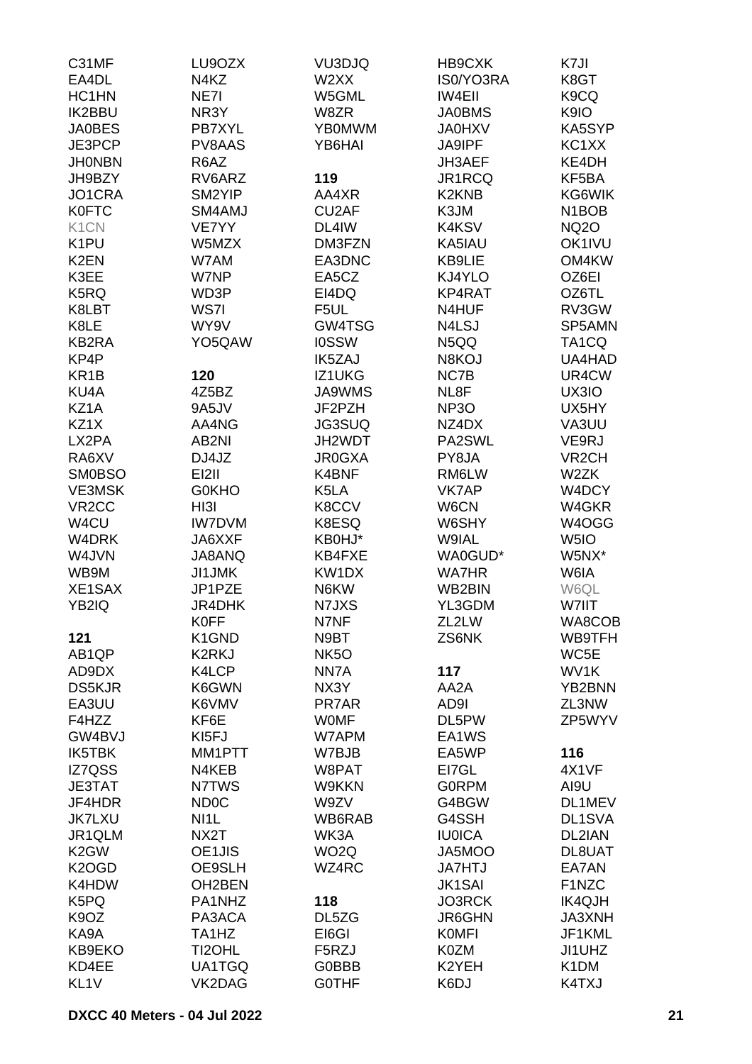| C31MF              | LU9OZX            | VU3DJQ            | HB9CXK            | K7JI                           |
|--------------------|-------------------|-------------------|-------------------|--------------------------------|
| EA4DL              | N <sub>4</sub> KZ | W2XX              | IS0/YO3RA         | K8GT                           |
| HC1HN              | NE7I              | W5GML             | <b>IW4EII</b>     | K <sub>9</sub> CQ              |
| <b>IK2BBU</b>      | NR3Y              | W8ZR              | <b>JA0BMS</b>     | K9IO                           |
| <b>JA0BES</b>      | PB7XYL            | <b>YB0MWM</b>     | <b>JA0HXV</b>     | KA5SYP                         |
| JE3PCP             | PV8AAS            | YB6HAI            | <b>JA9IPF</b>     | KC1XX                          |
| <b>JHONBN</b>      | R6AZ              |                   | JH3AEF            | KE4DH                          |
|                    |                   |                   |                   |                                |
| JH9BZY             | RV6ARZ            | 119               | JR1RCQ            | KF5BA                          |
| JO1CRA             | SM2YIP            | AA4XR             | <b>K2KNB</b>      | KG6WIK                         |
| <b>K0FTC</b>       | SM4AMJ            | CU2AF             | K3JM              | N <sub>1</sub> BO <sub>B</sub> |
| K <sub>1</sub> CN  | VE7YY             | DL4IW             | K4KSV             | <b>NQ2O</b>                    |
| K <sub>1</sub> PU  | W5MZX             | DM3FZN            | KA5IAU            | OK1IVU                         |
| K <sub>2</sub> EN  | W7AM              | EA3DNC            | KB9LIE            | OM4KW                          |
| K3EE               | W7NP              | EA5CZ             | KJ4YLO            | OZ6EI                          |
| K5RQ               | WD3P              | EI4DQ             | KP4RAT            | OZ6TL                          |
| K8LBT              | WS7I              | F5UL              | N4HUF             | RV3GW                          |
| K8LE               | WY9V              | GW4TSG            | N4LSJ             | SP5AMN                         |
| KB2RA              | YO5QAW            | <b>IOSSW</b>      | N5QQ              | TA <sub>1</sub> CQ             |
| KP4P               |                   | IK5ZAJ            | N8KOJ             | UA4HAD                         |
| KR <sub>1</sub> B  | 120               | IZ1UKG            | NC7B              | UR4CW                          |
| KU <sub>4</sub> A  | 4Z5BZ             | <b>JA9WMS</b>     | NL8F              | UX3IO                          |
| KZ1A               | 9A5JV             | JF2PZH            | NP <sub>3</sub> O | UX5HY                          |
|                    |                   |                   |                   |                                |
| KZ1X               | AA4NG             | <b>JG3SUQ</b>     | NZ4DX             | VA3UU                          |
| LX2PA              | AB2NI             | JH2WDT            | PA2SWL            | VE9RJ                          |
| RA6XV              | DJ4JZ             | <b>JR0GXA</b>     | PY8JA             | VR <sub>2</sub> CH             |
| <b>SM0BSO</b>      | <b>EI2II</b>      | K4BNF             | RM6LW             | W <sub>2</sub> ZK              |
| <b>VE3MSK</b>      | <b>G0KHO</b>      | K5LA              | VK7AP             | W4DCY                          |
| VR <sub>2</sub> CC | HI3I              | K8CCV             | W6CN              | W4GKR                          |
| W4CU               | <b>IW7DVM</b>     | K8ESQ             | W6SHY             | W4OGG                          |
| W4DRK              | JA6XXF            | KB0HJ*            | W9IAL             | W5IO                           |
| W4JVN              | JA8ANQ            | KB4FXE            | WA0GUD*           | W5NX*                          |
| WB9M               | <b>JI1JMK</b>     | KW1DX             | <b>WA7HR</b>      | W6IA                           |
| XE1SAX             | JP1PZE            | N6KW              | WB2BIN            | W6QL                           |
| YB2IQ              | <b>JR4DHK</b>     | N7JXS             | YL3GDM            | W7IIT                          |
|                    | <b>K0FF</b>       | N7NF              | ZL2LW             | WA8COB                         |
| 121                | K1GND             | N9BT              | ZS6NK             | WB9TFH                         |
| AB1QP              | K2RKJ             | NK <sub>5</sub> O |                   | WC5E                           |
| AD9DX              | K4LCP             | NN7A              | 117               | WV1K                           |
| <b>DS5KJR</b>      | K6GWN             | NX3Y              | AA2A              | YB2BNN                         |
| EA3UU              | K6VMV             | PR7AR             | AD9I              | ZL3NW                          |
|                    |                   |                   |                   |                                |
| F4HZZ              | KF6E              | <b>WOMF</b>       | DL5PW             | ZP5WYV                         |
| GW4BVJ             | KI <sub>5FJ</sub> | W7APM             | EA1WS             |                                |
| IK5TBK             | MM1PTT            | W7BJB             | EA5WP             | 116                            |
| IZ7QSS             | N4KEB             | W8PAT             | EI7GL             | 4X1VF                          |
| <b>JE3TAT</b>      | N7TWS             | W9KKN             | <b>GORPM</b>      | AI9U                           |
| JF4HDR             | ND <sub>0</sub> C | W9ZV              | G4BGW             | DL1MEV                         |
| <b>JK7LXU</b>      | NI <sub>1</sub>   | WB6RAB            | G4SSH             | DL1SVA                         |
| JR1QLM             | NX2T              | WK3A              | <b>IU0ICA</b>     | DL2IAN                         |
| K <sub>2</sub> GW  | OE1JIS            | WO <sub>2</sub> Q | JA5MOO            | DL8UAT                         |
| K <sub>2</sub> OGD | OE9SLH            | WZ4RC             | <b>JA7HTJ</b>     | EA7AN                          |
| K4HDW              | OH2BEN            |                   | <b>JK1SAI</b>     | F1NZC                          |
| K5PQ               | PA1NHZ            | 118               | <b>JO3RCK</b>     | <b>IK4QJH</b>                  |
| K <sub>9</sub> OZ  | PA3ACA            | DL5ZG             | JR6GHN            | <b>JA3XNH</b>                  |
| KA9A               | TA1HZ             | EI6GI             | <b>KOMFI</b>      | JF1KML                         |
| KB9EKO             | TI2OHL            | F5RZJ             | K0ZM              | JI1UHZ                         |
| KD4EE              | UA1TGQ            | G0BBB             | K2YEH             | K <sub>1</sub> DM              |
| KL <sub>1V</sub>   | VK2DAG            | <b>GOTHF</b>      | K6DJ              | K4TXJ                          |
|                    |                   |                   |                   |                                |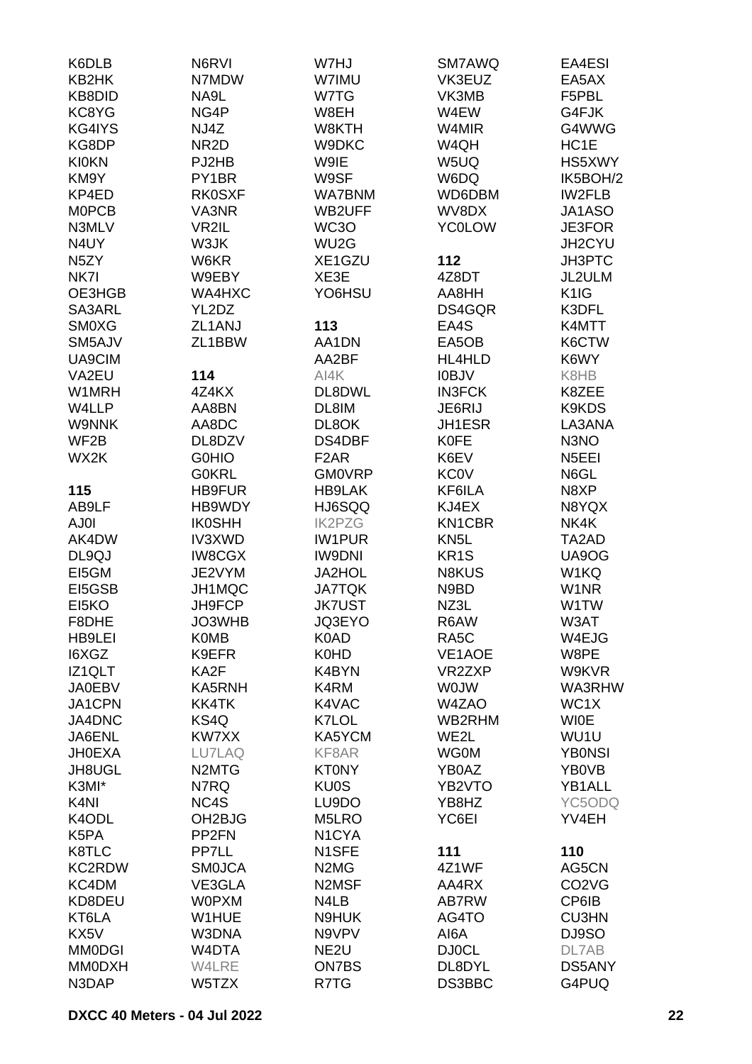| K6DLB             | N6RVI                          | W7HJ                          | SM7AWQ            | EA4ESI                         |
|-------------------|--------------------------------|-------------------------------|-------------------|--------------------------------|
| KB2HK             | N7MDW                          | W7IMU                         | VK3EUZ            | EA5AX                          |
| KB8DID            | NA9L                           | W7TG                          | VK3MB             | F5PBL                          |
| KC8YG             | NG4P                           | W8EH                          | W4EW              | G4FJK                          |
| KG4IYS            | NJ4Z                           | W8KTH                         | W4MIR             | G4WWG                          |
|                   |                                |                               |                   |                                |
| KG8DP             | NR <sub>2</sub> D              | W9DKC                         | W4QH              | HC1E                           |
| <b>KI0KN</b>      | PJ2HB                          | W9IE                          | W5UQ              | HS5XWY                         |
| KM9Y              | PY1BR                          | W9SF                          | W6DQ              | IK5BOH/2                       |
| KP4ED             | <b>RK0SXF</b>                  | <b>WA7BNM</b>                 | WD6DBM            | <b>IW2FLB</b>                  |
| <b>MOPCB</b>      | VA3NR                          | WB2UFF                        | WV8DX             | JA1ASO                         |
| N3MLV             | VR2IL                          | WC3O                          | <b>YC0LOW</b>     | JE3FOR                         |
| N4UY              | W3JK                           | WU2G                          |                   | JH2CYU                         |
| N <sub>5</sub> ZY | W6KR                           | XE1GZU                        | 112               | <b>JH3PTC</b>                  |
| NK7I              | W9EBY                          | XE3E                          | 4Z8DT             | JL2ULM                         |
| OE3HGB            | WA4HXC                         | YO6HSU                        | AA8HH             | K <sub>1</sub> IG              |
| SA3ARL            | YL2DZ                          |                               | DS4GQR            | K3DFL                          |
| <b>SM0XG</b>      | ZL1ANJ                         | 113                           | EA4S              | K4MTT                          |
| SM5AJV            | ZL1BBW                         | AA1DN                         | EA5OB             | K6CTW                          |
|                   |                                |                               |                   |                                |
| UA9CIM            |                                | AA2BF                         | HL4HLD            | K6WY                           |
| VA2EU             | 114                            | AI4K                          | <b>IOBJV</b>      | K8HB                           |
| W1MRH             | 4Z4KX                          | DL8DWL                        | <b>IN3FCK</b>     | K8ZEE                          |
| W4LLP             | AA8BN                          | DL8IM                         | JE6RIJ            | K9KDS                          |
| <b>W9NNK</b>      | AA8DC                          | DL8OK                         | JH1ESR            | LA3ANA                         |
| WF <sub>2</sub> B | DL8DZV                         | DS4DBF                        | <b>K0FE</b>       | N3NO                           |
| WX2K              | <b>GOHIO</b>                   | F <sub>2</sub> AR             | K6EV              | N <sub>5</sub> EEI             |
|                   | <b>GOKRL</b>                   | <b>GM0VRP</b>                 | <b>KC0V</b>       | N6GL                           |
| 115               | <b>HB9FUR</b>                  | <b>HB9LAK</b>                 | KF6ILA            | N8XP                           |
| AB9LF             | HB9WDY                         | HJ6SQQ                        | KJ4EX             | N8YQX                          |
| AJ0I              | <b>IK0SHH</b>                  | <b>IK2PZG</b>                 | KN1CBR            | NK4K                           |
| AK4DW             | IV3XWD                         | <b>IW1PUR</b>                 | KN <sub>5</sub> L | TA2AD                          |
| DL9QJ             | <b>IW8CGX</b>                  | <b>IW9DNI</b>                 | KR <sub>1</sub> S | UA9OG                          |
|                   |                                |                               |                   |                                |
| EI5GM             | JE2VYM                         | <b>JA2HOL</b>                 | <b>N8KUS</b>      | W1KQ                           |
| EI5GSB            | JH1MQC                         | <b>JA7TQK</b>                 | N9BD              | W <sub>1</sub> NR              |
| EI5KO             | JH9FCP                         | <b>JK7UST</b>                 | NZ3L              | W1TW                           |
| F8DHE             | JO3WHB                         | JQ3EYO                        | R6AW              | W3AT                           |
| <b>HB9LEI</b>     | <b>K0MB</b>                    | K0AD                          | RA <sub>5</sub> C | W4EJG                          |
| I6XGZ             | K9EFR                          | K0HD                          | VE1AOE            | W8PE                           |
| IZ1QLT            | KA2F                           | K4BYN                         | VR2ZXP            | W9KVR                          |
| <b>JA0EBV</b>     | KA5RNH                         | K4RM                          | <b>WOJW</b>       | WA3RHW                         |
| JA1CPN            | <b>KK4TK</b>                   | K4VAC                         | W4ZAO             | WC1X                           |
| JA4DNC            | KS4Q                           | K7LOL                         | WB2RHM            | <b>WIOE</b>                    |
| JA6ENL            | KW7XX                          | KA5YCM                        | WE2L              | WU1U                           |
| <b>JH0EXA</b>     | LU7LAQ                         | KF8AR                         | <b>WG0M</b>       | <b>YB0NSI</b>                  |
| JH8UGL            | N <sub>2</sub> MT <sub>G</sub> | <b>KT0NY</b>                  | YB0AZ             | YB0VB                          |
| K3MI*             | N7RQ                           | <b>KU0S</b>                   | YB2VTO            | YB1ALL                         |
| K <sub>4</sub> NI | NC4S                           | LU9DO                         | YB8HZ             | YC5ODQ                         |
| K4ODL             | OH <sub>2</sub> BJG            | M5LRO                         | YC6EI             | YV4EH                          |
| K5PA              | PP <sub>2FN</sub>              | N <sub>1</sub> CYA            |                   |                                |
|                   | PP7LL                          |                               |                   |                                |
| K8TLC             |                                | N1SFE                         | 111               | 110                            |
| KC2RDW            | <b>SMOJCA</b>                  | N <sub>2</sub> M <sub>G</sub> | 4Z1WF             | AG5CN                          |
| KC4DM             | VE3GLA                         | N2MSF                         | AA4RX             | CO <sub>2</sub> V <sub>G</sub> |
| KD8DEU            | <b>WOPXM</b>                   | N4LB                          | AB7RW             | CP6IB                          |
| KT6LA             | W1HUE                          | N9HUK                         | AG4TO             | <b>CU3HN</b>                   |
| KX5V              | W3DNA                          | N9VPV                         | AI6A              | DJ9SO                          |
| <b>MM0DGI</b>     | W4DTA                          | NE <sub>2U</sub>              | <b>DJ0CL</b>      | DL7AB                          |
| <b>MM0DXH</b>     | W4LRE                          | <b>ON7BS</b>                  | DL8DYL            | DS5ANY                         |
| N3DAP             | W5TZX                          | R7TG                          | DS3BBC            | G4PUQ                          |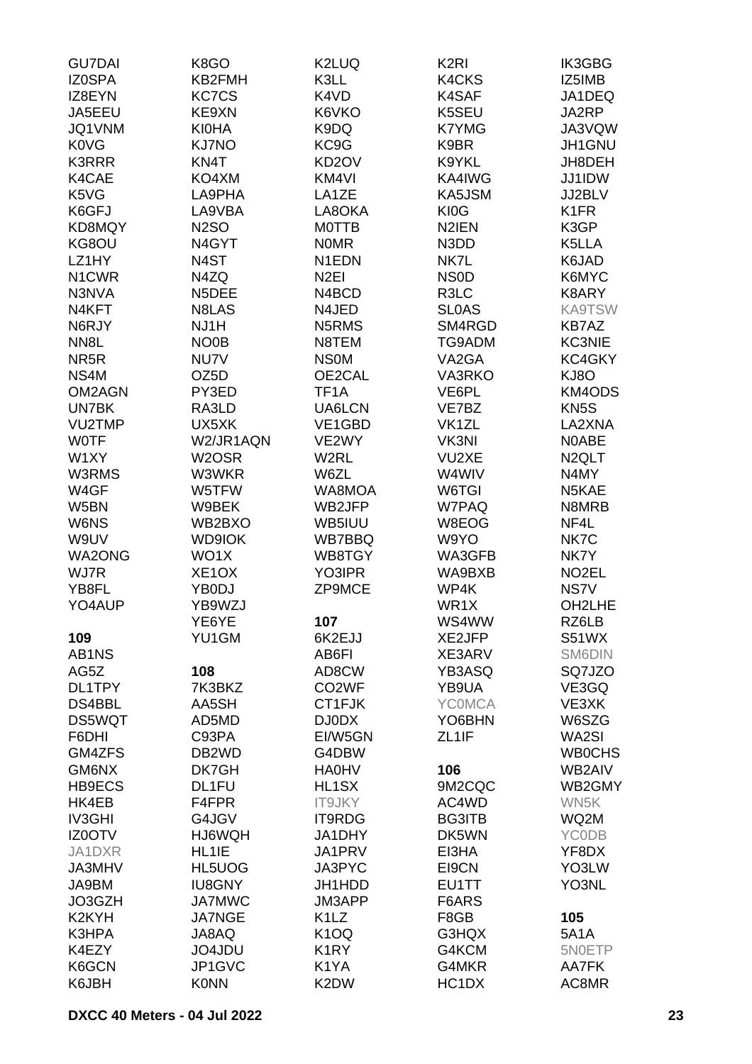| <b>GU7DAI</b>      | K8GO               | K2LUQ                         | K <sub>2RI</sub>   | IK3GBG              |
|--------------------|--------------------|-------------------------------|--------------------|---------------------|
| <b>IZ0SPA</b>      | KB2FMH             | K3LL                          | K4CKS              | IZ5IMB              |
| IZ8EYN             | <b>KC7CS</b>       | K4VD                          | K4SAF              | JA1DEQ              |
| JA5EEU             | KE9XN              | K6VKO                         | K5SEU              | JA2RP               |
| JQ1VNM             | <b>KI0HA</b>       | K9DQ                          | <b>K7YMG</b>       | JA3VQW              |
|                    |                    |                               |                    |                     |
| <b>K0VG</b>        | <b>KJ7NO</b>       | KC9G                          | K9BR               | JH1GNU              |
| <b>K3RRR</b>       | KN4T               | KD <sub>2</sub> OV            | K9YKL              | JH8DEH              |
| K4CAE              | KO4XM              | KM4VI                         | KA4IWG             | JJ1IDW              |
| K5VG               | LA9PHA             | LA1ZE                         | KA5JSM             | JJ2BLV              |
| K6GFJ              | LA9VBA             | LA8OKA                        | KI0G               | K <sub>1</sub> FR   |
| KD8MQY             | <b>N2SO</b>        | <b>MOTTB</b>                  | N2IEN              | K3GP                |
| KG8OU              | N4GYT              | <b>NOMR</b>                   | N3DD               | K5LLA               |
| LZ1HY              | N4ST               | N <sub>1</sub> EDN            | NK7L               | K6JAD               |
| N1CWR              | N4ZQ               | N <sub>2EI</sub>              | <b>NSOD</b>        | K6MYC               |
| N3NVA              | N5DEE              | N4BCD                         | R3LC               | K8ARY               |
| N4KFT              | N8LAS              | N4JED                         | <b>SLOAS</b>       | <b>KA9TSW</b>       |
| N6RJY              | NJ1H               | N5RMS                         | SM4RGD             | <b>KB7AZ</b>        |
|                    |                    |                               |                    |                     |
| NN <sub>8</sub> L  | NO0B               | N8TEM                         | TG9ADM             | <b>KC3NIE</b>       |
| NR <sub>5</sub> R  | NU7V               | <b>NSOM</b>                   | VA2GA              | KC4GKY              |
| NS4M               | OZ <sub>5</sub> D  | OE2CAL                        | VA3RKO             | KJ8O                |
| OM2AGN             | PY3ED              | TF <sub>1</sub> A             | VE6PL              | KM4ODS              |
| UN7BK              | RA3LD              | UA6LCN                        | VE7BZ              | KN <sub>5</sub> S   |
| VU2TMP             | UX5XK              | VE1GBD                        | VK <sub>1</sub> ZL | LA2XNA              |
| <b>WOTF</b>        | W2/JR1AQN          | VE2WY                         | VK3NI              | <b>NOABE</b>        |
| W1XY               | W2OSR              | W2RL                          | VU2XE              | N <sub>2</sub> QLT  |
| W3RMS              | W3WKR              | W6ZL                          | W4WIV              | N4MY                |
| W4GF               | W5TFW              | WA8MOA                        | W6TGI              | N5KAE               |
| W5BN               | W9BEK              | WB2JFP                        | W7PAQ              | N8MRB               |
| W6NS               | WB2BXO             | WB5IUU                        | W8EOG              | NF4L                |
| W9UV               | <b>WD9IOK</b>      | WB7BBQ                        | W9YO               | NK7C                |
|                    |                    |                               |                    |                     |
| <b>WA2ONG</b>      | WO1X               | WB8TGY                        | WA3GFB             | NK7Y                |
| WJ7R               | XE <sub>1</sub> OX | YO3IPR                        | WA9BXB             | NO <sub>2</sub> EL  |
| YB8FL              | YB0DJ              | ZP9MCE                        | WP4K               | NS7V                |
| YO4AUP             | YB9WZJ             |                               | WR <sub>1</sub> X  | OH <sub>2</sub> LHE |
|                    | YE6YE              | 107                           | WS4WW              | RZ6LB               |
| 109                | YU1GM              | 6K2EJJ                        | XE2JFP             | S51WX               |
| AB1NS              |                    | AB6FI                         | XE3ARV             | SM6DIN              |
| AG5Z               | 108                | AD8CW                         | YB3ASQ             | SQ7JZO              |
| DL1TPY             | 7K3BKZ             | CO <sub>2</sub> WF            | YB9UA              | VE3GQ               |
| DS4BBL             | AA5SH              | CT1FJK                        | <b>YCOMCA</b>      | VE3XK               |
| DS5WQT             | AD5MD              | DJ0DX                         | YO6BHN             | W6SZG               |
| F6DHI              | C93PA              | EI/W5GN                       | ZL <sub>1</sub> IF | WA2SI               |
| GM4ZFS             | DB <sub>2</sub> WD | G4DBW                         |                    | <b>WB0CHS</b>       |
| GM6NX              | DK7GH              | <b>HA0HV</b>                  | 106                | WB2AIV              |
|                    |                    |                               |                    |                     |
| <b>HB9ECS</b>      | DL1FU              | HL1SX                         | 9M2CQC             | WB2GMY              |
| HK4EB              | F4FPR              | IT9JKY                        | AC4WD              | WN5K                |
| <b>IV3GHI</b>      | G4JGV              | IT9RDG                        | <b>BG3ITB</b>      | WQ2M                |
| IZ0OTV             | HJ6WQH             | JA1DHY                        | DK5WN              | <b>YCODB</b>        |
| JA1DXR             | HL1IE              | JA1PRV                        | EI3HA              | YF8DX               |
| JA3MHV             | HL5UOG             | JA3PYC                        | EI9CN              | YO3LW               |
| JA9BM              | <b>IU8GNY</b>      | JH1HDD                        | EU1TT              | YO3NL               |
| JO3GZH             | <b>JA7MWC</b>      | JM3APP                        | F6ARS              |                     |
| K <sub>2</sub> KYH | <b>JA7NGE</b>      | K <sub>1</sub> L <sub>Z</sub> | F8GB               | 105                 |
| K3HPA              | JA8AQ              | K <sub>1</sub> OQ             | G3HQX              | <b>5A1A</b>         |
| K4EZY              | JO4JDU             | K <sub>1</sub> RY             | G4KCM              | 5N0ETP              |
| K6GCN              | JP1GVC             | K1YA                          | G4MKR              | AA7FK               |
| K6JBH              | <b>K0NN</b>        | K2DW                          | HC1DX              | AC8MR               |
|                    |                    |                               |                    |                     |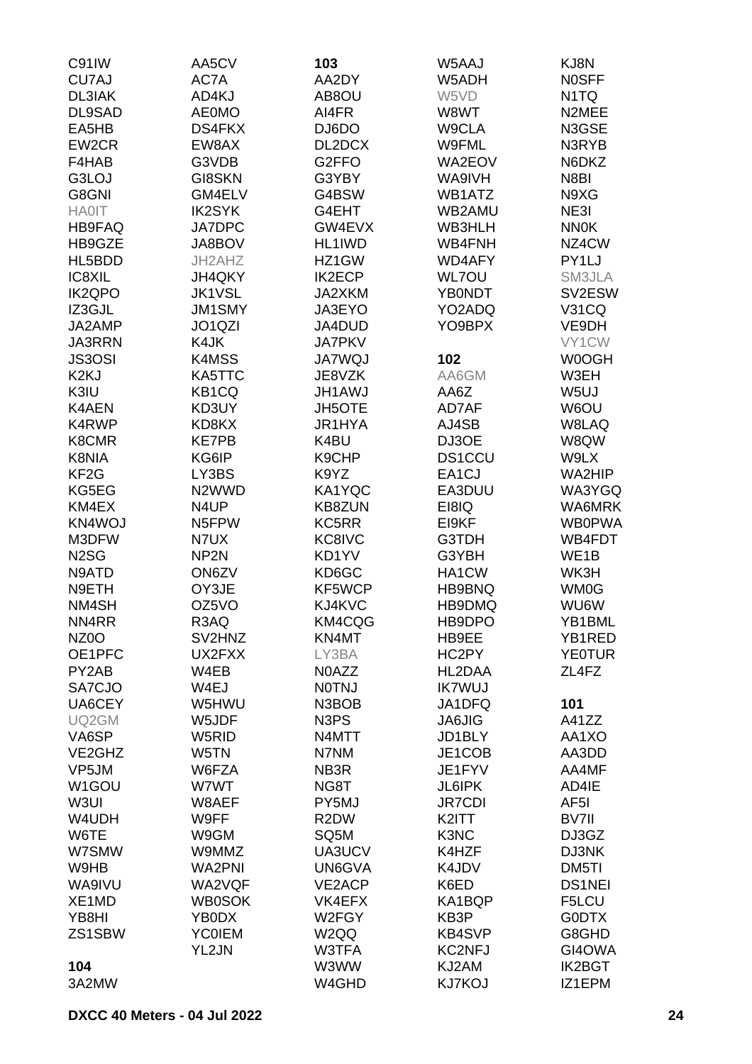| C91IW              | AA5CV              | 103                           | W5AAJ         | KJ8N              |
|--------------------|--------------------|-------------------------------|---------------|-------------------|
| CU7AJ              | AC7A               | AA2DY                         | W5ADH         | <b>NOSFF</b>      |
| <b>DL3IAK</b>      | AD4KJ              | AB8OU                         | W5VD          | N <sub>1</sub> TQ |
| DL9SAD             | <b>AE0MO</b>       | AI4FR                         | W8WT          | N2MEE             |
|                    | <b>DS4FKX</b>      |                               |               |                   |
| EA5HB              |                    | DJ6DO                         | W9CLA         | N3GSE             |
| EW2CR              | EW8AX              | DL2DCX                        | W9FML         | N3RYB             |
| F4HAB              | G3VDB              | G2FFO                         | <b>WA2EOV</b> | N6DKZ             |
| G3LOJ              | <b>GI8SKN</b>      | G3YBY                         | WA9IVH        | N8BI              |
| G8GNI              | GM4ELV             | G4BSW                         | WB1ATZ        | N9XG              |
| <b>HA0IT</b>       | <b>IK2SYK</b>      | G4EHT                         | WB2AMU        | NE3I              |
| <b>HB9FAQ</b>      | <b>JA7DPC</b>      | GW4EVX                        | WB3HLH        | <b>NN0K</b>       |
| HB9GZE             | JA8BOV             | HL1IWD                        | WB4FNH        | NZ4CW             |
| HL5BDD             | JH2AHZ             | HZ1GW                         | <b>WD4AFY</b> | PY1LJ             |
| IC8XIL             | JH4QKY             | <b>IK2ECP</b>                 | <b>WL7OU</b>  | SM3JLA            |
| <b>IK2QPO</b>      | <b>JK1VSL</b>      | JA2XKM                        | <b>YB0NDT</b> | SV2ESW            |
| IZ3GJL             | <b>JM1SMY</b>      | JA3EYO                        | YO2ADQ        | <b>V31CQ</b>      |
| JA2AMP             | JO1QZI             | JA4DUD                        | YO9BPX        | VE9DH             |
| <b>JA3RRN</b>      |                    |                               |               | VY1CW             |
|                    | K4JK               | <b>JA7PKV</b>                 |               |                   |
| <b>JS3OSI</b>      | K4MSS              | <b>JA7WQJ</b>                 | 102           | W0OGH             |
| K <sub>2</sub> KJ  | KA5TTC             | JE8VZK                        | AA6GM         | W3EH              |
| K3IU               | KB1CQ              | <b>JH1AWJ</b>                 | AA6Z          | W <sub>5U</sub>   |
| <b>K4AEN</b>       | KD3UY              | <b>JH5OTE</b>                 | AD7AF         | W6OU              |
| K4RWP              | KD8KX              | JR1HYA                        | AJ4SB         | W8LAQ             |
| K8CMR              | <b>KE7PB</b>       | K4BU                          | DJ3OE         | W8QW              |
| K8NIA              | KG6IP              | K9CHP                         | <b>DS1CCU</b> | W9LX              |
| KF <sub>2</sub> G  | LY3BS              | K9YZ                          | EA1CJ         | WA2HIP            |
| KG5EG              | N <sub>2</sub> WWD | KA1YQC                        | EA3DUU        | WA3YGQ            |
| KM4EX              | N4UP               | <b>KB8ZUN</b>                 | EI8IQ         | WA6MRK            |
| KN4WOJ             | N5FPW              | KC5RR                         | EI9KF         | <b>WB0PWA</b>     |
| M3DFW              | N7UX               | KC8IVC                        | <b>G3TDH</b>  | WB4FDT            |
| N <sub>2</sub> SG  | NP <sub>2N</sub>   | KD1YV                         | G3YBH         | WE <sub>1</sub> B |
| N9ATD              | ON6ZV              | KD6GC                         | HA1CW         | WK3H              |
| N9ETH              | OY3JE              | KF5WCP                        | HB9BNQ        | WM0G              |
| NM4SH              | OZ5VO              | KJ4KVC                        | HB9DMQ        | <b>WU6W</b>       |
|                    |                    |                               |               |                   |
| NN4RR              | R3AQ               | KM4CQG                        | HB9DPO        | YB1BML            |
| NZ <sub>0</sub> O  | SV2HNZ             | KN4MT                         | HB9EE         | YB1RED            |
| OE1PFC             | UX2FXX             | LY3BA                         | HC2PY         | <b>YE0TUR</b>     |
| PY2AB              | W4EB               | N0AZZ                         | HL2DAA        | ZL4FZ             |
| SA7CJO             | W4EJ               | <b>NOTNJ</b>                  | <b>IK7WUJ</b> |                   |
| UA6CEY             | W5HWU              | N3BOB                         | JA1DFQ        | 101               |
| UQ2GM              | W5JDF              | N <sub>3</sub> P <sub>S</sub> | <b>JA6JIG</b> | A41ZZ             |
| VA6SP              | W5RID              | N4MTT                         | JD1BLY        | AA1XO             |
| VE2GHZ             | W5TN               | N7NM                          | JE1COB        | AA3DD             |
| VP5JM              | W6FZA              | NB3R                          | JE1FYV        | AA4MF             |
| W <sub>1</sub> GOU | W7WT               | NG8T                          | <b>JL6IPK</b> | AD4IE             |
| W3UI               | W8AEF              | PY5MJ                         | <b>JR7CDI</b> | AF <sub>5</sub> I |
| W4UDH              | W9FF               | R <sub>2</sub> DW             | K2ITT         | BV7II             |
| W6TE               | W9GM               | SQ5M                          | K3NC          | DJ3GZ             |
| W7SMW              | W9MMZ              | UA3UCV                        | K4HZF         | DJ3NK             |
| W9HB               | <b>WA2PNI</b>      | UN6GVA                        | K4JDV         | DM5TI             |
| WA9IVU             | WA2VQF             | VE2ACP                        | K6ED          | <b>DS1NEI</b>     |
| XE1MD              | <b>WB0SOK</b>      | VK4EFX                        | KA1BQP        | F5LCU             |
|                    |                    |                               |               |                   |
| YB8HI              | YB0DX              | W2FGY                         | KB3P          | <b>GODTX</b>      |
| ZS1SBW             | <b>YC0IEM</b>      | W2QQ                          | <b>KB4SVP</b> | G8GHD             |
|                    | YL2JN              | W3TFA                         | <b>KC2NFJ</b> | GI4OWA            |
| 104                |                    | W3WW                          | KJ2AM         | <b>IK2BGT</b>     |
| 3A2MW              |                    | W4GHD                         | <b>KJ7KOJ</b> | IZ1EPM            |